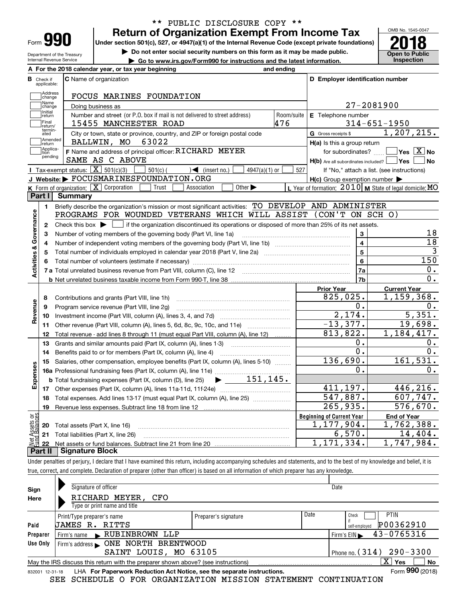| Form |  |
|------|--|

Department of the Treasury Internal Revenue Service

## **Return of Organization Exempt From Income Tax** \*\* PUBLIC DISCLOSURE COPY \*\*

Under section 501(c), 527, or 4947(a)(1) of the Internal Revenue Code (except private foundations) **2018** 

**| Do not enter social security numbers on this form as it may be made public.**

**| Go to www.irs.gov/Form990 for instructions and the latest information. Inspection**



|                         |                             | A For the 2018 calendar year, or tax year beginning                                                                                                 | and ending |                                                                                |                                                           |
|-------------------------|-----------------------------|-----------------------------------------------------------------------------------------------------------------------------------------------------|------------|--------------------------------------------------------------------------------|-----------------------------------------------------------|
| в                       | Check if<br>applicable:     | <b>C</b> Name of organization                                                                                                                       |            | D Employer identification number                                               |                                                           |
|                         | Address<br> change          | FOCUS MARINES FOUNDATION                                                                                                                            |            |                                                                                |                                                           |
|                         | Name<br>change              | Doing business as                                                                                                                                   |            |                                                                                | 27-2081900                                                |
|                         | Initial<br>return           | Number and street (or P.O. box if mail is not delivered to street address)                                                                          | Room/suite | E Telephone number                                                             |                                                           |
|                         | Final<br>return/            | 15455 MANCHESTER ROAD                                                                                                                               | 476        |                                                                                | $314 - 651 - 1950$                                        |
|                         | termin-<br>ated             | City or town, state or province, country, and ZIP or foreign postal code                                                                            |            | G Gross receipts \$                                                            | 1,207,215.                                                |
|                         | <b>Amended</b><br>return    | BALLWIN, MO 63022                                                                                                                                   |            | $H(a)$ is this a group return                                                  |                                                           |
|                         | Applica-<br>tion<br>pending | F Name and address of principal officer: RICHARD MEYER<br>SAME AS C ABOVE                                                                           |            | for subordinates?<br>$H(b)$ Are all subordinates included? $\vert$ $\vert$ Yes | $\blacksquare$ Yes $\boxed{\text{X}}$ No<br><b>No</b>     |
|                         |                             | Tax-exempt status: $\boxed{\mathbf{X}}$ 501(c)(3)<br>$\sqrt{\bullet}$ (insert no.)<br>$501(c)$ (<br>$4947(a)(1)$ or                                 | 527        |                                                                                | If "No," attach a list. (see instructions)                |
|                         |                             | J Website: FOCUSMARINESFOUNDATION.ORG                                                                                                               |            | $H(c)$ Group exemption number $\blacktriangleright$                            |                                                           |
|                         |                             | Other $\blacktriangleright$<br><b>K</b> Form of organization: $\boxed{\mathbf{X}}$ Corporation<br>Trust<br>Association                              |            |                                                                                | L Year of formation: $2010$ M State of legal domicile: MO |
|                         | Part I                      | Summary                                                                                                                                             |            |                                                                                |                                                           |
|                         | 1.                          | Briefly describe the organization's mission or most significant activities: TO DEVELOP AND ADMINISTER                                               |            |                                                                                |                                                           |
| Activities & Governance |                             | PROGRAMS FOR WOUNDED VETERANS WHICH WILL ASSIST (CON'T ON SCH O)                                                                                    |            |                                                                                |                                                           |
|                         | $\mathbf{2}$                | Check this box $\blacktriangleright$ $\blacksquare$ if the organization discontinued its operations or disposed of more than 25% of its net assets. |            |                                                                                |                                                           |
|                         | 3                           | Number of voting members of the governing body (Part VI, line 1a)                                                                                   |            | 3                                                                              | 18                                                        |
|                         | 4                           |                                                                                                                                                     |            | $\overline{4}$                                                                 | $\overline{18}$                                           |
|                         | 5                           |                                                                                                                                                     |            | $\overline{5}$                                                                 | $\overline{3}$                                            |
|                         | 6                           |                                                                                                                                                     |            | 6                                                                              | 150                                                       |
|                         |                             |                                                                                                                                                     |            | 7a                                                                             | 0.                                                        |
|                         |                             |                                                                                                                                                     |            | 7b                                                                             | 0.                                                        |
|                         |                             |                                                                                                                                                     |            | <b>Prior Year</b>                                                              | <b>Current Year</b>                                       |
|                         | 8                           | Contributions and grants (Part VIII, line 1h)                                                                                                       |            | 825,025.                                                                       | 1,159,368.                                                |
| Revenue                 | 9                           | Program service revenue (Part VIII, line 2q)                                                                                                        |            | О.                                                                             | 0.                                                        |
|                         | 10                          |                                                                                                                                                     |            | 2,174.                                                                         | 5,351.                                                    |
|                         | 11                          | Other revenue (Part VIII, column (A), lines 5, 6d, 8c, 9c, 10c, and 11e)                                                                            |            | $-13,377.$                                                                     | 19,698.                                                   |
|                         | 12                          | Total revenue - add lines 8 through 11 (must equal Part VIII, column (A), line 12)                                                                  |            | 813,822.                                                                       | 1,184,417.                                                |
|                         | 13                          | Grants and similar amounts paid (Part IX, column (A), lines 1-3)                                                                                    |            | 0.                                                                             | 0.                                                        |
|                         | 14                          | Benefits paid to or for members (Part IX, column (A), line 4)                                                                                       |            | $\overline{0}$ .                                                               | 0.                                                        |
|                         | 15                          | Salaries, other compensation, employee benefits (Part IX, column (A), lines 5-10)                                                                   |            | 136,690.                                                                       | 161,531.                                                  |
| Expenses                |                             |                                                                                                                                                     |            | о.                                                                             | 0.                                                        |
|                         |                             | $\blacktriangleright$ ___ 151,145.<br><b>b</b> Total fundraising expenses (Part IX, column (D), line 25)                                            |            |                                                                                |                                                           |
|                         |                             |                                                                                                                                                     |            | 411, 197.                                                                      | 446, 216.                                                 |
|                         | 18                          | Total expenses. Add lines 13-17 (must equal Part IX, column (A), line 25) [11, 11, 11, 11, 11, 11, 11, 11, 11,                                      |            | 547,887.                                                                       | 607,747.                                                  |
|                         | 19                          |                                                                                                                                                     |            | 265,935.                                                                       | 576,670.                                                  |
| بَوْج                   |                             |                                                                                                                                                     |            | <b>Beginning of Current Year</b>                                               | <b>End of Year</b>                                        |
| Assets                  | 20                          | Total assets (Part X, line 16)                                                                                                                      |            | 1,177,904.                                                                     | $\overline{1,762}$ , 388.                                 |
|                         |                             | 21 Total liabilities (Part X, line 26)                                                                                                              |            | 6,570.                                                                         | 14,404.                                                   |
|                         | 22<br>Part II               | <b>Signature Block</b>                                                                                                                              |            | 1, 171, 334.                                                                   | 1,747,984.                                                |
|                         |                             |                                                                                                                                                     |            |                                                                                |                                                           |

Under penalties of perjury, I declare that I have examined this return, including accompanying schedules and statements, and to the best of my knowledge and belief, it is true, correct, and complete. Declaration of preparer (other than officer) is based on all information of which preparer has any knowledge.

| Sign            | Signature of officer                                                              |                      |                              | Date                       |  |  |  |
|-----------------|-----------------------------------------------------------------------------------|----------------------|------------------------------|----------------------------|--|--|--|
| Here            | RICHARD MEYER, CFO                                                                |                      |                              |                            |  |  |  |
|                 | Type or print name and title                                                      |                      |                              |                            |  |  |  |
|                 | Print/Type preparer's name                                                        | Preparer's signature | Date                         | <b>PTIN</b><br>Check       |  |  |  |
| Paid            | JAMES R. RITTS                                                                    |                      |                              | P00362910<br>self-emploved |  |  |  |
| Preparer        | Firm's name RUBINBROWN LLP                                                        |                      |                              | 43-0765316<br>Firm's $EIN$ |  |  |  |
| Use Only        |                                                                                   |                      |                              |                            |  |  |  |
|                 | SAINT LOUIS, MO 63105                                                             |                      | Phone no. $(314)$ 290 - 3300 |                            |  |  |  |
|                 | May the IRS discuss this return with the preparer shown above? (see instructions) |                      |                              | $X \mid$<br>No<br>Yes      |  |  |  |
| 832001 12-31-18 | LHA For Paperwork Reduction Act Notice, see the separate instructions.            |                      |                              | Form 990 (2018)            |  |  |  |
|                 |                                                                                   |                      |                              |                            |  |  |  |

SEE SCHEDULE O FOR ORGANIZATION MISSION STATEMENT CONTINUATION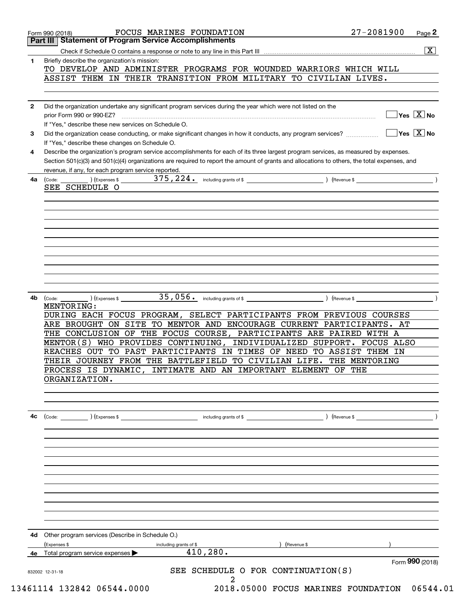|     | Part III   Statement of Program Service Accomplishments                                                                                      |               |                                           |
|-----|----------------------------------------------------------------------------------------------------------------------------------------------|---------------|-------------------------------------------|
|     |                                                                                                                                              |               | $ \overline{\mathbf{X}} $                 |
| 1   | Briefly describe the organization's mission:                                                                                                 |               |                                           |
|     | TO DEVELOP AND ADMINISTER PROGRAMS FOR WOUNDED WARRIORS WHICH WILL                                                                           |               |                                           |
|     | ASSIST THEM IN THEIR TRANSITION FROM MILITARY TO CIVILIAN LIVES.                                                                             |               |                                           |
|     |                                                                                                                                              |               |                                           |
| 2   | Did the organization undertake any significant program services during the year which were not listed on the                                 |               |                                           |
|     | prior Form 990 or 990-EZ?                                                                                                                    |               | $\sqrt{\ }$ Yes $\sqrt{\ \text{X}}$ No    |
|     | If "Yes," describe these new services on Schedule O.                                                                                         |               |                                           |
| 3   | Did the organization cease conducting, or make significant changes in how it conducts, any program services?                                 |               | $\overline{\ }$ Yes $\overline{\ \ X}$ No |
|     | If "Yes," describe these changes on Schedule O.                                                                                              |               |                                           |
| 4   | Describe the organization's program service accomplishments for each of its three largest program services, as measured by expenses.         |               |                                           |
|     | Section 501(c)(3) and 501(c)(4) organizations are required to report the amount of grants and allocations to others, the total expenses, and |               |                                           |
|     | revenue, if any, for each program service reported.                                                                                          |               |                                           |
| 4a  | (Code: ) (Expenses \$<br>SEE SCHEDULE O                                                                                                      |               |                                           |
|     |                                                                                                                                              |               |                                           |
|     |                                                                                                                                              |               |                                           |
|     |                                                                                                                                              |               |                                           |
|     |                                                                                                                                              |               |                                           |
|     |                                                                                                                                              |               |                                           |
|     |                                                                                                                                              |               |                                           |
|     |                                                                                                                                              |               |                                           |
|     |                                                                                                                                              |               |                                           |
|     |                                                                                                                                              |               |                                           |
|     |                                                                                                                                              |               |                                           |
|     |                                                                                                                                              |               |                                           |
| 4b. | $(\text{Expenses }$ $\text{\$}$ $35,056$ $\text{\$}$ including grants of \$ $\text{\$}$ (Revenue \$<br>(Code:                                |               |                                           |
|     | MENTORING:                                                                                                                                   |               |                                           |
|     | DURING EACH FOCUS PROGRAM, SELECT PARTICIPANTS FROM PREVIOUS COURSES                                                                         |               |                                           |
|     | ARE BROUGHT ON SITE TO MENTOR AND ENCOURAGE CURRENT PARTICIPANTS. AT                                                                         |               |                                           |
|     | THE CONCLUSION OF THE FOCUS COURSE, PARTICIPANTS ARE PAIRED WITH A<br>MENTOR(S) WHO PROVIDES CONTINUING,                                     |               |                                           |
|     | INDIVIDUALIZED SUPPORT. FOCUS ALSO<br>REACHES OUT TO PAST PARTICIPANTS IN TIMES OF NEED TO ASSIST THEM IN                                    |               |                                           |
|     | THEIR JOURNEY FROM THE BATTLEFIELD TO CIVILIAN LIFE.                                                                                         | THE MENTORING |                                           |
|     | PROCESS IS DYNAMIC, INTIMATE AND AN IMPORTANT ELEMENT OF THE                                                                                 |               |                                           |
|     | ORGANIZATION.                                                                                                                                |               |                                           |
|     |                                                                                                                                              |               |                                           |
|     |                                                                                                                                              |               |                                           |
|     |                                                                                                                                              |               |                                           |
| 4с  | $\frac{1}{2}$ including grants of \$<br>$\left(\text{Code:} \right)$ $\left(\text{Expenses $}\right)$                                        |               |                                           |
|     |                                                                                                                                              |               |                                           |
|     |                                                                                                                                              |               |                                           |
|     |                                                                                                                                              |               |                                           |
|     |                                                                                                                                              |               |                                           |
|     |                                                                                                                                              |               |                                           |
|     |                                                                                                                                              |               |                                           |
|     |                                                                                                                                              |               |                                           |
|     |                                                                                                                                              |               |                                           |
|     |                                                                                                                                              |               |                                           |
|     |                                                                                                                                              |               |                                           |
|     |                                                                                                                                              |               |                                           |
|     |                                                                                                                                              |               |                                           |
| 4d  | Other program services (Describe in Schedule O.)<br>(Expenses \$<br>) (Revenue \$                                                            |               |                                           |
| 4e  | including grants of \$<br>410, 280.<br>Total program service expenses                                                                        |               |                                           |
|     |                                                                                                                                              |               | Form 990 (2018)                           |
|     |                                                                                                                                              |               |                                           |
|     | SEE SCHEDULE O FOR CONTINUATION(S)<br>832002 12-31-18                                                                                        |               |                                           |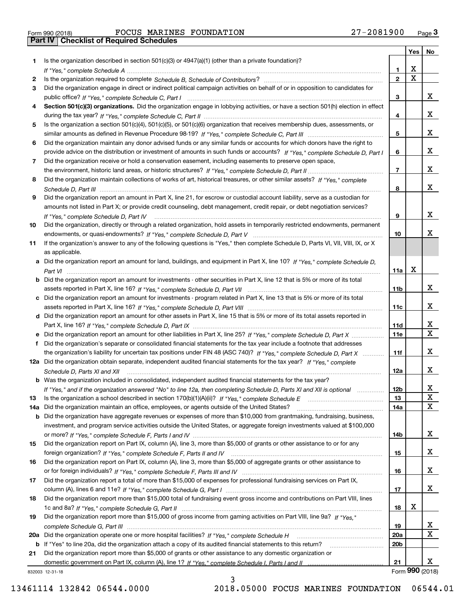|     |                                                                                                                                                                                                                                 |                 | Yes | No              |
|-----|---------------------------------------------------------------------------------------------------------------------------------------------------------------------------------------------------------------------------------|-----------------|-----|-----------------|
| 1   | Is the organization described in section $501(c)(3)$ or $4947(a)(1)$ (other than a private foundation)?                                                                                                                         |                 |     |                 |
|     |                                                                                                                                                                                                                                 | 1.              | х   |                 |
| 2   | Is the organization required to complete Schedule B, Schedule of Contributors? [11] Content of Content of Content of Contributors? [11] All of Contributors and Content of Content of the Organization required to complete th  | $\mathbf{2}$    | X   |                 |
| 3   | Did the organization engage in direct or indirect political campaign activities on behalf of or in opposition to candidates for                                                                                                 |                 |     |                 |
|     |                                                                                                                                                                                                                                 | 3               |     | x               |
| 4   | Section 501(c)(3) organizations. Did the organization engage in lobbying activities, or have a section 501(h) election in effect                                                                                                |                 |     |                 |
|     |                                                                                                                                                                                                                                 | 4               |     | x               |
| 5   | Is the organization a section 501(c)(4), 501(c)(5), or 501(c)(6) organization that receives membership dues, assessments, or                                                                                                    |                 |     |                 |
|     |                                                                                                                                                                                                                                 | 5               |     | x               |
| 6   | Did the organization maintain any donor advised funds or any similar funds or accounts for which donors have the right to                                                                                                       |                 |     | x               |
|     | provide advice on the distribution or investment of amounts in such funds or accounts? If "Yes," complete Schedule D, Part I                                                                                                    | 6               |     |                 |
| 7   | Did the organization receive or hold a conservation easement, including easements to preserve open space,                                                                                                                       | $\overline{7}$  |     | x               |
| 8   | Did the organization maintain collections of works of art, historical treasures, or other similar assets? If "Yes," complete                                                                                                    |                 |     |                 |
|     |                                                                                                                                                                                                                                 | 8               |     | x               |
| 9   | Did the organization report an amount in Part X, line 21, for escrow or custodial account liability, serve as a custodian for                                                                                                   |                 |     |                 |
|     | amounts not listed in Part X; or provide credit counseling, debt management, credit repair, or debt negotiation services?                                                                                                       |                 |     |                 |
|     |                                                                                                                                                                                                                                 | 9               |     | X               |
| 10  | Did the organization, directly or through a related organization, hold assets in temporarily restricted endowments, permanent                                                                                                   |                 |     |                 |
|     |                                                                                                                                                                                                                                 | 10              |     | х               |
| 11  | If the organization's answer to any of the following questions is "Yes," then complete Schedule D, Parts VI, VII, VIII, IX, or X                                                                                                |                 |     |                 |
|     | as applicable.                                                                                                                                                                                                                  |                 |     |                 |
|     | a Did the organization report an amount for land, buildings, and equipment in Part X, line 10? If "Yes," complete Schedule D.                                                                                                   |                 |     |                 |
|     |                                                                                                                                                                                                                                 | 11a             | х   |                 |
|     | <b>b</b> Did the organization report an amount for investments - other securities in Part X, line 12 that is 5% or more of its total                                                                                            |                 |     |                 |
|     |                                                                                                                                                                                                                                 | 11b             |     | x               |
|     | c Did the organization report an amount for investments - program related in Part X, line 13 that is 5% or more of its total                                                                                                    |                 |     |                 |
|     |                                                                                                                                                                                                                                 | 11c             |     | x               |
|     | d Did the organization report an amount for other assets in Part X, line 15 that is 5% or more of its total assets reported in                                                                                                  |                 |     |                 |
|     |                                                                                                                                                                                                                                 | 11d             |     | x               |
|     |                                                                                                                                                                                                                                 | <b>11e</b>      |     | $\mathbf X$     |
| f   | Did the organization's separate or consolidated financial statements for the tax year include a footnote that addresses                                                                                                         |                 |     |                 |
|     | the organization's liability for uncertain tax positions under FIN 48 (ASC 740)? If "Yes," complete Schedule D, Part X                                                                                                          | 11f             |     | x               |
|     | 12a Did the organization obtain separate, independent audited financial statements for the tax year? If "Yes," complete                                                                                                         |                 |     |                 |
|     | Schedule D, Parts XI and XII                                                                                                                                                                                                    | 12a             |     | x               |
|     | <b>b</b> Was the organization included in consolidated, independent audited financial statements for the tax year?                                                                                                              |                 |     |                 |
|     | If "Yes," and if the organization answered "No" to line 12a, then completing Schedule D, Parts XI and XII is optional                                                                                                           | 12 <sub>b</sub> |     | Χ<br>X          |
| 13  |                                                                                                                                                                                                                                 | 13              |     | X               |
| 14a | Did the organization maintain an office, employees, or agents outside of the United States?<br><b>b</b> Did the organization have aggregate revenues or expenses of more than \$10,000 from grantmaking, fundraising, business, | 14a             |     |                 |
|     | investment, and program service activities outside the United States, or aggregate foreign investments valued at \$100,000                                                                                                      |                 |     |                 |
|     |                                                                                                                                                                                                                                 | 14b             |     | х               |
| 15  | Did the organization report on Part IX, column (A), line 3, more than \$5,000 of grants or other assistance to or for any                                                                                                       |                 |     |                 |
|     |                                                                                                                                                                                                                                 | 15              |     | х               |
| 16  | Did the organization report on Part IX, column (A), line 3, more than \$5,000 of aggregate grants or other assistance to                                                                                                        |                 |     |                 |
|     |                                                                                                                                                                                                                                 | 16              |     | x               |
| 17  | Did the organization report a total of more than \$15,000 of expenses for professional fundraising services on Part IX,                                                                                                         |                 |     |                 |
|     |                                                                                                                                                                                                                                 | 17              |     | x               |
| 18  | Did the organization report more than \$15,000 total of fundraising event gross income and contributions on Part VIII, lines                                                                                                    |                 |     |                 |
|     |                                                                                                                                                                                                                                 | 18              | х   |                 |
| 19  | Did the organization report more than \$15,000 of gross income from gaming activities on Part VIII, line 9a? If "Yes."                                                                                                          |                 |     |                 |
|     |                                                                                                                                                                                                                                 | 19              |     | X               |
|     | 20a Did the organization operate one or more hospital facilities? If "Yes," complete Schedule H                                                                                                                                 | 20a             |     | $\mathbf x$     |
|     | b If "Yes" to line 20a, did the organization attach a copy of its audited financial statements to this return?                                                                                                                  | 20 <sub>b</sub> |     |                 |
| 21  | Did the organization report more than \$5,000 of grants or other assistance to any domestic organization or                                                                                                                     |                 |     |                 |
|     |                                                                                                                                                                                                                                 | 21              |     | x               |
|     | 332003 12-31-18                                                                                                                                                                                                                 |                 |     | Form 990 (2018) |

832003 12-31-18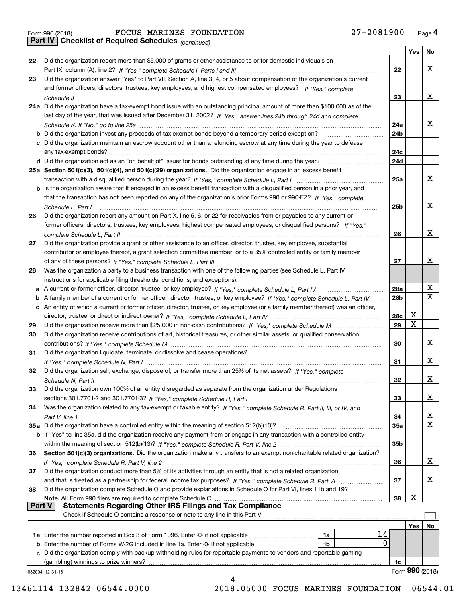| Form 990 (2018) |  |  |
|-----------------|--|--|

*(continued)*

|               |                                                                                                                                   |     | Yes | No              |
|---------------|-----------------------------------------------------------------------------------------------------------------------------------|-----|-----|-----------------|
| 22            | Did the organization report more than \$5,000 of grants or other assistance to or for domestic individuals on                     |     |     |                 |
|               |                                                                                                                                   | 22  |     | х               |
| 23            | Did the organization answer "Yes" to Part VII, Section A, line 3, 4, or 5 about compensation of the organization's current        |     |     |                 |
|               | and former officers, directors, trustees, key employees, and highest compensated employees? If "Yes," complete                    |     |     |                 |
|               |                                                                                                                                   | 23  |     | х               |
|               | 24a Did the organization have a tax-exempt bond issue with an outstanding principal amount of more than \$100,000 as of the       |     |     |                 |
|               | last day of the year, that was issued after December 31, 2002? If "Yes," answer lines 24b through 24d and complete                |     |     |                 |
|               |                                                                                                                                   | 24a |     | x               |
|               | b Did the organization invest any proceeds of tax-exempt bonds beyond a temporary period exception?                               | 24b |     |                 |
|               | c Did the organization maintain an escrow account other than a refunding escrow at any time during the year to defease            |     |     |                 |
|               | any tax-exempt bonds?                                                                                                             | 24c |     |                 |
|               |                                                                                                                                   | 24d |     |                 |
|               | 25a Section 501(c)(3), 501(c)(4), and 501(c)(29) organizations. Did the organization engage in an excess benefit                  |     |     |                 |
|               |                                                                                                                                   | 25a |     | x               |
|               | b Is the organization aware that it engaged in an excess benefit transaction with a disqualified person in a prior year, and      |     |     |                 |
|               | that the transaction has not been reported on any of the organization's prior Forms 990 or 990-EZ? If "Yes," complete             |     |     |                 |
|               | Schedule L. Part I                                                                                                                | 25b |     | х               |
| 26            | Did the organization report any amount on Part X, line 5, 6, or 22 for receivables from or payables to any current or             |     |     |                 |
|               | former officers, directors, trustees, key employees, highest compensated employees, or disqualified persons? If "Yes."            |     |     |                 |
|               | complete Schedule L, Part II (2000) complete Schedule L, Part II (2000) complete Schedule L, Part II                              | 26  |     | х               |
| 27            | Did the organization provide a grant or other assistance to an officer, director, trustee, key employee, substantial              |     |     |                 |
|               | contributor or employee thereof, a grant selection committee member, or to a 35% controlled entity or family member               |     |     |                 |
|               |                                                                                                                                   | 27  |     | x               |
| 28            | Was the organization a party to a business transaction with one of the following parties (see Schedule L, Part IV                 |     |     |                 |
|               | instructions for applicable filing thresholds, conditions, and exceptions):                                                       |     |     |                 |
|               | a A current or former officer, director, trustee, or key employee? If "Yes," complete Schedule L, Part IV                         | 28a |     | х               |
|               | b A family member of a current or former officer, director, trustee, or key employee? If "Yes," complete Schedule L, Part IV      | 28b |     | $\mathbf x$     |
|               | c An entity of which a current or former officer, director, trustee, or key employee (or a family member thereof) was an officer, |     |     |                 |
|               |                                                                                                                                   | 28c | X   |                 |
| 29            |                                                                                                                                   | 29  | Χ   |                 |
| 30            | Did the organization receive contributions of art, historical treasures, or other similar assets, or qualified conservation       |     |     |                 |
|               |                                                                                                                                   | 30  |     | х               |
| 31            | Did the organization liquidate, terminate, or dissolve and cease operations?                                                      |     |     |                 |
|               |                                                                                                                                   | 31  |     | х               |
| 32            | Did the organization sell, exchange, dispose of, or transfer more than 25% of its net assets? If "Yes," complete                  |     |     |                 |
|               |                                                                                                                                   | 32  |     | х               |
| 33            | Did the organization own 100% of an entity disregarded as separate from the organization under Regulations                        |     |     |                 |
|               |                                                                                                                                   | 33  |     | х               |
| 34            | Was the organization related to any tax-exempt or taxable entity? If "Yes," complete Schedule R, Part II, III, or IV, and         |     |     |                 |
|               |                                                                                                                                   | 34  |     | x               |
|               | 35a Did the organization have a controlled entity within the meaning of section 512(b)(13)?                                       | 35a |     | х               |
|               | b If "Yes" to line 35a, did the organization receive any payment from or engage in any transaction with a controlled entity       |     |     |                 |
|               |                                                                                                                                   | 35b |     |                 |
| 36            | Section 501(c)(3) organizations. Did the organization make any transfers to an exempt non-charitable related organization?        |     |     |                 |
|               |                                                                                                                                   | 36  |     | х               |
| 37            | Did the organization conduct more than 5% of its activities through an entity that is not a related organization                  |     |     |                 |
|               |                                                                                                                                   | 37  |     | х               |
| 38            | Did the organization complete Schedule O and provide explanations in Schedule O for Part VI, lines 11b and 19?                    |     |     |                 |
|               | Note. All Form 990 filers are required to complete Schedule O                                                                     | 38  | х   |                 |
| <b>Part V</b> | <b>Statements Regarding Other IRS Filings and Tax Compliance</b>                                                                  |     |     |                 |
|               | Check if Schedule O contains a response or note to any line in this Part V                                                        |     |     |                 |
|               |                                                                                                                                   |     | Yes | No              |
|               | 14<br><b>1a</b> Enter the number reported in Box 3 of Form 1096. Enter -0- if not applicable <i>manumumumum</i><br>1a             |     |     |                 |
|               | 0<br><b>b</b> Enter the number of Forms W-2G included in line 1a. Enter -0- if not applicable<br>1b                               |     |     |                 |
|               | c Did the organization comply with backup withholding rules for reportable payments to vendors and reportable gaming              |     |     |                 |
|               | (gambling) winnings to prize winners?                                                                                             | 1c  |     |                 |
|               | 832004 12-31-18                                                                                                                   |     |     | Form 990 (2018) |
|               |                                                                                                                                   |     |     |                 |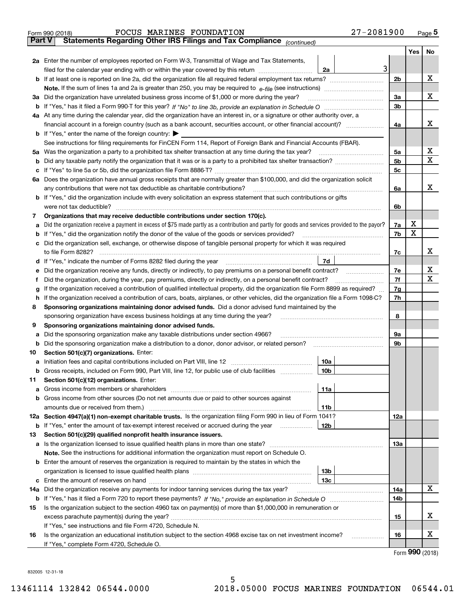|               | 27-2081900<br>FOCUS MARINES FOUNDATION<br>Form 990 (2018)                                                                                       |     |     | $Page$ <sup>5</sup> |  |  |  |  |  |  |
|---------------|-------------------------------------------------------------------------------------------------------------------------------------------------|-----|-----|---------------------|--|--|--|--|--|--|
| <b>Part V</b> | Statements Regarding Other IRS Filings and Tax Compliance (continued)                                                                           |     |     |                     |  |  |  |  |  |  |
|               |                                                                                                                                                 |     | Yes | No                  |  |  |  |  |  |  |
|               | 2a Enter the number of employees reported on Form W-3, Transmittal of Wage and Tax Statements,                                                  |     |     |                     |  |  |  |  |  |  |
|               | 3<br>filed for the calendar year ending with or within the year covered by this return <i>manumumumum</i><br>2a                                 |     |     |                     |  |  |  |  |  |  |
|               |                                                                                                                                                 | 2b  |     | х                   |  |  |  |  |  |  |
|               |                                                                                                                                                 |     |     |                     |  |  |  |  |  |  |
| За            | Did the organization have unrelated business gross income of \$1,000 or more during the year?                                                   | За  |     | х                   |  |  |  |  |  |  |
|               |                                                                                                                                                 | 3b  |     |                     |  |  |  |  |  |  |
|               | 4a At any time during the calendar year, did the organization have an interest in, or a signature or other authority over, a                    |     |     |                     |  |  |  |  |  |  |
|               |                                                                                                                                                 | 4a  |     | x                   |  |  |  |  |  |  |
|               | <b>b</b> If "Yes," enter the name of the foreign country: $\blacktriangleright$                                                                 |     |     |                     |  |  |  |  |  |  |
|               | See instructions for filing requirements for FinCEN Form 114, Report of Foreign Bank and Financial Accounts (FBAR).                             |     |     |                     |  |  |  |  |  |  |
|               |                                                                                                                                                 | 5a  |     | х                   |  |  |  |  |  |  |
|               |                                                                                                                                                 | 5b  |     | х                   |  |  |  |  |  |  |
|               |                                                                                                                                                 | 5c  |     |                     |  |  |  |  |  |  |
|               | 6a Does the organization have annual gross receipts that are normally greater than \$100,000, and did the organization solicit                  |     |     |                     |  |  |  |  |  |  |
|               |                                                                                                                                                 | 6a  |     | х                   |  |  |  |  |  |  |
|               | <b>b</b> If "Yes," did the organization include with every solicitation an express statement that such contributions or gifts                   |     |     |                     |  |  |  |  |  |  |
|               |                                                                                                                                                 | 6b  |     |                     |  |  |  |  |  |  |
| 7             | Organizations that may receive deductible contributions under section 170(c).                                                                   |     |     |                     |  |  |  |  |  |  |
| а             | Did the organization receive a payment in excess of \$75 made partly as a contribution and partly for goods and services provided to the payor? | 7a  | х   |                     |  |  |  |  |  |  |
|               | <b>b</b> If "Yes," did the organization notify the donor of the value of the goods or services provided?                                        | 7b  | х   |                     |  |  |  |  |  |  |
|               | c Did the organization sell, exchange, or otherwise dispose of tangible personal property for which it was required                             |     |     |                     |  |  |  |  |  |  |
|               |                                                                                                                                                 | 7c  |     | x                   |  |  |  |  |  |  |
|               | 7d                                                                                                                                              |     |     |                     |  |  |  |  |  |  |
| е             | Did the organization receive any funds, directly or indirectly, to pay premiums on a personal benefit contract?                                 | 7e  |     | х                   |  |  |  |  |  |  |
| f             | Did the organization, during the year, pay premiums, directly or indirectly, on a personal benefit contract?                                    | 7f  |     | X                   |  |  |  |  |  |  |
| g             | If the organization received a contribution of qualified intellectual property, did the organization file Form 8899 as required?                | 7g  |     |                     |  |  |  |  |  |  |
| h.            | If the organization received a contribution of cars, boats, airplanes, or other vehicles, did the organization file a Form 1098-C?              |     |     |                     |  |  |  |  |  |  |
| 8             | Sponsoring organizations maintaining donor advised funds. Did a donor advised fund maintained by the                                            |     |     |                     |  |  |  |  |  |  |
|               | sponsoring organization have excess business holdings at any time during the year?                                                              | 8   |     |                     |  |  |  |  |  |  |
| 9             | Sponsoring organizations maintaining donor advised funds.                                                                                       |     |     |                     |  |  |  |  |  |  |
| а             | Did the sponsoring organization make any taxable distributions under section 4966?                                                              | 9а  |     |                     |  |  |  |  |  |  |
|               | <b>b</b> Did the sponsoring organization make a distribution to a donor, donor advisor, or related person?                                      | 9b  |     |                     |  |  |  |  |  |  |
| 10            | Section 501(c)(7) organizations. Enter:                                                                                                         |     |     |                     |  |  |  |  |  |  |
|               | 10a                                                                                                                                             |     |     |                     |  |  |  |  |  |  |
|               | 10 <sub>b</sub><br>Gross receipts, included on Form 990, Part VIII, line 12, for public use of club facilities                                  |     |     |                     |  |  |  |  |  |  |
| 11            | Section 501(c)(12) organizations. Enter:                                                                                                        |     |     |                     |  |  |  |  |  |  |
|               | 11a                                                                                                                                             |     |     |                     |  |  |  |  |  |  |
|               | b Gross income from other sources (Do not net amounts due or paid to other sources against                                                      |     |     |                     |  |  |  |  |  |  |
|               | 11b                                                                                                                                             |     |     |                     |  |  |  |  |  |  |
|               | 12a Section 4947(a)(1) non-exempt charitable trusts. Is the organization filing Form 990 in lieu of Form 1041?                                  | 12a |     |                     |  |  |  |  |  |  |
|               | 12b<br><b>b</b> If "Yes," enter the amount of tax-exempt interest received or accrued during the year <i>manument</i>                           |     |     |                     |  |  |  |  |  |  |
| 13            | Section 501(c)(29) qualified nonprofit health insurance issuers.                                                                                |     |     |                     |  |  |  |  |  |  |
|               | <b>a</b> Is the organization licensed to issue qualified health plans in more than one state?                                                   | 13а |     |                     |  |  |  |  |  |  |
|               | Note. See the instructions for additional information the organization must report on Schedule O.                                               |     |     |                     |  |  |  |  |  |  |
|               | <b>b</b> Enter the amount of reserves the organization is required to maintain by the states in which the                                       |     |     |                     |  |  |  |  |  |  |
|               | 13b                                                                                                                                             |     |     |                     |  |  |  |  |  |  |
|               | 13с                                                                                                                                             |     |     |                     |  |  |  |  |  |  |
| 14a           | Did the organization receive any payments for indoor tanning services during the tax year?                                                      | 14a |     | х                   |  |  |  |  |  |  |
|               |                                                                                                                                                 | 14b |     |                     |  |  |  |  |  |  |
| 15            | Is the organization subject to the section 4960 tax on payment(s) of more than \$1,000,000 in remuneration or                                   |     |     |                     |  |  |  |  |  |  |
|               |                                                                                                                                                 | 15  |     | X                   |  |  |  |  |  |  |
|               | If "Yes," see instructions and file Form 4720, Schedule N.                                                                                      |     |     |                     |  |  |  |  |  |  |
| 16            | Is the organization an educational institution subject to the section 4968 excise tax on net investment income?                                 | 16  |     | X                   |  |  |  |  |  |  |
|               | If "Yes," complete Form 4720, Schedule O.                                                                                                       |     |     |                     |  |  |  |  |  |  |
|               |                                                                                                                                                 |     |     | $000 \; \text{m}$   |  |  |  |  |  |  |

Form (2018) **990**

832005 12-31-18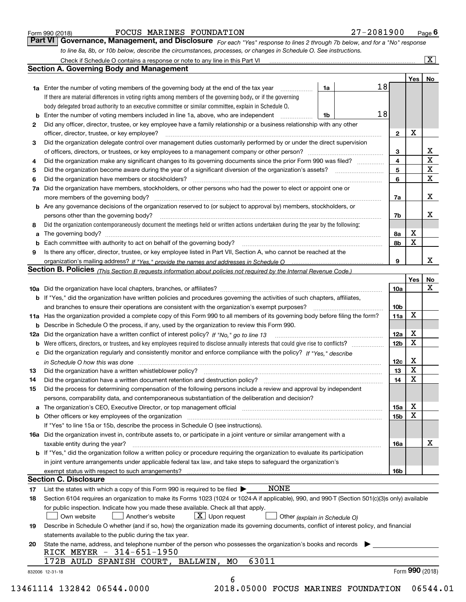|  | Form 990 (2018) |  |
|--|-----------------|--|
|  |                 |  |

#### FOCUS MARINES FOUNDATION 27-2081900

*For each "Yes" response to lines 2 through 7b below, and for a "No" response to line 8a, 8b, or 10b below, describe the circumstances, processes, or changes in Schedule O. See instructions.* Form 990 (2018) **Form 990 (2018)** Form 990 (2018) **Page 6**<br>**Part VI Governance, Management, and Disclosure** For each "Yes" response to lines 2 through 7b below, and for a "No" response

| 2<br>3<br>4<br>5<br>6<br>7a<br>8<br>a<br>9<br>b<br>13<br>14 | <b>1a</b> Enter the number of voting members of the governing body at the end of the tax year<br>.<br>If there are material differences in voting rights among members of the governing body, or if the governing<br>body delegated broad authority to an executive committee or similar committee, explain in Schedule O.<br><b>b</b> Enter the number of voting members included in line 1a, above, who are independent<br>Did any officer, director, trustee, or key employee have a family relationship or a business relationship with any other<br>officer, director, trustee, or key employee?<br>Did the organization delegate control over management duties customarily performed by or under the direct supervision<br>Did the organization make any significant changes to its governing documents since the prior Form 990 was filed?<br>Did the organization have members, stockholders, or other persons who had the power to elect or appoint one or<br><b>b</b> Are any governance decisions of the organization reserved to (or subject to approval by) members, stockholders, or<br>persons other than the governing body?<br>Did the organization contemporaneously document the meetings held or written actions undertaken during the year by the following:<br>Is there any officer, director, trustee, or key employee listed in Part VII, Section A, who cannot be reached at the<br>Section B. Policies (This Section B requests information about policies not required by the Internal Revenue Code.)<br><b>b</b> If "Yes," did the organization have written policies and procedures governing the activities of such chapters, affiliates,<br>11a Has the organization provided a complete copy of this Form 990 to all members of its governing body before filing the form? | 1a<br>1b                      | 18<br>18<br>$\overline{2}$<br>3<br>4<br>5<br>6<br>7a<br>7b<br>8а<br>8b<br>9<br>10a | Yes   No<br>X<br>Х<br>$\mathbf x$ | х<br>$\overline{\mathbf{x}}$<br>$\overline{\mathbf{x}}$<br>$\overline{\mathbf{x}}$<br>x<br>х<br>x |
|-------------------------------------------------------------|-------------------------------------------------------------------------------------------------------------------------------------------------------------------------------------------------------------------------------------------------------------------------------------------------------------------------------------------------------------------------------------------------------------------------------------------------------------------------------------------------------------------------------------------------------------------------------------------------------------------------------------------------------------------------------------------------------------------------------------------------------------------------------------------------------------------------------------------------------------------------------------------------------------------------------------------------------------------------------------------------------------------------------------------------------------------------------------------------------------------------------------------------------------------------------------------------------------------------------------------------------------------------------------------------------------------------------------------------------------------------------------------------------------------------------------------------------------------------------------------------------------------------------------------------------------------------------------------------------------------------------------------------------------------------------------------------------------------------------------------------------------------------------------------------------------|-------------------------------|------------------------------------------------------------------------------------|-----------------------------------|---------------------------------------------------------------------------------------------------|
|                                                             |                                                                                                                                                                                                                                                                                                                                                                                                                                                                                                                                                                                                                                                                                                                                                                                                                                                                                                                                                                                                                                                                                                                                                                                                                                                                                                                                                                                                                                                                                                                                                                                                                                                                                                                                                                                                             |                               |                                                                                    |                                   |                                                                                                   |
|                                                             |                                                                                                                                                                                                                                                                                                                                                                                                                                                                                                                                                                                                                                                                                                                                                                                                                                                                                                                                                                                                                                                                                                                                                                                                                                                                                                                                                                                                                                                                                                                                                                                                                                                                                                                                                                                                             |                               |                                                                                    |                                   |                                                                                                   |
|                                                             |                                                                                                                                                                                                                                                                                                                                                                                                                                                                                                                                                                                                                                                                                                                                                                                                                                                                                                                                                                                                                                                                                                                                                                                                                                                                                                                                                                                                                                                                                                                                                                                                                                                                                                                                                                                                             |                               |                                                                                    |                                   |                                                                                                   |
|                                                             |                                                                                                                                                                                                                                                                                                                                                                                                                                                                                                                                                                                                                                                                                                                                                                                                                                                                                                                                                                                                                                                                                                                                                                                                                                                                                                                                                                                                                                                                                                                                                                                                                                                                                                                                                                                                             |                               |                                                                                    |                                   |                                                                                                   |
|                                                             |                                                                                                                                                                                                                                                                                                                                                                                                                                                                                                                                                                                                                                                                                                                                                                                                                                                                                                                                                                                                                                                                                                                                                                                                                                                                                                                                                                                                                                                                                                                                                                                                                                                                                                                                                                                                             |                               |                                                                                    |                                   |                                                                                                   |
|                                                             |                                                                                                                                                                                                                                                                                                                                                                                                                                                                                                                                                                                                                                                                                                                                                                                                                                                                                                                                                                                                                                                                                                                                                                                                                                                                                                                                                                                                                                                                                                                                                                                                                                                                                                                                                                                                             |                               |                                                                                    |                                   |                                                                                                   |
|                                                             |                                                                                                                                                                                                                                                                                                                                                                                                                                                                                                                                                                                                                                                                                                                                                                                                                                                                                                                                                                                                                                                                                                                                                                                                                                                                                                                                                                                                                                                                                                                                                                                                                                                                                                                                                                                                             |                               |                                                                                    |                                   |                                                                                                   |
|                                                             |                                                                                                                                                                                                                                                                                                                                                                                                                                                                                                                                                                                                                                                                                                                                                                                                                                                                                                                                                                                                                                                                                                                                                                                                                                                                                                                                                                                                                                                                                                                                                                                                                                                                                                                                                                                                             |                               |                                                                                    |                                   |                                                                                                   |
|                                                             |                                                                                                                                                                                                                                                                                                                                                                                                                                                                                                                                                                                                                                                                                                                                                                                                                                                                                                                                                                                                                                                                                                                                                                                                                                                                                                                                                                                                                                                                                                                                                                                                                                                                                                                                                                                                             |                               |                                                                                    |                                   |                                                                                                   |
|                                                             |                                                                                                                                                                                                                                                                                                                                                                                                                                                                                                                                                                                                                                                                                                                                                                                                                                                                                                                                                                                                                                                                                                                                                                                                                                                                                                                                                                                                                                                                                                                                                                                                                                                                                                                                                                                                             |                               |                                                                                    |                                   |                                                                                                   |
|                                                             |                                                                                                                                                                                                                                                                                                                                                                                                                                                                                                                                                                                                                                                                                                                                                                                                                                                                                                                                                                                                                                                                                                                                                                                                                                                                                                                                                                                                                                                                                                                                                                                                                                                                                                                                                                                                             |                               |                                                                                    |                                   |                                                                                                   |
|                                                             |                                                                                                                                                                                                                                                                                                                                                                                                                                                                                                                                                                                                                                                                                                                                                                                                                                                                                                                                                                                                                                                                                                                                                                                                                                                                                                                                                                                                                                                                                                                                                                                                                                                                                                                                                                                                             |                               |                                                                                    |                                   |                                                                                                   |
|                                                             |                                                                                                                                                                                                                                                                                                                                                                                                                                                                                                                                                                                                                                                                                                                                                                                                                                                                                                                                                                                                                                                                                                                                                                                                                                                                                                                                                                                                                                                                                                                                                                                                                                                                                                                                                                                                             |                               |                                                                                    |                                   |                                                                                                   |
|                                                             |                                                                                                                                                                                                                                                                                                                                                                                                                                                                                                                                                                                                                                                                                                                                                                                                                                                                                                                                                                                                                                                                                                                                                                                                                                                                                                                                                                                                                                                                                                                                                                                                                                                                                                                                                                                                             |                               |                                                                                    |                                   |                                                                                                   |
|                                                             |                                                                                                                                                                                                                                                                                                                                                                                                                                                                                                                                                                                                                                                                                                                                                                                                                                                                                                                                                                                                                                                                                                                                                                                                                                                                                                                                                                                                                                                                                                                                                                                                                                                                                                                                                                                                             |                               |                                                                                    |                                   |                                                                                                   |
|                                                             |                                                                                                                                                                                                                                                                                                                                                                                                                                                                                                                                                                                                                                                                                                                                                                                                                                                                                                                                                                                                                                                                                                                                                                                                                                                                                                                                                                                                                                                                                                                                                                                                                                                                                                                                                                                                             |                               |                                                                                    |                                   |                                                                                                   |
|                                                             |                                                                                                                                                                                                                                                                                                                                                                                                                                                                                                                                                                                                                                                                                                                                                                                                                                                                                                                                                                                                                                                                                                                                                                                                                                                                                                                                                                                                                                                                                                                                                                                                                                                                                                                                                                                                             |                               |                                                                                    |                                   |                                                                                                   |
|                                                             |                                                                                                                                                                                                                                                                                                                                                                                                                                                                                                                                                                                                                                                                                                                                                                                                                                                                                                                                                                                                                                                                                                                                                                                                                                                                                                                                                                                                                                                                                                                                                                                                                                                                                                                                                                                                             |                               |                                                                                    |                                   |                                                                                                   |
|                                                             |                                                                                                                                                                                                                                                                                                                                                                                                                                                                                                                                                                                                                                                                                                                                                                                                                                                                                                                                                                                                                                                                                                                                                                                                                                                                                                                                                                                                                                                                                                                                                                                                                                                                                                                                                                                                             |                               |                                                                                    |                                   |                                                                                                   |
|                                                             |                                                                                                                                                                                                                                                                                                                                                                                                                                                                                                                                                                                                                                                                                                                                                                                                                                                                                                                                                                                                                                                                                                                                                                                                                                                                                                                                                                                                                                                                                                                                                                                                                                                                                                                                                                                                             |                               |                                                                                    |                                   |                                                                                                   |
|                                                             |                                                                                                                                                                                                                                                                                                                                                                                                                                                                                                                                                                                                                                                                                                                                                                                                                                                                                                                                                                                                                                                                                                                                                                                                                                                                                                                                                                                                                                                                                                                                                                                                                                                                                                                                                                                                             |                               |                                                                                    |                                   |                                                                                                   |
|                                                             |                                                                                                                                                                                                                                                                                                                                                                                                                                                                                                                                                                                                                                                                                                                                                                                                                                                                                                                                                                                                                                                                                                                                                                                                                                                                                                                                                                                                                                                                                                                                                                                                                                                                                                                                                                                                             |                               |                                                                                    | Yes                               | <b>No</b>                                                                                         |
|                                                             |                                                                                                                                                                                                                                                                                                                                                                                                                                                                                                                                                                                                                                                                                                                                                                                                                                                                                                                                                                                                                                                                                                                                                                                                                                                                                                                                                                                                                                                                                                                                                                                                                                                                                                                                                                                                             |                               |                                                                                    |                                   | $\mathbf X$                                                                                       |
|                                                             |                                                                                                                                                                                                                                                                                                                                                                                                                                                                                                                                                                                                                                                                                                                                                                                                                                                                                                                                                                                                                                                                                                                                                                                                                                                                                                                                                                                                                                                                                                                                                                                                                                                                                                                                                                                                             |                               |                                                                                    |                                   |                                                                                                   |
|                                                             |                                                                                                                                                                                                                                                                                                                                                                                                                                                                                                                                                                                                                                                                                                                                                                                                                                                                                                                                                                                                                                                                                                                                                                                                                                                                                                                                                                                                                                                                                                                                                                                                                                                                                                                                                                                                             |                               | 10 <sub>b</sub>                                                                    |                                   |                                                                                                   |
|                                                             |                                                                                                                                                                                                                                                                                                                                                                                                                                                                                                                                                                                                                                                                                                                                                                                                                                                                                                                                                                                                                                                                                                                                                                                                                                                                                                                                                                                                                                                                                                                                                                                                                                                                                                                                                                                                             |                               | 11a                                                                                | $\mathbf X$                       |                                                                                                   |
|                                                             |                                                                                                                                                                                                                                                                                                                                                                                                                                                                                                                                                                                                                                                                                                                                                                                                                                                                                                                                                                                                                                                                                                                                                                                                                                                                                                                                                                                                                                                                                                                                                                                                                                                                                                                                                                                                             |                               |                                                                                    |                                   |                                                                                                   |
|                                                             | <b>b</b> Describe in Schedule O the process, if any, used by the organization to review this Form 990.                                                                                                                                                                                                                                                                                                                                                                                                                                                                                                                                                                                                                                                                                                                                                                                                                                                                                                                                                                                                                                                                                                                                                                                                                                                                                                                                                                                                                                                                                                                                                                                                                                                                                                      |                               | 12a                                                                                | х                                 |                                                                                                   |
|                                                             |                                                                                                                                                                                                                                                                                                                                                                                                                                                                                                                                                                                                                                                                                                                                                                                                                                                                                                                                                                                                                                                                                                                                                                                                                                                                                                                                                                                                                                                                                                                                                                                                                                                                                                                                                                                                             |                               |                                                                                    | $\mathbf X$                       |                                                                                                   |
|                                                             |                                                                                                                                                                                                                                                                                                                                                                                                                                                                                                                                                                                                                                                                                                                                                                                                                                                                                                                                                                                                                                                                                                                                                                                                                                                                                                                                                                                                                                                                                                                                                                                                                                                                                                                                                                                                             |                               | 12 <sub>b</sub>                                                                    |                                   |                                                                                                   |
|                                                             | c Did the organization regularly and consistently monitor and enforce compliance with the policy? If "Yes," describe                                                                                                                                                                                                                                                                                                                                                                                                                                                                                                                                                                                                                                                                                                                                                                                                                                                                                                                                                                                                                                                                                                                                                                                                                                                                                                                                                                                                                                                                                                                                                                                                                                                                                        |                               |                                                                                    | х                                 |                                                                                                   |
|                                                             | in Schedule O how this was done measured and contain an account of the state of the state of the state of the                                                                                                                                                                                                                                                                                                                                                                                                                                                                                                                                                                                                                                                                                                                                                                                                                                                                                                                                                                                                                                                                                                                                                                                                                                                                                                                                                                                                                                                                                                                                                                                                                                                                                               |                               | 12c                                                                                | $\mathbf X$                       |                                                                                                   |
|                                                             |                                                                                                                                                                                                                                                                                                                                                                                                                                                                                                                                                                                                                                                                                                                                                                                                                                                                                                                                                                                                                                                                                                                                                                                                                                                                                                                                                                                                                                                                                                                                                                                                                                                                                                                                                                                                             |                               | 13                                                                                 | $\overline{\mathbf{x}}$           |                                                                                                   |
|                                                             | Did the organization have a written document retention and destruction policy? manufactured and the organization have a written document retention and destruction policy?                                                                                                                                                                                                                                                                                                                                                                                                                                                                                                                                                                                                                                                                                                                                                                                                                                                                                                                                                                                                                                                                                                                                                                                                                                                                                                                                                                                                                                                                                                                                                                                                                                  |                               | 14                                                                                 |                                   |                                                                                                   |
| 15                                                          | Did the process for determining compensation of the following persons include a review and approval by independent                                                                                                                                                                                                                                                                                                                                                                                                                                                                                                                                                                                                                                                                                                                                                                                                                                                                                                                                                                                                                                                                                                                                                                                                                                                                                                                                                                                                                                                                                                                                                                                                                                                                                          |                               |                                                                                    |                                   |                                                                                                   |
|                                                             | persons, comparability data, and contemporaneous substantiation of the deliberation and decision?                                                                                                                                                                                                                                                                                                                                                                                                                                                                                                                                                                                                                                                                                                                                                                                                                                                                                                                                                                                                                                                                                                                                                                                                                                                                                                                                                                                                                                                                                                                                                                                                                                                                                                           |                               |                                                                                    | х                                 |                                                                                                   |
|                                                             |                                                                                                                                                                                                                                                                                                                                                                                                                                                                                                                                                                                                                                                                                                                                                                                                                                                                                                                                                                                                                                                                                                                                                                                                                                                                                                                                                                                                                                                                                                                                                                                                                                                                                                                                                                                                             |                               | 15a                                                                                | $\mathbf X$                       |                                                                                                   |
|                                                             | <b>b</b> Other officers or key employees of the organization                                                                                                                                                                                                                                                                                                                                                                                                                                                                                                                                                                                                                                                                                                                                                                                                                                                                                                                                                                                                                                                                                                                                                                                                                                                                                                                                                                                                                                                                                                                                                                                                                                                                                                                                                |                               | 15b                                                                                |                                   |                                                                                                   |
|                                                             | If "Yes" to line 15a or 15b, describe the process in Schedule O (see instructions).                                                                                                                                                                                                                                                                                                                                                                                                                                                                                                                                                                                                                                                                                                                                                                                                                                                                                                                                                                                                                                                                                                                                                                                                                                                                                                                                                                                                                                                                                                                                                                                                                                                                                                                         |                               |                                                                                    |                                   |                                                                                                   |
|                                                             | 16a Did the organization invest in, contribute assets to, or participate in a joint venture or similar arrangement with a                                                                                                                                                                                                                                                                                                                                                                                                                                                                                                                                                                                                                                                                                                                                                                                                                                                                                                                                                                                                                                                                                                                                                                                                                                                                                                                                                                                                                                                                                                                                                                                                                                                                                   |                               |                                                                                    |                                   | х                                                                                                 |
|                                                             | taxable entity during the year?                                                                                                                                                                                                                                                                                                                                                                                                                                                                                                                                                                                                                                                                                                                                                                                                                                                                                                                                                                                                                                                                                                                                                                                                                                                                                                                                                                                                                                                                                                                                                                                                                                                                                                                                                                             |                               | 16a                                                                                |                                   |                                                                                                   |
|                                                             | b If "Yes," did the organization follow a written policy or procedure requiring the organization to evaluate its participation                                                                                                                                                                                                                                                                                                                                                                                                                                                                                                                                                                                                                                                                                                                                                                                                                                                                                                                                                                                                                                                                                                                                                                                                                                                                                                                                                                                                                                                                                                                                                                                                                                                                              |                               |                                                                                    |                                   |                                                                                                   |
|                                                             | in joint venture arrangements under applicable federal tax law, and take steps to safequard the organization's                                                                                                                                                                                                                                                                                                                                                                                                                                                                                                                                                                                                                                                                                                                                                                                                                                                                                                                                                                                                                                                                                                                                                                                                                                                                                                                                                                                                                                                                                                                                                                                                                                                                                              |                               |                                                                                    |                                   |                                                                                                   |
|                                                             | exempt status with respect to such arrangements?<br><b>Section C. Disclosure</b>                                                                                                                                                                                                                                                                                                                                                                                                                                                                                                                                                                                                                                                                                                                                                                                                                                                                                                                                                                                                                                                                                                                                                                                                                                                                                                                                                                                                                                                                                                                                                                                                                                                                                                                            |                               | 16 <sub>b</sub>                                                                    |                                   |                                                                                                   |
|                                                             | <b>NONE</b>                                                                                                                                                                                                                                                                                                                                                                                                                                                                                                                                                                                                                                                                                                                                                                                                                                                                                                                                                                                                                                                                                                                                                                                                                                                                                                                                                                                                                                                                                                                                                                                                                                                                                                                                                                                                 |                               |                                                                                    |                                   |                                                                                                   |
| 17                                                          | List the states with which a copy of this Form 990 is required to be filed $\blacktriangleright$                                                                                                                                                                                                                                                                                                                                                                                                                                                                                                                                                                                                                                                                                                                                                                                                                                                                                                                                                                                                                                                                                                                                                                                                                                                                                                                                                                                                                                                                                                                                                                                                                                                                                                            |                               |                                                                                    |                                   |                                                                                                   |
| 18                                                          | Section 6104 requires an organization to make its Forms 1023 (1024 or 1024-A if applicable), 990, and 990-T (Section 501(c)(3)s only) available                                                                                                                                                                                                                                                                                                                                                                                                                                                                                                                                                                                                                                                                                                                                                                                                                                                                                                                                                                                                                                                                                                                                                                                                                                                                                                                                                                                                                                                                                                                                                                                                                                                             |                               |                                                                                    |                                   |                                                                                                   |
|                                                             | for public inspection. Indicate how you made these available. Check all that apply.                                                                                                                                                                                                                                                                                                                                                                                                                                                                                                                                                                                                                                                                                                                                                                                                                                                                                                                                                                                                                                                                                                                                                                                                                                                                                                                                                                                                                                                                                                                                                                                                                                                                                                                         |                               |                                                                                    |                                   |                                                                                                   |
|                                                             | $X$ Upon request<br>Own website<br>Another's website                                                                                                                                                                                                                                                                                                                                                                                                                                                                                                                                                                                                                                                                                                                                                                                                                                                                                                                                                                                                                                                                                                                                                                                                                                                                                                                                                                                                                                                                                                                                                                                                                                                                                                                                                        | Other (explain in Schedule O) |                                                                                    |                                   |                                                                                                   |
| 19                                                          | Describe in Schedule O whether (and if so, how) the organization made its governing documents, conflict of interest policy, and financial                                                                                                                                                                                                                                                                                                                                                                                                                                                                                                                                                                                                                                                                                                                                                                                                                                                                                                                                                                                                                                                                                                                                                                                                                                                                                                                                                                                                                                                                                                                                                                                                                                                                   |                               |                                                                                    |                                   |                                                                                                   |
|                                                             | statements available to the public during the tax year.                                                                                                                                                                                                                                                                                                                                                                                                                                                                                                                                                                                                                                                                                                                                                                                                                                                                                                                                                                                                                                                                                                                                                                                                                                                                                                                                                                                                                                                                                                                                                                                                                                                                                                                                                     |                               |                                                                                    |                                   |                                                                                                   |
| 20                                                          | State the name, address, and telephone number of the person who possesses the organization's books and records                                                                                                                                                                                                                                                                                                                                                                                                                                                                                                                                                                                                                                                                                                                                                                                                                                                                                                                                                                                                                                                                                                                                                                                                                                                                                                                                                                                                                                                                                                                                                                                                                                                                                              |                               |                                                                                    |                                   |                                                                                                   |
|                                                             |                                                                                                                                                                                                                                                                                                                                                                                                                                                                                                                                                                                                                                                                                                                                                                                                                                                                                                                                                                                                                                                                                                                                                                                                                                                                                                                                                                                                                                                                                                                                                                                                                                                                                                                                                                                                             |                               |                                                                                    |                                   |                                                                                                   |
|                                                             | RICK MEYER - 314-651-1950<br>63011<br>172B AULD SPANISH COURT, BALLWIN, MO                                                                                                                                                                                                                                                                                                                                                                                                                                                                                                                                                                                                                                                                                                                                                                                                                                                                                                                                                                                                                                                                                                                                                                                                                                                                                                                                                                                                                                                                                                                                                                                                                                                                                                                                  |                               |                                                                                    |                                   |                                                                                                   |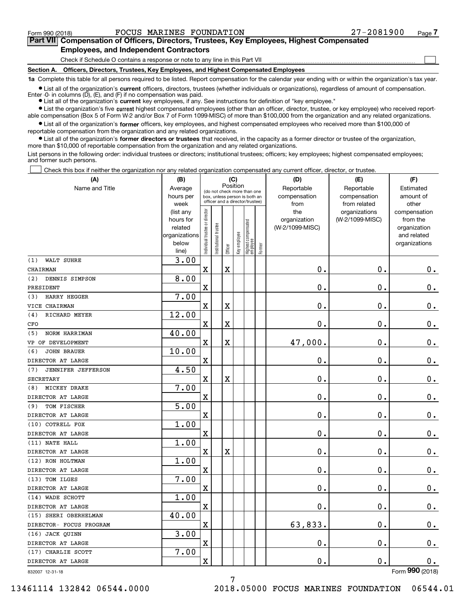**(A)**

 $\mathcal{L}^{\text{max}}$ 

# **7Part VII Compensation of Officers, Directors, Trustees, Key Employees, Highest Compensated Employees, and Independent Contractors**

Check if Schedule O contains a response or note to any line in this Part VII

**Section A. Officers, Directors, Trustees, Key Employees, and Highest Compensated Employees**

**1a**  Complete this table for all persons required to be listed. Report compensation for the calendar year ending with or within the organization's tax year.

**•** List all of the organization's current officers, directors, trustees (whether individuals or organizations), regardless of amount of compensation. Enter -0- in columns  $(D)$ ,  $(E)$ , and  $(F)$  if no compensation was paid.

● List all of the organization's **current** key employees, if any. See instructions for definition of "key employee."

**•** List the organization's five current highest compensated employees (other than an officer, director, trustee, or key employee) who received reportable compensation (Box 5 of Form W-2 and/or Box 7 of Form 1099-MISC) of more than \$100,000 from the organization and any related organizations.

 $\bullet$  List all of the organization's **former** officers, key employees, and highest compensated employees who received more than \$100,000 of reportable compensation from the organization and any related organizations.

**•** List all of the organization's former directors or trustees that received, in the capacity as a former director or trustee of the organization, more than \$10,000 of reportable compensation from the organization and any related organizations.

List persons in the following order: individual trustees or directors; institutional trustees; officers; key employees; highest compensated employees; and former such persons.

Check this box if neither the organization nor any related organization compensated any current officer, director, or trustee.  $\mathcal{L}^{\text{max}}$ 

| (A)                              | (B)                                                                  |                                |                       | (C)                     |              |                                                                                                 |        | (D)                                    | (E)                                        | (F)                                                                      |
|----------------------------------|----------------------------------------------------------------------|--------------------------------|-----------------------|-------------------------|--------------|-------------------------------------------------------------------------------------------------|--------|----------------------------------------|--------------------------------------------|--------------------------------------------------------------------------|
| Name and Title                   | Average<br>hours per<br>week                                         |                                |                       | Position                |              | (do not check more than one<br>box, unless person is both an<br>officer and a director/trustee) |        | Reportable<br>compensation<br>from     | Reportable<br>compensation<br>from related | Estimated<br>amount of<br>other                                          |
|                                  | (list any<br>hours for<br>related<br>organizations<br>below<br>line) | Individual trustee or director | Institutional trustee | Officer                 | Key employee | Highest compensated<br>  employee                                                               | Former | the<br>organization<br>(W-2/1099-MISC) | organizations<br>(W-2/1099-MISC)           | compensation<br>from the<br>organization<br>and related<br>organizations |
| WALT SUHRE<br>(1)                | 3.00                                                                 |                                |                       |                         |              |                                                                                                 |        |                                        |                                            |                                                                          |
| CHAIRMAN                         |                                                                      | X                              |                       | $\overline{\mathbf{X}}$ |              |                                                                                                 |        | 0.                                     | $\mathbf 0$ .                              | 0.                                                                       |
| (2)<br>DENNIS SIMPSON            | 8.00                                                                 |                                |                       |                         |              |                                                                                                 |        |                                        |                                            |                                                                          |
| PRESIDENT                        |                                                                      | $\mathbf X$                    |                       |                         |              |                                                                                                 |        | $\mathbf{0}$ .                         | $\mathbf 0$ .                              | 0.                                                                       |
| HARRY HEGGER<br>(3)              | 7.00                                                                 |                                |                       |                         |              |                                                                                                 |        |                                        |                                            |                                                                          |
| VICE CHAIRMAN                    |                                                                      | $\overline{\textbf{X}}$        |                       | $\overline{\textbf{X}}$ |              |                                                                                                 |        | 0.                                     | $\mathbf 0$ .                              | $\mathbf 0$ .                                                            |
| RICHARD MEYER<br>(4)             | 12.00                                                                |                                |                       |                         |              |                                                                                                 |        |                                        |                                            |                                                                          |
| CFO                              |                                                                      | $\mathbf x$                    |                       | X                       |              |                                                                                                 |        | $\mathbf 0$ .                          | $\mathbf 0$ .                              | $\mathbf 0$ .                                                            |
| (5)<br>NORM HARRIMAN             | 40.00                                                                |                                |                       |                         |              |                                                                                                 |        |                                        |                                            |                                                                          |
| VP OF DEVELOPMENT                |                                                                      | $\mathbf x$                    |                       | X                       |              |                                                                                                 |        | 47,000.                                | $\mathbf 0$ .                              | $\mathbf 0$ .                                                            |
| <b>JOHN BRAUER</b><br>(6)        | 10.00                                                                |                                |                       |                         |              |                                                                                                 |        |                                        |                                            |                                                                          |
| DIRECTOR AT LARGE                |                                                                      | $\mathbf X$                    |                       |                         |              |                                                                                                 |        | 0.                                     | $\mathbf 0$ .                              | $\mathbf 0$ .                                                            |
| <b>JENNIFER JEFFERSON</b><br>(7) | 4.50                                                                 |                                |                       |                         |              |                                                                                                 |        |                                        |                                            |                                                                          |
| <b>SECRETARY</b>                 |                                                                      | $\mathbf x$                    |                       | X                       |              |                                                                                                 |        | 0.                                     | $\mathbf 0$ .                              | 0.                                                                       |
| MICKEY DRAKE<br>(8)              | 7.00                                                                 |                                |                       |                         |              |                                                                                                 |        |                                        |                                            |                                                                          |
| DIRECTOR AT LARGE                |                                                                      | $\mathbf x$                    |                       |                         |              |                                                                                                 |        | 0.                                     | $\mathbf 0$ .                              | $\mathbf 0$ .                                                            |
| TOM FISCHER<br>(9)               | 5.00                                                                 |                                |                       |                         |              |                                                                                                 |        |                                        |                                            |                                                                          |
| DIRECTOR AT LARGE                |                                                                      | $\mathbf X$                    |                       |                         |              |                                                                                                 |        | 0.                                     | $\mathbf 0$ .                              | $\mathbf 0$ .                                                            |
| (10) COTRELL FOX                 | 1.00                                                                 |                                |                       |                         |              |                                                                                                 |        |                                        |                                            |                                                                          |
| DIRECTOR AT LARGE                |                                                                      | X                              |                       |                         |              |                                                                                                 |        | $\mathbf{0}$ .                         | $\mathbf 0$ .                              | $\mathbf 0$ .                                                            |
| (11) NATE HALL                   | 1.00                                                                 |                                |                       |                         |              |                                                                                                 |        |                                        |                                            |                                                                          |
| DIRECTOR AT LARGE                |                                                                      | $\mathbf X$                    |                       | $\overline{\text{X}}$   |              |                                                                                                 |        | 0.                                     | $\mathbf 0$ .                              | $0_{.}$                                                                  |
| (12) RON HOLTMAN                 | 1.00                                                                 |                                |                       |                         |              |                                                                                                 |        |                                        |                                            |                                                                          |
| DIRECTOR AT LARGE                |                                                                      | X                              |                       |                         |              |                                                                                                 |        | $\mathbf 0$ .                          | $\mathbf 0$ .                              | 0.                                                                       |
| (13) TOM ILGES                   | 7.00                                                                 |                                |                       |                         |              |                                                                                                 |        |                                        |                                            |                                                                          |
| DIRECTOR AT LARGE                |                                                                      | $\mathbf X$                    |                       |                         |              |                                                                                                 |        | 0.                                     | $\mathbf 0$ .                              | $\mathbf 0$ .                                                            |
| (14) WADE SCHOTT                 | 1.00                                                                 |                                |                       |                         |              |                                                                                                 |        |                                        |                                            |                                                                          |
| DIRECTOR AT LARGE                |                                                                      | $\overline{\text{X}}$          |                       |                         |              |                                                                                                 |        | 0.                                     | $\mathbf{0}$ .                             | $\mathbf 0$ .                                                            |
| (15) SHERI OBERHELMAN            | 40.00                                                                |                                |                       |                         |              |                                                                                                 |        |                                        |                                            |                                                                          |
| DIRECTOR- FOCUS PROGRAM          |                                                                      | $\mathbf X$                    |                       |                         |              |                                                                                                 |        | 63,833.                                | $\mathbf 0$ .                              | $\mathbf 0$ .                                                            |
| (16) JACK QUINN                  | 3.00                                                                 |                                |                       |                         |              |                                                                                                 |        |                                        |                                            |                                                                          |
| DIRECTOR AT LARGE                |                                                                      | $\mathbf X$                    |                       |                         |              |                                                                                                 |        | $\mathbf 0$ .                          | $\mathbf 0$ .                              | 0.                                                                       |
| (17) CHARLIE SCOTT               | 7.00                                                                 |                                |                       |                         |              |                                                                                                 |        |                                        |                                            |                                                                          |
| DIRECTOR AT LARGE                |                                                                      | X                              |                       |                         |              |                                                                                                 |        | 0.                                     | $\mathbf 0$ .                              | $0$ .                                                                    |
| 832007 12-31-18                  |                                                                      |                                |                       |                         |              |                                                                                                 |        |                                        |                                            | Form 990 (2018)                                                          |

832007 12-31-18

13461114 132842 06544.0000 2018.05000 FOCUS MARINES FOUNDATION 06544.01

7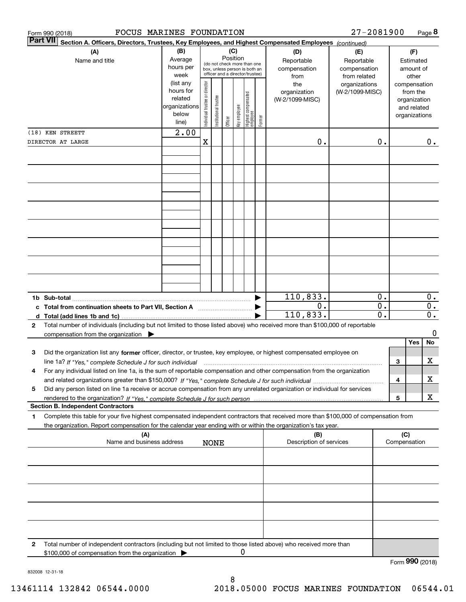|   | FOCUS MARINES FOUNDATION<br>Form 990 (2018)                                                                                                                                                                                                                         |                                                                              |                                |                       |          |              |                                                                        |        |                                                | 27-2081900                                       |                                                       |     |                                                                                   | Page 8                             |
|---|---------------------------------------------------------------------------------------------------------------------------------------------------------------------------------------------------------------------------------------------------------------------|------------------------------------------------------------------------------|--------------------------------|-----------------------|----------|--------------|------------------------------------------------------------------------|--------|------------------------------------------------|--------------------------------------------------|-------------------------------------------------------|-----|-----------------------------------------------------------------------------------|------------------------------------|
|   | <b>Part VII</b><br>Section A. Officers, Directors, Trustees, Key Employees, and Highest Compensated Employees (continued)                                                                                                                                           |                                                                              |                                |                       |          |              |                                                                        |        |                                                |                                                  |                                                       |     |                                                                                   |                                    |
|   | (A)<br>Name and title                                                                                                                                                                                                                                               | (B)<br>Average<br>hours per                                                  |                                |                       | Position | (C)          | (do not check more than one<br>box, unless person is both an           |        | (D)<br>Reportable<br>compensation              | (E)<br>Reportable<br>compensation                |                                                       |     | (F)<br>Estimated<br>amount of                                                     |                                    |
|   |                                                                                                                                                                                                                                                                     | week<br>(list any<br>hours for<br>related<br>organizations<br>below<br>line) | Individual trustee or director | Institutional trustee | Officer  | key employee | officer and a director/trustee)<br>  Highest compensated<br>  employee | Former | from<br>the<br>organization<br>(W-2/1099-MISC) | from related<br>organizations<br>(W-2/1099-MISC) |                                                       |     | other<br>compensation<br>from the<br>organization<br>and related<br>organizations |                                    |
|   | (18) KEN STREETT                                                                                                                                                                                                                                                    | 2.00                                                                         |                                |                       |          |              |                                                                        |        |                                                |                                                  |                                                       |     |                                                                                   |                                    |
|   | DIRECTOR AT LARGE                                                                                                                                                                                                                                                   |                                                                              | Χ                              |                       |          |              |                                                                        |        | 0.                                             |                                                  | 0.                                                    |     |                                                                                   | $0$ .                              |
|   |                                                                                                                                                                                                                                                                     |                                                                              |                                |                       |          |              |                                                                        |        |                                                |                                                  |                                                       |     |                                                                                   |                                    |
|   |                                                                                                                                                                                                                                                                     |                                                                              |                                |                       |          |              |                                                                        |        |                                                |                                                  |                                                       |     |                                                                                   |                                    |
|   |                                                                                                                                                                                                                                                                     |                                                                              |                                |                       |          |              |                                                                        |        |                                                |                                                  |                                                       |     |                                                                                   |                                    |
|   |                                                                                                                                                                                                                                                                     |                                                                              |                                |                       |          |              |                                                                        |        |                                                |                                                  |                                                       |     |                                                                                   |                                    |
|   |                                                                                                                                                                                                                                                                     |                                                                              |                                |                       |          |              |                                                                        |        |                                                |                                                  |                                                       |     |                                                                                   |                                    |
|   | c Total from continuation sheets to Part VII, Section A                                                                                                                                                                                                             |                                                                              |                                |                       |          |              |                                                                        |        | 110,833.<br>0.<br>110,833.                     |                                                  | 0.<br>$\overline{0}$ .<br>$\overline{\mathfrak{o}}$ . |     |                                                                                   | $0$ .<br>$0$ .<br>$\overline{0}$ . |
| 2 | Total number of individuals (including but not limited to those listed above) who received more than \$100,000 of reportable<br>compensation from the organization $\blacktriangleright$                                                                            |                                                                              |                                |                       |          |              |                                                                        |        |                                                |                                                  |                                                       |     |                                                                                   | 0                                  |
| 3 | Did the organization list any former officer, director, or trustee, key employee, or highest compensated employee on                                                                                                                                                |                                                                              |                                |                       |          |              |                                                                        |        |                                                |                                                  |                                                       |     | Yes                                                                               | No                                 |
| 4 | line 1a? If "Yes," complete Schedule J for such individual manufactured contained and the Ves," complete Schedule J for such individual<br>For any individual listed on line 1a, is the sum of reportable compensation and other compensation from the organization |                                                                              |                                |                       |          |              |                                                                        |        |                                                |                                                  |                                                       | 3   |                                                                                   | х                                  |
| 5 | Did any person listed on line 1a receive or accrue compensation from any unrelated organization or individual for services                                                                                                                                          |                                                                              |                                |                       |          |              |                                                                        |        |                                                |                                                  |                                                       | 4   |                                                                                   | х<br>X                             |
|   | <b>Section B. Independent Contractors</b>                                                                                                                                                                                                                           |                                                                              |                                |                       |          |              |                                                                        |        |                                                |                                                  |                                                       | 5   |                                                                                   |                                    |
| 1 | Complete this table for your five highest compensated independent contractors that received more than \$100,000 of compensation from<br>the organization. Report compensation for the calendar year ending with or within the organization's tax year.              |                                                                              |                                |                       |          |              |                                                                        |        |                                                |                                                  |                                                       |     |                                                                                   |                                    |
|   | (A)<br>Name and business address                                                                                                                                                                                                                                    |                                                                              |                                | <b>NONE</b>           |          |              |                                                                        |        | (B)<br>Description of services                 |                                                  |                                                       | (C) | Compensation                                                                      |                                    |
|   |                                                                                                                                                                                                                                                                     |                                                                              |                                |                       |          |              |                                                                        |        |                                                |                                                  |                                                       |     |                                                                                   |                                    |
|   |                                                                                                                                                                                                                                                                     |                                                                              |                                |                       |          |              |                                                                        |        |                                                |                                                  |                                                       |     |                                                                                   |                                    |
|   |                                                                                                                                                                                                                                                                     |                                                                              |                                |                       |          |              |                                                                        |        |                                                |                                                  |                                                       |     |                                                                                   |                                    |
| 2 | Total number of independent contractors (including but not limited to those listed above) who received more than<br>\$100,000 of compensation from the organization                                                                                                 |                                                                              |                                |                       |          |              | 0                                                                      |        |                                                |                                                  |                                                       |     |                                                                                   |                                    |
|   |                                                                                                                                                                                                                                                                     |                                                                              |                                |                       |          |              |                                                                        |        |                                                |                                                  |                                                       |     | Form 990 (2018)                                                                   |                                    |

832008 12-31-18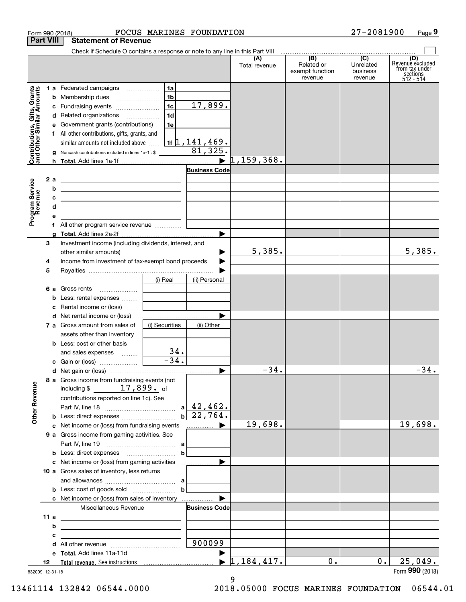| <b>Part VIII</b><br>Contributions, Gifts, Grants<br>and Other Similar Amounts<br>2 a<br>Program Service<br>Revenue<br>b<br>с<br>d<br>е<br>З<br>4<br>5<br><b>Other Revenue</b> |                                                                                                                        |                    | FOCUS MARINES FOUNDATION            |                                  |                                                                   | 27-2081900                       | Page 9                                                             |
|-------------------------------------------------------------------------------------------------------------------------------------------------------------------------------|------------------------------------------------------------------------------------------------------------------------|--------------------|-------------------------------------|----------------------------------|-------------------------------------------------------------------|----------------------------------|--------------------------------------------------------------------|
|                                                                                                                                                                               | <b>Statement of Revenue</b>                                                                                            |                    |                                     |                                  |                                                                   |                                  |                                                                    |
|                                                                                                                                                                               | Check if Schedule O contains a response or note to any line in this Part VIII                                          |                    |                                     |                                  | $\overline{ \qquad \qquad }$ (B) $\qquad \qquad \overline{)}$ (C) |                                  |                                                                    |
|                                                                                                                                                                               |                                                                                                                        |                    |                                     | (A)<br>Total revenue             | Related or<br>exempt function<br>revenue                          | Unrelated<br>business<br>revenue | (D)<br>Revenue excluded<br>from tax under<br>sections<br>512 - 514 |
|                                                                                                                                                                               | 1 a Federated campaigns                                                                                                | 1a                 |                                     |                                  |                                                                   |                                  |                                                                    |
|                                                                                                                                                                               | <b>b</b> Membership dues                                                                                               | 1 <sub>b</sub>     |                                     |                                  |                                                                   |                                  |                                                                    |
|                                                                                                                                                                               | c Fundraising events                                                                                                   | 1c                 | 17,899.                             |                                  |                                                                   |                                  |                                                                    |
|                                                                                                                                                                               | d Related organizations                                                                                                | 1d                 |                                     |                                  |                                                                   |                                  |                                                                    |
|                                                                                                                                                                               | e Government grants (contributions)                                                                                    | 1e                 |                                     |                                  |                                                                   |                                  |                                                                    |
|                                                                                                                                                                               | f All other contributions, gifts, grants, and                                                                          |                    |                                     |                                  |                                                                   |                                  |                                                                    |
|                                                                                                                                                                               | similar amounts not included above                                                                                     |                    | $1$ if $\sqrt{1}$ , $141$ , $469$ . |                                  |                                                                   |                                  |                                                                    |
|                                                                                                                                                                               | g Noncash contributions included in lines 1a-1f: \$                                                                    |                    | 81,325.                             |                                  |                                                                   |                                  |                                                                    |
|                                                                                                                                                                               |                                                                                                                        |                    | $\blacktriangleright$               | $1,159,368$ .                    |                                                                   |                                  |                                                                    |
|                                                                                                                                                                               |                                                                                                                        |                    | <b>Business Code</b>                |                                  |                                                                   |                                  |                                                                    |
|                                                                                                                                                                               | <u> 1989 - Johann Barn, fransk politik amerikansk politik (</u>                                                        |                    |                                     |                                  |                                                                   |                                  |                                                                    |
|                                                                                                                                                                               | <u> 1989 - Johann John Stein, markin fizzar eta idazlea (</u>                                                          |                    |                                     |                                  |                                                                   |                                  |                                                                    |
|                                                                                                                                                                               | <u> Alexander (Alexander Alexander Alexander Alexander Alexander Alexander Alexander Alexander Alexander Alexander</u> |                    |                                     |                                  |                                                                   |                                  |                                                                    |
|                                                                                                                                                                               | <u> 1989 - Johann Stein, mars an deus Amerikaansk kommunister (</u>                                                    |                    |                                     |                                  |                                                                   |                                  |                                                                    |
|                                                                                                                                                                               |                                                                                                                        |                    |                                     |                                  |                                                                   |                                  |                                                                    |
|                                                                                                                                                                               |                                                                                                                        |                    |                                     |                                  |                                                                   |                                  |                                                                    |
|                                                                                                                                                                               |                                                                                                                        |                    |                                     |                                  |                                                                   |                                  |                                                                    |
|                                                                                                                                                                               | Investment income (including dividends, interest, and                                                                  |                    |                                     |                                  |                                                                   |                                  |                                                                    |
|                                                                                                                                                                               |                                                                                                                        |                    | ▶                                   | 5,385.                           |                                                                   |                                  | 5,385.                                                             |
|                                                                                                                                                                               | Income from investment of tax-exempt bond proceeds                                                                     |                    |                                     |                                  |                                                                   |                                  |                                                                    |
|                                                                                                                                                                               |                                                                                                                        |                    |                                     |                                  |                                                                   |                                  |                                                                    |
|                                                                                                                                                                               |                                                                                                                        | (i) Real           | (ii) Personal                       |                                  |                                                                   |                                  |                                                                    |
|                                                                                                                                                                               |                                                                                                                        |                    |                                     |                                  |                                                                   |                                  |                                                                    |
|                                                                                                                                                                               | <b>b</b> Less: rental expenses                                                                                         |                    |                                     |                                  |                                                                   |                                  |                                                                    |
|                                                                                                                                                                               | c Rental income or (loss)                                                                                              |                    |                                     |                                  |                                                                   |                                  |                                                                    |
|                                                                                                                                                                               |                                                                                                                        |                    |                                     |                                  |                                                                   |                                  |                                                                    |
|                                                                                                                                                                               | 7 a Gross amount from sales of                                                                                         | (i) Securities     | (ii) Other                          |                                  |                                                                   |                                  |                                                                    |
|                                                                                                                                                                               | assets other than inventory                                                                                            |                    |                                     |                                  |                                                                   |                                  |                                                                    |
|                                                                                                                                                                               | <b>b</b> Less: cost or other basis                                                                                     |                    |                                     |                                  |                                                                   |                                  |                                                                    |
|                                                                                                                                                                               | and sales expenses  [                                                                                                  | 34.                |                                     |                                  |                                                                   |                                  |                                                                    |
|                                                                                                                                                                               |                                                                                                                        | $\overline{-34}$ . |                                     |                                  |                                                                   |                                  |                                                                    |
|                                                                                                                                                                               |                                                                                                                        |                    |                                     | 34.                              |                                                                   |                                  | $-34.$                                                             |
|                                                                                                                                                                               | 8 a Gross income from fundraising events (not                                                                          |                    |                                     |                                  |                                                                   |                                  |                                                                    |
|                                                                                                                                                                               | including $$17,899.$ of                                                                                                |                    |                                     |                                  |                                                                   |                                  |                                                                    |
|                                                                                                                                                                               | contributions reported on line 1c). See                                                                                |                    |                                     |                                  |                                                                   |                                  |                                                                    |
|                                                                                                                                                                               |                                                                                                                        |                    | $b \mid 22,764.$                    |                                  |                                                                   |                                  |                                                                    |
|                                                                                                                                                                               | <b>b</b> Less: direct expenses <i>manually contained</i>                                                               |                    |                                     |                                  |                                                                   |                                  |                                                                    |
|                                                                                                                                                                               | c Net income or (loss) from fundraising events                                                                         |                    | $\Box$ $\Box$ $\Box$                | 19,698.                          |                                                                   |                                  | 19,698.                                                            |
|                                                                                                                                                                               | 9 a Gross income from gaming activities. See                                                                           |                    |                                     |                                  |                                                                   |                                  |                                                                    |
|                                                                                                                                                                               |                                                                                                                        |                    |                                     |                                  |                                                                   |                                  |                                                                    |
|                                                                                                                                                                               |                                                                                                                        | b                  |                                     |                                  |                                                                   |                                  |                                                                    |
|                                                                                                                                                                               |                                                                                                                        |                    |                                     |                                  |                                                                   |                                  |                                                                    |
|                                                                                                                                                                               | 10 a Gross sales of inventory, less returns                                                                            |                    |                                     |                                  |                                                                   |                                  |                                                                    |
|                                                                                                                                                                               |                                                                                                                        |                    |                                     |                                  |                                                                   |                                  |                                                                    |
|                                                                                                                                                                               | <b>b</b> Less: cost of goods sold $\ldots$                                                                             |                    |                                     |                                  |                                                                   |                                  |                                                                    |
|                                                                                                                                                                               |                                                                                                                        |                    |                                     |                                  |                                                                   |                                  |                                                                    |
|                                                                                                                                                                               | Miscellaneous Revenue                                                                                                  |                    | <b>Business Code</b>                |                                  |                                                                   |                                  |                                                                    |
| 11 a                                                                                                                                                                          | <u> 1989 - Johann Barn, fransk politik (d. 1989)</u>                                                                   |                    |                                     |                                  |                                                                   |                                  |                                                                    |
| b                                                                                                                                                                             | <u> 1989 - Johann Barbara, martxa alemaniar arg</u>                                                                    |                    |                                     |                                  |                                                                   |                                  |                                                                    |
| c                                                                                                                                                                             | <u> 1989 - Johann John Stein, fransk politik (f. 1989)</u>                                                             |                    |                                     |                                  |                                                                   |                                  |                                                                    |
|                                                                                                                                                                               |                                                                                                                        |                    | 900099                              |                                  |                                                                   |                                  |                                                                    |
|                                                                                                                                                                               |                                                                                                                        |                    |                                     |                                  |                                                                   |                                  |                                                                    |
| 12                                                                                                                                                                            |                                                                                                                        |                    |                                     | $\blacktriangleright$ 1,184,417. | 0.                                                                | $0$ .                            | 25,049.<br>Form 990 (2018)                                         |

9

832009 12-31-18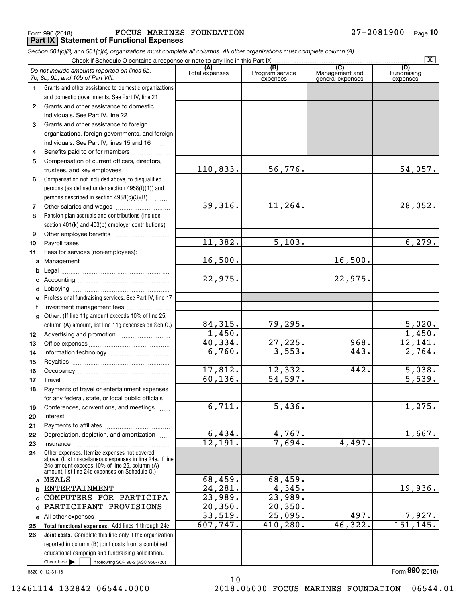Form 990 (2018) FOCUS MARINES FOUNDATION 27-2081900 <sub>Page</sub> **Part IX Statement of Functional Expenses**

|              | Section 501(c)(3) and 501(c)(4) organizations must complete all columns. All other organizations must complete column (A).                                                                                  |                       |                                    |                                                      |                                |
|--------------|-------------------------------------------------------------------------------------------------------------------------------------------------------------------------------------------------------------|-----------------------|------------------------------------|------------------------------------------------------|--------------------------------|
|              | Check if Schedule O contains a response or note to any line in this Part IX                                                                                                                                 |                       |                                    |                                                      | $\overline{\mathbf{X}}$        |
|              | Do not include amounts reported on lines 6b,<br>7b, 8b, 9b, and 10b of Part VIII.                                                                                                                           | (A)<br>Total expenses | (B)<br>Program service<br>expenses | $\overline{C}$<br>Management and<br>general expenses | (D)<br>Fundraising<br>expenses |
| 1.           | Grants and other assistance to domestic organizations                                                                                                                                                       |                       |                                    |                                                      |                                |
|              | and domestic governments. See Part IV, line 21                                                                                                                                                              |                       |                                    |                                                      |                                |
| $\mathbf{2}$ | Grants and other assistance to domestic                                                                                                                                                                     |                       |                                    |                                                      |                                |
|              | individuals. See Part IV, line 22                                                                                                                                                                           |                       |                                    |                                                      |                                |
| 3            | Grants and other assistance to foreign                                                                                                                                                                      |                       |                                    |                                                      |                                |
|              | organizations, foreign governments, and foreign                                                                                                                                                             |                       |                                    |                                                      |                                |
|              | individuals. See Part IV, lines 15 and 16                                                                                                                                                                   |                       |                                    |                                                      |                                |
| 4            | Benefits paid to or for members                                                                                                                                                                             |                       |                                    |                                                      |                                |
| 5            | Compensation of current officers, directors,                                                                                                                                                                |                       |                                    |                                                      |                                |
|              |                                                                                                                                                                                                             | 110,833.              | 56,776.                            |                                                      | 54,057.                        |
| 6            | Compensation not included above, to disqualified                                                                                                                                                            |                       |                                    |                                                      |                                |
|              | persons (as defined under section 4958(f)(1)) and                                                                                                                                                           |                       |                                    |                                                      |                                |
|              | persons described in section 4958(c)(3)(B)                                                                                                                                                                  |                       |                                    |                                                      |                                |
| 7            |                                                                                                                                                                                                             | 39,316.               | 11,264.                            |                                                      | 28,052.                        |
| 8            | Pension plan accruals and contributions (include                                                                                                                                                            |                       |                                    |                                                      |                                |
|              | section 401(k) and 403(b) employer contributions)                                                                                                                                                           |                       |                                    |                                                      |                                |
| 9            |                                                                                                                                                                                                             | 11,382.               | 5,103.                             |                                                      | 6,279.                         |
| 10           |                                                                                                                                                                                                             |                       |                                    |                                                      |                                |
| 11           | Fees for services (non-employees):                                                                                                                                                                          | 16,500.               |                                    | 16,500.                                              |                                |
| a            |                                                                                                                                                                                                             |                       |                                    |                                                      |                                |
| b            |                                                                                                                                                                                                             | 22,975.               |                                    | 22,975.                                              |                                |
| c            |                                                                                                                                                                                                             |                       |                                    |                                                      |                                |
| d            | Professional fundraising services. See Part IV, line 17                                                                                                                                                     |                       |                                    |                                                      |                                |
| е<br>f       | Investment management fees                                                                                                                                                                                  |                       |                                    |                                                      |                                |
| g            | Other. (If line 11g amount exceeds 10% of line 25,                                                                                                                                                          |                       |                                    |                                                      |                                |
|              | column (A) amount, list line 11g expenses on Sch O.)                                                                                                                                                        | 84,315.               | 79,295.                            |                                                      |                                |
| 12           |                                                                                                                                                                                                             | 1,450.                |                                    |                                                      | $\frac{5,020}{1,450}$          |
| 13           |                                                                                                                                                                                                             | 40,334.               | 27,225.                            | 968.                                                 | 12,141.                        |
| 14           |                                                                                                                                                                                                             | 6,760.                | 3,553.                             | 443.                                                 | 2,764.                         |
| 15           |                                                                                                                                                                                                             |                       |                                    |                                                      |                                |
| 16           |                                                                                                                                                                                                             | 17,812.               | 12,332.                            | 442.                                                 | 5,038.                         |
| 17           |                                                                                                                                                                                                             | 60, 136.              | 54,597.                            |                                                      | 5,539.                         |
| 18           | Payments of travel or entertainment expenses                                                                                                                                                                |                       |                                    |                                                      |                                |
|              | for any federal, state, or local public officials                                                                                                                                                           |                       |                                    |                                                      |                                |
| 19           | Conferences, conventions, and meetings                                                                                                                                                                      | 6,711.                | 5,436.                             |                                                      | 1,275.                         |
| 20           | Interest                                                                                                                                                                                                    |                       |                                    |                                                      |                                |
| 21           |                                                                                                                                                                                                             |                       |                                    |                                                      |                                |
| 22           | Depreciation, depletion, and amortization                                                                                                                                                                   | 6,434.                | 4,767.                             |                                                      | 1,667.                         |
| 23           | Insurance                                                                                                                                                                                                   | $\overline{12,191}$ . | 7,694.                             | 4,497.                                               |                                |
| 24           | Other expenses. Itemize expenses not covered<br>above. (List miscellaneous expenses in line 24e. If line<br>24e amount exceeds 10% of line 25, column (A)<br>amount, list line 24e expenses on Schedule O.) |                       |                                    |                                                      |                                |
|              | a MEALS                                                                                                                                                                                                     | 68,459.               | 68,459.                            |                                                      |                                |
| b            | <b>ENTERTAINMENT</b>                                                                                                                                                                                        | 24,281.               | 4,345.                             |                                                      | 19,936.                        |
|              | COMPUTERS FOR PARTICIPA                                                                                                                                                                                     | 23,989.               | 23,989.                            |                                                      |                                |
| d            | PARTICIPANT PROVISIONS                                                                                                                                                                                      | 20, 350.              | 20, 350.                           |                                                      |                                |
|              | e All other expenses                                                                                                                                                                                        | 33,519.               | 25,095.                            | 497.                                                 | 7,927.                         |
| 25           | Total functional expenses. Add lines 1 through 24e                                                                                                                                                          | 607,747.              | 410,280.                           | 46,322.                                              | 151, 145.                      |
| 26           | <b>Joint costs.</b> Complete this line only if the organization                                                                                                                                             |                       |                                    |                                                      |                                |
|              | reported in column (B) joint costs from a combined                                                                                                                                                          |                       |                                    |                                                      |                                |
|              | educational campaign and fundraising solicitation.                                                                                                                                                          |                       |                                    |                                                      |                                |
|              | Check here $\blacktriangleright$<br>if following SOP 98-2 (ASC 958-720)                                                                                                                                     |                       |                                    |                                                      |                                |

10

832010 12-31-18

Form (2018) **990**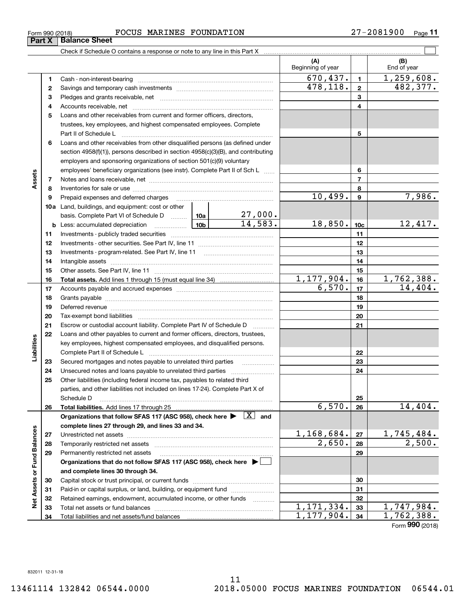| Form 990 (2018) | MARINES FOUNDATION<br>FOCUS | 27-2081900<br>Page |
|-----------------|-----------------------------|--------------------|
|-----------------|-----------------------------|--------------------|

|                             |          |                                                                                                                                                                                                                                |                 |                             | (A)<br>Beginning of year |                 | (B)<br>End of year |
|-----------------------------|----------|--------------------------------------------------------------------------------------------------------------------------------------------------------------------------------------------------------------------------------|-----------------|-----------------------------|--------------------------|-----------------|--------------------|
|                             | 1        |                                                                                                                                                                                                                                |                 |                             | 670,437.                 | $\blacksquare$  | 1,259,608.         |
|                             | 2        |                                                                                                                                                                                                                                | 478, 118.       | $\mathbf{2}$                | 482,377.                 |                 |                    |
|                             | з        |                                                                                                                                                                                                                                |                 | 3                           |                          |                 |                    |
|                             | 4        |                                                                                                                                                                                                                                |                 |                             |                          | 4               |                    |
|                             | 5        | Loans and other receivables from current and former officers, directors,                                                                                                                                                       |                 |                             |                          |                 |                    |
|                             |          | trustees, key employees, and highest compensated employees. Complete                                                                                                                                                           |                 |                             |                          |                 |                    |
|                             |          | Part II of Schedule Land Communication and Tart II of Schedule Land Communication and Tart II of Schedule Land                                                                                                                 |                 |                             |                          | 5               |                    |
|                             | 6        | Loans and other receivables from other disqualified persons (as defined under                                                                                                                                                  |                 |                             |                          |                 |                    |
|                             |          | section 4958(f)(1)), persons described in section 4958(c)(3)(B), and contributing                                                                                                                                              |                 |                             |                          |                 |                    |
|                             |          | employers and sponsoring organizations of section 501(c)(9) voluntary                                                                                                                                                          |                 |                             |                          |                 |                    |
|                             |          | employees' beneficiary organizations (see instr). Complete Part II of Sch L                                                                                                                                                    |                 |                             |                          | 6               |                    |
| Assets                      | 7        |                                                                                                                                                                                                                                |                 |                             |                          | $\overline{7}$  |                    |
|                             | 8        |                                                                                                                                                                                                                                |                 |                             |                          | 8               |                    |
|                             | 9        | Prepaid expenses and deferred charges                                                                                                                                                                                          |                 |                             | 10,499.                  | $\mathbf{9}$    | 7,986.             |
|                             |          | <b>10a</b> Land, buildings, and equipment: cost or other                                                                                                                                                                       |                 |                             |                          |                 |                    |
|                             |          | basis. Complete Part VI of Schedule D  10a                                                                                                                                                                                     |                 | $\frac{27,000}{14,583}$     |                          |                 |                    |
|                             |          | <b>b</b> Less: accumulated depreciation                                                                                                                                                                                        | 10 <sub>b</sub> |                             | 18,850.                  | 10 <sub>c</sub> | 12,417.            |
|                             | 11       |                                                                                                                                                                                                                                |                 |                             |                          | 11              |                    |
|                             | 12       |                                                                                                                                                                                                                                |                 |                             |                          | 12              |                    |
|                             | 13       |                                                                                                                                                                                                                                |                 |                             |                          | 13              |                    |
|                             | 14       |                                                                                                                                                                                                                                |                 |                             | 14                       |                 |                    |
|                             | 15       |                                                                                                                                                                                                                                |                 |                             |                          | 15<br>16        | <u>1,762,388.</u>  |
|                             | 16<br>17 |                                                                                                                                                                                                                                |                 | $\frac{1,177,904.}{6,570.}$ | 17                       | 14,404.         |                    |
|                             | 18       |                                                                                                                                                                                                                                |                 |                             |                          | 18              |                    |
|                             | 19       |                                                                                                                                                                                                                                |                 |                             |                          | 19              |                    |
|                             | 20       | Deferred revenue manual contracts and contracts are all the contracts and contracts are contracted and contracts are contracted and contract are contracted and contract are contracted and contract are contracted and contra |                 |                             |                          | 20              |                    |
|                             | 21       | Escrow or custodial account liability. Complete Part IV of Schedule D                                                                                                                                                          |                 | .                           |                          | 21              |                    |
|                             | 22       | Loans and other payables to current and former officers, directors, trustees,                                                                                                                                                  |                 |                             |                          |                 |                    |
| Liabilities                 |          | key employees, highest compensated employees, and disqualified persons.                                                                                                                                                        |                 |                             |                          |                 |                    |
|                             |          |                                                                                                                                                                                                                                |                 |                             |                          | 22              |                    |
|                             | 23       | Secured mortgages and notes payable to unrelated third parties                                                                                                                                                                 |                 |                             |                          | 23              |                    |
|                             | 24       | Unsecured notes and loans payable to unrelated third parties                                                                                                                                                                   |                 |                             |                          | 24              |                    |
|                             | 25       | Other liabilities (including federal income tax, payables to related third                                                                                                                                                     |                 |                             |                          |                 |                    |
|                             |          | parties, and other liabilities not included on lines 17-24). Complete Part X of                                                                                                                                                |                 |                             |                          |                 |                    |
|                             |          | Schedule D                                                                                                                                                                                                                     |                 |                             |                          | 25              |                    |
|                             | 26       |                                                                                                                                                                                                                                |                 |                             | 6,570.                   | 26              | 14,404.            |
|                             |          | Organizations that follow SFAS 117 (ASC 958), check here >                                                                                                                                                                     |                 | $ X $ and                   |                          |                 |                    |
|                             |          | complete lines 27 through 29, and lines 33 and 34.                                                                                                                                                                             |                 |                             |                          |                 |                    |
|                             | 27       |                                                                                                                                                                                                                                |                 |                             | 1,168,684.               | 27              | 1,745,484.         |
|                             | 28       | Temporarily restricted net assets                                                                                                                                                                                              |                 |                             | 2,650.                   | 28              | 2,500.             |
| Net Assets or Fund Balances | 29       | Permanently restricted net assets                                                                                                                                                                                              |                 |                             |                          | 29              |                    |
|                             |          | Organizations that do not follow SFAS 117 (ASC 958), check here ▶ □                                                                                                                                                            |                 |                             |                          |                 |                    |
|                             |          | and complete lines 30 through 34.                                                                                                                                                                                              |                 |                             |                          |                 |                    |
|                             | 30       |                                                                                                                                                                                                                                |                 |                             |                          | 30              |                    |
|                             | 31       | Paid-in or capital surplus, or land, building, or equipment fund                                                                                                                                                               |                 |                             |                          | 31              |                    |
|                             | 32       | Retained earnings, endowment, accumulated income, or other funds                                                                                                                                                               |                 | .                           |                          | 32              |                    |
|                             | 33       | Total net assets or fund balances                                                                                                                                                                                              |                 |                             | $\overline{1,171,334}$ . | 33              | 1,747,984.         |
|                             | 34       |                                                                                                                                                                                                                                |                 |                             | 1,177,904.               | 34              | 1,762,388.         |

Form (2018) **990**

| Form 990 (2018) |                               |
|-----------------|-------------------------------|
|                 | <b>Part X   Balance Sheet</b> |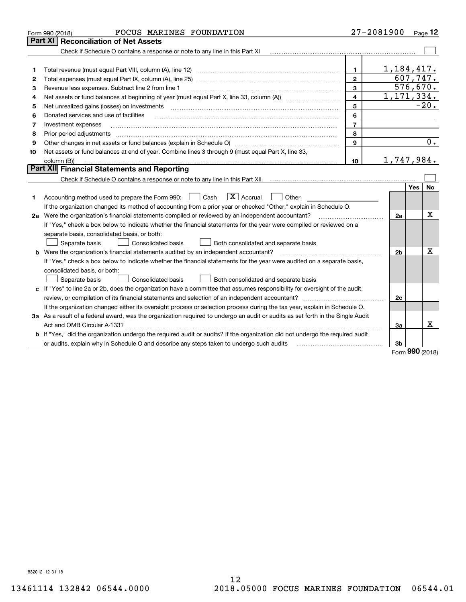|    | FOCUS MARINES FOUNDATION<br>Form 990 (2018)                                                                                                                                            |                         | 27-2081900   |            | Page 12                 |
|----|----------------------------------------------------------------------------------------------------------------------------------------------------------------------------------------|-------------------------|--------------|------------|-------------------------|
|    | Part XI<br><b>Reconciliation of Net Assets</b>                                                                                                                                         |                         |              |            |                         |
|    | Check if Schedule O contains a response or note to any line in this Part XI                                                                                                            |                         |              |            |                         |
|    |                                                                                                                                                                                        |                         |              |            |                         |
| 1  |                                                                                                                                                                                        | 1.                      | 1,184,417.   |            |                         |
| 2  | Total expenses (must equal Part IX, column (A), line 25)                                                                                                                               | $\mathbf{2}$            | 607,747.     |            |                         |
| 3  | Revenue less expenses. Subtract line 2 from line 1                                                                                                                                     | 3                       |              |            | $\overline{576}$ , 670. |
| 4  |                                                                                                                                                                                        | $\overline{\mathbf{4}}$ | 1, 171, 334. |            |                         |
| 5  | Net unrealized gains (losses) on investments                                                                                                                                           | 5                       |              |            | $-20.$                  |
| 6  | Donated services and use of facilities                                                                                                                                                 | 6                       |              |            |                         |
| 7  | Investment expenses                                                                                                                                                                    | $\overline{7}$          |              |            |                         |
| 8  | Prior period adjustments                                                                                                                                                               | 8                       |              |            |                         |
| 9  | Other changes in net assets or fund balances (explain in Schedule O)                                                                                                                   | 9                       |              |            | 0.                      |
| 10 | Net assets or fund balances at end of year. Combine lines 3 through 9 (must equal Part X, line 33,                                                                                     |                         |              |            |                         |
|    | column (B))                                                                                                                                                                            | 10                      | 1,747,984.   |            |                         |
|    | Part XII Financial Statements and Reporting                                                                                                                                            |                         |              |            |                         |
|    |                                                                                                                                                                                        |                         |              |            |                         |
|    |                                                                                                                                                                                        |                         |              | Yes        | No.                     |
| 1  | $\boxed{\text{X}}$ Accrual<br>Accounting method used to prepare the Form 990: <u>[</u> Cash<br>Other                                                                                   |                         |              |            |                         |
|    | If the organization changed its method of accounting from a prior year or checked "Other," explain in Schedule O.                                                                      |                         |              |            |                         |
|    | 2a Were the organization's financial statements compiled or reviewed by an independent accountant?                                                                                     |                         | 2a           |            | Χ                       |
|    | If "Yes," check a box below to indicate whether the financial statements for the year were compiled or reviewed on a                                                                   |                         |              |            |                         |
|    | separate basis, consolidated basis, or both:                                                                                                                                           |                         |              |            |                         |
|    | Separate basis<br><b>Consolidated basis</b><br>Both consolidated and separate basis                                                                                                    |                         |              |            |                         |
|    | <b>b</b> Were the organization's financial statements audited by an independent accountant?                                                                                            |                         | 2b           |            | Χ                       |
|    | If "Yes," check a box below to indicate whether the financial statements for the year were audited on a separate basis,                                                                |                         |              |            |                         |
|    | consolidated basis, or both:                                                                                                                                                           |                         |              |            |                         |
|    | Separate basis<br>Consolidated basis<br>Both consolidated and separate basis                                                                                                           |                         |              |            |                         |
|    | c If "Yes" to line 2a or 2b, does the organization have a committee that assumes responsibility for oversight of the audit,                                                            |                         |              |            |                         |
|    |                                                                                                                                                                                        |                         | 2c           |            |                         |
|    | If the organization changed either its oversight process or selection process during the tax year, explain in Schedule O.                                                              |                         |              |            |                         |
|    | 3a As a result of a federal award, was the organization required to undergo an audit or audits as set forth in the Single Audit                                                        |                         |              |            |                         |
|    | Act and OMB Circular A-133?                                                                                                                                                            |                         | 3a           |            | x                       |
|    | b If "Yes," did the organization undergo the required audit or audits? If the organization did not undergo the required audit                                                          |                         |              |            |                         |
|    | or audits, explain why in Schedule O and describe any steps taken to undergo such audits [11] or audits, explain why in Schedule O and describe any steps taken to undergo such audits |                         | 3b           | <b>nnn</b> |                         |
|    |                                                                                                                                                                                        |                         |              |            |                         |

Form (2018) **990**

832012 12-31-18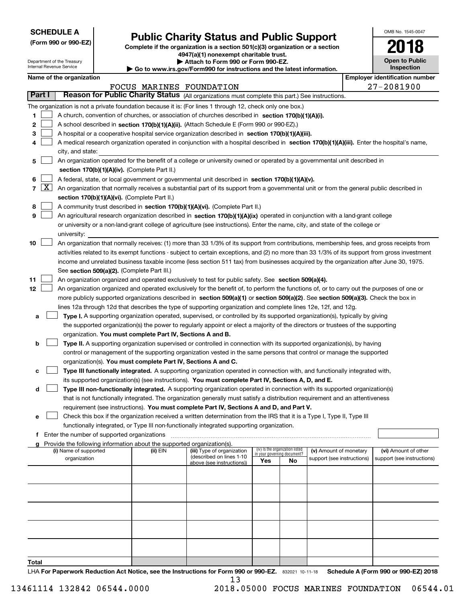| <b>SCHEDULE A</b> |
|-------------------|
|-------------------|

Department of the Treasury

**(Form 990 or 990-EZ)**

# **Public Charity Status and Public Support**

**Complete if the organization is a section 501(c)(3) organization or a section 4947(a)(1) nonexempt charitable trust.**

| Attach to Form 990 or Form 990-EZ.                          |
|-------------------------------------------------------------|
| uw ire aou/Eorm000 for inetructions and the latest informal |

| OMB No. 1545-0047     |
|-----------------------|
| 2018                  |
| <b>Open to Public</b> |

| Internal Revenue Service<br>$\blacktriangleright$ Go to www.irs.gov/Form990 for instructions and the latest information. |            |                                                                                                                                                                            |  |                                                                                                 |                                                                                                                                                                                                                                  |     | <b>Inspection</b>                                              |                            |  |                                       |  |
|--------------------------------------------------------------------------------------------------------------------------|------------|----------------------------------------------------------------------------------------------------------------------------------------------------------------------------|--|-------------------------------------------------------------------------------------------------|----------------------------------------------------------------------------------------------------------------------------------------------------------------------------------------------------------------------------------|-----|----------------------------------------------------------------|----------------------------|--|---------------------------------------|--|
|                                                                                                                          |            | Name of the organization                                                                                                                                                   |  |                                                                                                 |                                                                                                                                                                                                                                  |     |                                                                |                            |  | <b>Employer identification number</b> |  |
|                                                                                                                          |            |                                                                                                                                                                            |  |                                                                                                 | FOCUS MARINES FOUNDATION                                                                                                                                                                                                         |     |                                                                |                            |  | 27-2081900                            |  |
| Part I                                                                                                                   |            |                                                                                                                                                                            |  | Reason for Public Charity Status (All organizations must complete this part.) See instructions. |                                                                                                                                                                                                                                  |     |                                                                |                            |  |                                       |  |
|                                                                                                                          |            |                                                                                                                                                                            |  |                                                                                                 | The organization is not a private foundation because it is: (For lines 1 through 12, check only one box.)                                                                                                                        |     |                                                                |                            |  |                                       |  |
| 1                                                                                                                        |            |                                                                                                                                                                            |  |                                                                                                 | A church, convention of churches, or association of churches described in section 170(b)(1)(A)(i).                                                                                                                               |     |                                                                |                            |  |                                       |  |
| 2                                                                                                                        |            |                                                                                                                                                                            |  |                                                                                                 | A school described in section 170(b)(1)(A)(ii). (Attach Schedule E (Form 990 or 990-EZ).)                                                                                                                                        |     |                                                                |                            |  |                                       |  |
| 3                                                                                                                        |            |                                                                                                                                                                            |  |                                                                                                 | A hospital or a cooperative hospital service organization described in section 170(b)(1)(A)(iii).                                                                                                                                |     |                                                                |                            |  |                                       |  |
| 4                                                                                                                        |            |                                                                                                                                                                            |  |                                                                                                 | A medical research organization operated in conjunction with a hospital described in section 170(b)(1)(A)(iii). Enter the hospital's name,                                                                                       |     |                                                                |                            |  |                                       |  |
|                                                                                                                          |            | city, and state:                                                                                                                                                           |  |                                                                                                 |                                                                                                                                                                                                                                  |     |                                                                |                            |  |                                       |  |
| 5                                                                                                                        |            | An organization operated for the benefit of a college or university owned or operated by a governmental unit described in<br>section 170(b)(1)(A)(iv). (Complete Part II.) |  |                                                                                                 |                                                                                                                                                                                                                                  |     |                                                                |                            |  |                                       |  |
| 6                                                                                                                        |            |                                                                                                                                                                            |  |                                                                                                 | A federal, state, or local government or governmental unit described in section 170(b)(1)(A)(v).                                                                                                                                 |     |                                                                |                            |  |                                       |  |
|                                                                                                                          | $7 \times$ |                                                                                                                                                                            |  |                                                                                                 | An organization that normally receives a substantial part of its support from a governmental unit or from the general public described in                                                                                        |     |                                                                |                            |  |                                       |  |
|                                                                                                                          |            |                                                                                                                                                                            |  | section 170(b)(1)(A)(vi). (Complete Part II.)                                                   |                                                                                                                                                                                                                                  |     |                                                                |                            |  |                                       |  |
| 8                                                                                                                        |            |                                                                                                                                                                            |  |                                                                                                 | A community trust described in section 170(b)(1)(A)(vi). (Complete Part II.)                                                                                                                                                     |     |                                                                |                            |  |                                       |  |
| 9                                                                                                                        |            |                                                                                                                                                                            |  |                                                                                                 | An agricultural research organization described in section 170(b)(1)(A)(ix) operated in conjunction with a land-grant college                                                                                                    |     |                                                                |                            |  |                                       |  |
|                                                                                                                          |            |                                                                                                                                                                            |  |                                                                                                 | or university or a non-land-grant college of agriculture (see instructions). Enter the name, city, and state of the college or                                                                                                   |     |                                                                |                            |  |                                       |  |
|                                                                                                                          |            | university:                                                                                                                                                                |  |                                                                                                 |                                                                                                                                                                                                                                  |     |                                                                |                            |  |                                       |  |
| 10                                                                                                                       |            |                                                                                                                                                                            |  |                                                                                                 | An organization that normally receives: (1) more than 33 1/3% of its support from contributions, membership fees, and gross receipts from                                                                                        |     |                                                                |                            |  |                                       |  |
|                                                                                                                          |            |                                                                                                                                                                            |  |                                                                                                 | activities related to its exempt functions - subject to certain exceptions, and (2) no more than 33 1/3% of its support from gross investment                                                                                    |     |                                                                |                            |  |                                       |  |
|                                                                                                                          |            |                                                                                                                                                                            |  |                                                                                                 | income and unrelated business taxable income (less section 511 tax) from businesses acquired by the organization after June 30, 1975.                                                                                            |     |                                                                |                            |  |                                       |  |
|                                                                                                                          |            |                                                                                                                                                                            |  | See section 509(a)(2). (Complete Part III.)                                                     |                                                                                                                                                                                                                                  |     |                                                                |                            |  |                                       |  |
| 11                                                                                                                       |            |                                                                                                                                                                            |  |                                                                                                 | An organization organized and operated exclusively to test for public safety. See section 509(a)(4).                                                                                                                             |     |                                                                |                            |  |                                       |  |
| 12                                                                                                                       |            |                                                                                                                                                                            |  |                                                                                                 | An organization organized and operated exclusively for the benefit of, to perform the functions of, or to carry out the purposes of one or                                                                                       |     |                                                                |                            |  |                                       |  |
|                                                                                                                          |            |                                                                                                                                                                            |  |                                                                                                 | more publicly supported organizations described in section 509(a)(1) or section 509(a)(2). See section 509(a)(3). Check the box in                                                                                               |     |                                                                |                            |  |                                       |  |
|                                                                                                                          |            |                                                                                                                                                                            |  |                                                                                                 | lines 12a through 12d that describes the type of supporting organization and complete lines 12e, 12f, and 12g.                                                                                                                   |     |                                                                |                            |  |                                       |  |
| a                                                                                                                        |            |                                                                                                                                                                            |  |                                                                                                 | Type I. A supporting organization operated, supervised, or controlled by its supported organization(s), typically by giving                                                                                                      |     |                                                                |                            |  |                                       |  |
|                                                                                                                          |            |                                                                                                                                                                            |  |                                                                                                 | the supported organization(s) the power to regularly appoint or elect a majority of the directors or trustees of the supporting                                                                                                  |     |                                                                |                            |  |                                       |  |
|                                                                                                                          |            |                                                                                                                                                                            |  | organization. You must complete Part IV, Sections A and B.                                      |                                                                                                                                                                                                                                  |     |                                                                |                            |  |                                       |  |
| b                                                                                                                        |            |                                                                                                                                                                            |  |                                                                                                 | Type II. A supporting organization supervised or controlled in connection with its supported organization(s), by having                                                                                                          |     |                                                                |                            |  |                                       |  |
|                                                                                                                          |            |                                                                                                                                                                            |  |                                                                                                 | control or management of the supporting organization vested in the same persons that control or manage the supported                                                                                                             |     |                                                                |                            |  |                                       |  |
|                                                                                                                          |            |                                                                                                                                                                            |  |                                                                                                 | organization(s). You must complete Part IV, Sections A and C.                                                                                                                                                                    |     |                                                                |                            |  |                                       |  |
| с                                                                                                                        |            |                                                                                                                                                                            |  |                                                                                                 | Type III functionally integrated. A supporting organization operated in connection with, and functionally integrated with,<br>its supported organization(s) (see instructions). You must complete Part IV, Sections A, D, and E. |     |                                                                |                            |  |                                       |  |
| d                                                                                                                        |            |                                                                                                                                                                            |  |                                                                                                 | Type III non-functionally integrated. A supporting organization operated in connection with its supported organization(s)                                                                                                        |     |                                                                |                            |  |                                       |  |
|                                                                                                                          |            |                                                                                                                                                                            |  |                                                                                                 | that is not functionally integrated. The organization generally must satisfy a distribution requirement and an attentiveness                                                                                                     |     |                                                                |                            |  |                                       |  |
|                                                                                                                          |            |                                                                                                                                                                            |  |                                                                                                 | requirement (see instructions). You must complete Part IV, Sections A and D, and Part V.                                                                                                                                         |     |                                                                |                            |  |                                       |  |
| е                                                                                                                        |            |                                                                                                                                                                            |  |                                                                                                 | Check this box if the organization received a written determination from the IRS that it is a Type I, Type II, Type III                                                                                                          |     |                                                                |                            |  |                                       |  |
|                                                                                                                          |            |                                                                                                                                                                            |  |                                                                                                 | functionally integrated, or Type III non-functionally integrated supporting organization.                                                                                                                                        |     |                                                                |                            |  |                                       |  |
|                                                                                                                          |            | f Enter the number of supported organizations                                                                                                                              |  |                                                                                                 |                                                                                                                                                                                                                                  |     |                                                                |                            |  |                                       |  |
|                                                                                                                          |            |                                                                                                                                                                            |  | Provide the following information about the supported organization(s).                          |                                                                                                                                                                                                                                  |     |                                                                |                            |  |                                       |  |
|                                                                                                                          |            | (i) Name of supported                                                                                                                                                      |  | (ii) EIN                                                                                        | (iii) Type of organization<br>(described on lines 1-10                                                                                                                                                                           |     | (iv) Is the organization listed<br>in your governing document? | (v) Amount of monetary     |  | (vi) Amount of other                  |  |
|                                                                                                                          |            | organization                                                                                                                                                               |  |                                                                                                 | above (see instructions))                                                                                                                                                                                                        | Yes | No                                                             | support (see instructions) |  | support (see instructions)            |  |
|                                                                                                                          |            |                                                                                                                                                                            |  |                                                                                                 |                                                                                                                                                                                                                                  |     |                                                                |                            |  |                                       |  |
|                                                                                                                          |            |                                                                                                                                                                            |  |                                                                                                 |                                                                                                                                                                                                                                  |     |                                                                |                            |  |                                       |  |
|                                                                                                                          |            |                                                                                                                                                                            |  |                                                                                                 |                                                                                                                                                                                                                                  |     |                                                                |                            |  |                                       |  |
|                                                                                                                          |            |                                                                                                                                                                            |  |                                                                                                 |                                                                                                                                                                                                                                  |     |                                                                |                            |  |                                       |  |
|                                                                                                                          |            |                                                                                                                                                                            |  |                                                                                                 |                                                                                                                                                                                                                                  |     |                                                                |                            |  |                                       |  |
|                                                                                                                          |            |                                                                                                                                                                            |  |                                                                                                 |                                                                                                                                                                                                                                  |     |                                                                |                            |  |                                       |  |
|                                                                                                                          |            |                                                                                                                                                                            |  |                                                                                                 |                                                                                                                                                                                                                                  |     |                                                                |                            |  |                                       |  |
|                                                                                                                          |            |                                                                                                                                                                            |  |                                                                                                 |                                                                                                                                                                                                                                  |     |                                                                |                            |  |                                       |  |
|                                                                                                                          |            |                                                                                                                                                                            |  |                                                                                                 |                                                                                                                                                                                                                                  |     |                                                                |                            |  |                                       |  |
|                                                                                                                          |            |                                                                                                                                                                            |  |                                                                                                 |                                                                                                                                                                                                                                  |     |                                                                |                            |  |                                       |  |

**Total**

LHA For Paperwork Reduction Act Notice, see the Instructions for Form 990 or 990-EZ. 832021 10-11-18 Schedule A (Form 990 or 990-EZ) 2018 13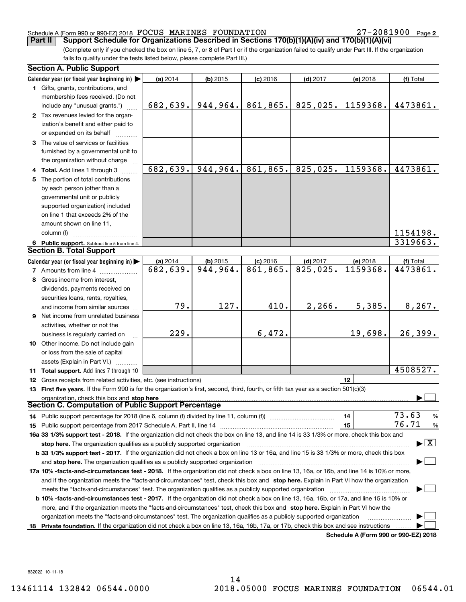27-2081900 Page 2

(Complete only if you checked the box on line 5, 7, or 8 of Part I or if the organization failed to qualify under Part III. If the organization fails to qualify under the tests listed below, please complete Part III.) **Part II Support Schedule for Organizations Described in Sections 170(b)(1)(A)(iv) and 170(b)(1)(A)(vi)**

|     | <b>Section A. Public Support</b>                                                                                                                                                            |           |            |            |            |          |                                |  |  |
|-----|---------------------------------------------------------------------------------------------------------------------------------------------------------------------------------------------|-----------|------------|------------|------------|----------|--------------------------------|--|--|
|     | Calendar year (or fiscal year beginning in)                                                                                                                                                 | (a) 2014  | $(b)$ 2015 | $(c)$ 2016 | $(d)$ 2017 | (e) 2018 | (f) Total                      |  |  |
|     | 1 Gifts, grants, contributions, and                                                                                                                                                         |           |            |            |            |          |                                |  |  |
|     | membership fees received. (Do not                                                                                                                                                           |           |            |            |            |          |                                |  |  |
|     | include any "unusual grants.")                                                                                                                                                              | 682, 639. | 944, 964.  | 861,865.   | 825,025.   | 1159368. | 4473861.                       |  |  |
|     | 2 Tax revenues levied for the organ-                                                                                                                                                        |           |            |            |            |          |                                |  |  |
|     | ization's benefit and either paid to                                                                                                                                                        |           |            |            |            |          |                                |  |  |
|     | or expended on its behalf                                                                                                                                                                   |           |            |            |            |          |                                |  |  |
|     | 3 The value of services or facilities                                                                                                                                                       |           |            |            |            |          |                                |  |  |
|     | furnished by a governmental unit to                                                                                                                                                         |           |            |            |            |          |                                |  |  |
|     | the organization without charge                                                                                                                                                             |           |            |            |            |          |                                |  |  |
|     | <b>Total.</b> Add lines 1 through 3                                                                                                                                                         | 682,639.  | 944,964.   | 861,865.   | 825,025.   | 1159368. | 4473861.                       |  |  |
|     | 5 The portion of total contributions                                                                                                                                                        |           |            |            |            |          |                                |  |  |
|     | by each person (other than a                                                                                                                                                                |           |            |            |            |          |                                |  |  |
|     | governmental unit or publicly                                                                                                                                                               |           |            |            |            |          |                                |  |  |
|     | supported organization) included                                                                                                                                                            |           |            |            |            |          |                                |  |  |
|     | on line 1 that exceeds 2% of the                                                                                                                                                            |           |            |            |            |          |                                |  |  |
|     | amount shown on line 11,                                                                                                                                                                    |           |            |            |            |          |                                |  |  |
|     | column (f)                                                                                                                                                                                  |           |            |            |            |          | 1154198.                       |  |  |
|     |                                                                                                                                                                                             |           |            |            |            |          | 3319663.                       |  |  |
|     | 6 Public support. Subtract line 5 from line 4.<br><b>Section B. Total Support</b>                                                                                                           |           |            |            |            |          |                                |  |  |
|     |                                                                                                                                                                                             |           |            |            |            |          |                                |  |  |
|     | Calendar year (or fiscal year beginning in)                                                                                                                                                 | (a) 2014  | $(b)$ 2015 | $(c)$ 2016 | $(d)$ 2017 | (e) 2018 | (f) Total                      |  |  |
|     | <b>7</b> Amounts from line 4                                                                                                                                                                | 682,639.  | 944,964.   | 861,865.   | 825,025.   | 1159368. | 4473861.                       |  |  |
|     | 8 Gross income from interest,                                                                                                                                                               |           |            |            |            |          |                                |  |  |
|     | dividends, payments received on                                                                                                                                                             |           |            |            |            |          |                                |  |  |
|     | securities loans, rents, royalties,                                                                                                                                                         |           |            |            |            |          |                                |  |  |
|     | and income from similar sources                                                                                                                                                             | 79.       | 127.       | 410.       | 2,266.     | 5,385.   | 8, 267.                        |  |  |
|     | <b>9</b> Net income from unrelated business                                                                                                                                                 |           |            |            |            |          |                                |  |  |
|     | activities, whether or not the                                                                                                                                                              |           |            |            |            |          |                                |  |  |
|     | business is regularly carried on                                                                                                                                                            | 229.      |            | 6,472.     |            | 19,698.  | 26,399.                        |  |  |
|     | 10 Other income. Do not include gain                                                                                                                                                        |           |            |            |            |          |                                |  |  |
|     | or loss from the sale of capital                                                                                                                                                            |           |            |            |            |          |                                |  |  |
|     | assets (Explain in Part VI.)                                                                                                                                                                |           |            |            |            |          |                                |  |  |
|     | 11 Total support. Add lines 7 through 10                                                                                                                                                    |           |            |            |            |          | 4508527.                       |  |  |
|     | 12 Gross receipts from related activities, etc. (see instructions)                                                                                                                          |           |            |            |            | 12       |                                |  |  |
|     | 13 First five years. If the Form 990 is for the organization's first, second, third, fourth, or fifth tax year as a section 501(c)(3)                                                       |           |            |            |            |          |                                |  |  |
|     | organization, check this box and stop here                                                                                                                                                  |           |            |            |            |          |                                |  |  |
|     | <b>Section C. Computation of Public Support Percentage</b>                                                                                                                                  |           |            |            |            |          |                                |  |  |
|     | 14 Public support percentage for 2018 (line 6, column (f) divided by line 11, column (f) <i>manumanomeron</i>                                                                               |           |            |            |            | 14       | 73.63<br>%                     |  |  |
|     |                                                                                                                                                                                             |           |            |            |            | 15       | 76.71<br>$\%$                  |  |  |
|     | 16a 33 1/3% support test - 2018. If the organization did not check the box on line 13, and line 14 is 33 1/3% or more, check this box and                                                   |           |            |            |            |          |                                |  |  |
|     | stop here. The organization qualifies as a publicly supported organization                                                                                                                  |           |            |            |            |          | $\blacktriangleright$ $\mid$ X |  |  |
|     | b 33 1/3% support test - 2017. If the organization did not check a box on line 13 or 16a, and line 15 is 33 1/3% or more, check this box                                                    |           |            |            |            |          |                                |  |  |
|     | and stop here. The organization qualifies as a publicly supported organization                                                                                                              |           |            |            |            |          |                                |  |  |
|     | 17a 10% -facts-and-circumstances test - 2018. If the organization did not check a box on line 13, 16a, or 16b, and line 14 is 10% or more,                                                  |           |            |            |            |          |                                |  |  |
|     | and if the organization meets the "facts-and-circumstances" test, check this box and stop here. Explain in Part VI how the organization                                                     |           |            |            |            |          |                                |  |  |
|     | meets the "facts-and-circumstances" test. The organization qualifies as a publicly supported organization                                                                                   |           |            |            |            |          |                                |  |  |
|     |                                                                                                                                                                                             |           |            |            |            |          |                                |  |  |
|     | <b>b 10% -facts-and-circumstances test - 2017.</b> If the organization did not check a box on line 13, 16a, 16b, or 17a, and line 15 is 10% or                                              |           |            |            |            |          |                                |  |  |
|     | more, and if the organization meets the "facts-and-circumstances" test, check this box and stop here. Explain in Part VI how the                                                            |           |            |            |            |          |                                |  |  |
|     | organization meets the "facts-and-circumstances" test. The organization qualifies as a publicly supported organization                                                                      |           |            |            |            |          |                                |  |  |
| 18. | Private foundation. If the organization did not check a box on line 13, 16a, 16b, 17a, or 17b, check this box and see instructions<br>$A \cup A$ , $B \cap B$ and $A \cap B$ and $A \cap B$ |           |            |            |            |          |                                |  |  |

**Schedule A (Form 990 or 990-EZ) 2018**

832022 10-11-18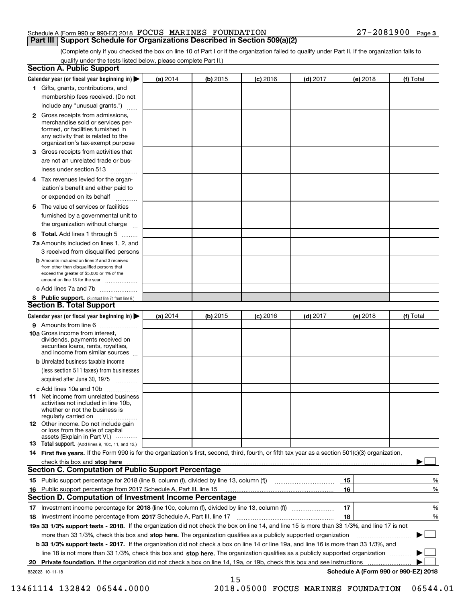(Complete only if you checked the box on line 10 of Part I or if the organization failed to qualify under Part II. If the organization fails to qualify under the tests listed below, please complete Part II.)

|    | <b>Section A. Public Support</b>                                                                                                                                                                                                  |            |          |                 |            |          |                                      |
|----|-----------------------------------------------------------------------------------------------------------------------------------------------------------------------------------------------------------------------------------|------------|----------|-----------------|------------|----------|--------------------------------------|
|    | Calendar year (or fiscal year beginning in) $\blacktriangleright$                                                                                                                                                                 | (a) 2014   | (b) 2015 | <b>(c)</b> 2016 | $(d)$ 2017 | (e) 2018 | (f) Total                            |
|    | 1 Gifts, grants, contributions, and                                                                                                                                                                                               |            |          |                 |            |          |                                      |
|    | membership fees received. (Do not                                                                                                                                                                                                 |            |          |                 |            |          |                                      |
|    | include any "unusual grants.")                                                                                                                                                                                                    |            |          |                 |            |          |                                      |
|    | <b>2</b> Gross receipts from admissions,<br>merchandise sold or services per-<br>formed, or facilities furnished in<br>any activity that is related to the<br>organization's tax-exempt purpose                                   |            |          |                 |            |          |                                      |
|    | 3 Gross receipts from activities that<br>are not an unrelated trade or bus-                                                                                                                                                       |            |          |                 |            |          |                                      |
|    | iness under section 513                                                                                                                                                                                                           |            |          |                 |            |          |                                      |
|    | 4 Tax revenues levied for the organ-                                                                                                                                                                                              |            |          |                 |            |          |                                      |
|    | ization's benefit and either paid to<br>or expended on its behalf<br>.                                                                                                                                                            |            |          |                 |            |          |                                      |
|    | 5 The value of services or facilities<br>furnished by a governmental unit to                                                                                                                                                      |            |          |                 |            |          |                                      |
|    | the organization without charge                                                                                                                                                                                                   |            |          |                 |            |          |                                      |
|    | <b>6 Total.</b> Add lines 1 through 5                                                                                                                                                                                             |            |          |                 |            |          |                                      |
|    | 7a Amounts included on lines 1, 2, and<br>3 received from disqualified persons                                                                                                                                                    |            |          |                 |            |          |                                      |
|    | <b>b</b> Amounts included on lines 2 and 3 received<br>from other than disqualified persons that<br>exceed the greater of \$5,000 or 1% of the<br>amount on line 13 for the year                                                  |            |          |                 |            |          |                                      |
|    | c Add lines 7a and 7b                                                                                                                                                                                                             |            |          |                 |            |          |                                      |
|    | 8 Public support. (Subtract line 7c from line 6.)<br><b>Section B. Total Support</b>                                                                                                                                              |            |          |                 |            |          |                                      |
|    | Calendar year (or fiscal year beginning in)                                                                                                                                                                                       | (a) $2014$ | (b) 2015 | <b>(c)</b> 2016 | $(d)$ 2017 | (e) 2018 | (f) Total                            |
|    | 9 Amounts from line 6                                                                                                                                                                                                             |            |          |                 |            |          |                                      |
|    | <b>10a</b> Gross income from interest,<br>dividends, payments received on<br>securities loans, rents, royalties,<br>and income from similar sources                                                                               |            |          |                 |            |          |                                      |
|    | <b>b</b> Unrelated business taxable income<br>(less section 511 taxes) from businesses                                                                                                                                            |            |          |                 |            |          |                                      |
|    | acquired after June 30, 1975                                                                                                                                                                                                      |            |          |                 |            |          |                                      |
|    | c Add lines 10a and 10b<br>11 Net income from unrelated business<br>activities not included in line 10b,<br>whether or not the business is<br>regularly carried on                                                                |            |          |                 |            |          |                                      |
|    | 12 Other income. Do not include gain<br>or loss from the sale of capital<br>assets (Explain in Part VI.)                                                                                                                          |            |          |                 |            |          |                                      |
|    | 13 Total support. (Add lines 9, 10c, 11, and 12.)                                                                                                                                                                                 |            |          |                 |            |          |                                      |
|    | 14 First five years. If the Form 990 is for the organization's first, second, third, fourth, or fifth tax year as a section 501(c)(3) organization,                                                                               |            |          |                 |            |          |                                      |
|    | check this box and stop here <b>contained and intervention contained</b> and intervention and stop here <b>contained and stop here contained and stop here contained and stop here contained and stop here contained and stop</b> |            |          |                 |            |          |                                      |
|    | <b>Section C. Computation of Public Support Percentage</b>                                                                                                                                                                        |            |          |                 |            |          |                                      |
|    |                                                                                                                                                                                                                                   |            |          |                 |            | 15       | %                                    |
|    | 16 Public support percentage from 2017 Schedule A, Part III, line 15                                                                                                                                                              |            |          |                 |            | 16       | %                                    |
|    | <b>Section D. Computation of Investment Income Percentage</b>                                                                                                                                                                     |            |          |                 |            |          |                                      |
| 17 | Investment income percentage for 2018 (line 10c, column (f), divided by line 13, column (f))                                                                                                                                      |            |          |                 |            | 17       | $\%$                                 |
| 18 | Investment income percentage from 2017 Schedule A, Part III, line 17                                                                                                                                                              |            |          |                 |            | 18       | %                                    |
|    | 19a 33 1/3% support tests - 2018. If the organization did not check the box on line 14, and line 15 is more than 33 1/3%, and line 17 is not                                                                                      |            |          |                 |            |          |                                      |
|    | more than 33 1/3%, check this box and stop here. The organization qualifies as a publicly supported organization                                                                                                                  |            |          |                 |            |          | ▶                                    |
|    | b 33 1/3% support tests - 2017. If the organization did not check a box on line 14 or line 19a, and line 16 is more than 33 1/3%, and                                                                                             |            |          |                 |            |          |                                      |
|    | line 18 is not more than 33 1/3%, check this box and stop here. The organization qualifies as a publicly supported organization                                                                                                   |            |          |                 |            |          |                                      |
| 20 | Private foundation. If the organization did not check a box on line 14, 19a, or 19b, check this box and see instructions                                                                                                          |            |          |                 |            |          |                                      |
|    | 832023 10-11-18                                                                                                                                                                                                                   |            | 15       |                 |            |          | Schedule A (Form 990 or 990-EZ) 2018 |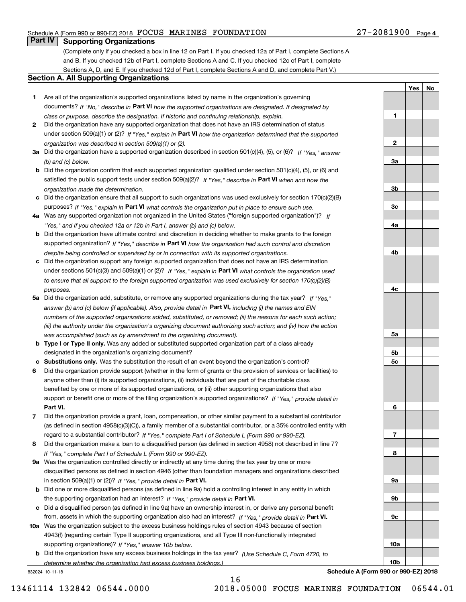## **Part IV Supporting Organizations**

(Complete only if you checked a box in line 12 on Part I. If you checked 12a of Part I, complete Sections A and B. If you checked 12b of Part I, complete Sections A and C. If you checked 12c of Part I, complete Sections A, D, and E. If you checked 12d of Part I, complete Sections A and D, and complete Part V.)

#### **Section A. All Supporting Organizations**

- **1** Are all of the organization's supported organizations listed by name in the organization's governing documents? If "No," describe in **Part VI** how the supported organizations are designated. If designated by *class or purpose, describe the designation. If historic and continuing relationship, explain.*
- **2** Did the organization have any supported organization that does not have an IRS determination of status under section 509(a)(1) or (2)? If "Yes," explain in Part VI how the organization determined that the supported *organization was described in section 509(a)(1) or (2).*
- **3a** Did the organization have a supported organization described in section 501(c)(4), (5), or (6)? If "Yes," answer *(b) and (c) below.*
- **b** Did the organization confirm that each supported organization qualified under section 501(c)(4), (5), or (6) and satisfied the public support tests under section 509(a)(2)? If "Yes," describe in **Part VI** when and how the *organization made the determination.*
- **c**Did the organization ensure that all support to such organizations was used exclusively for section 170(c)(2)(B) purposes? If "Yes," explain in **Part VI** what controls the organization put in place to ensure such use.
- **4a***If* Was any supported organization not organized in the United States ("foreign supported organization")? *"Yes," and if you checked 12a or 12b in Part I, answer (b) and (c) below.*
- **b** Did the organization have ultimate control and discretion in deciding whether to make grants to the foreign supported organization? If "Yes," describe in **Part VI** how the organization had such control and discretion *despite being controlled or supervised by or in connection with its supported organizations.*
- **c** Did the organization support any foreign supported organization that does not have an IRS determination under sections 501(c)(3) and 509(a)(1) or (2)? If "Yes," explain in **Part VI** what controls the organization used *to ensure that all support to the foreign supported organization was used exclusively for section 170(c)(2)(B) purposes.*
- **5a** Did the organization add, substitute, or remove any supported organizations during the tax year? If "Yes," answer (b) and (c) below (if applicable). Also, provide detail in **Part VI,** including (i) the names and EIN *numbers of the supported organizations added, substituted, or removed; (ii) the reasons for each such action; (iii) the authority under the organization's organizing document authorizing such action; and (iv) how the action was accomplished (such as by amendment to the organizing document).*
- **b** Type I or Type II only. Was any added or substituted supported organization part of a class already designated in the organization's organizing document?
- **cSubstitutions only.**  Was the substitution the result of an event beyond the organization's control?
- **6** Did the organization provide support (whether in the form of grants or the provision of services or facilities) to **Part VI.** *If "Yes," provide detail in* support or benefit one or more of the filing organization's supported organizations? anyone other than (i) its supported organizations, (ii) individuals that are part of the charitable class benefited by one or more of its supported organizations, or (iii) other supporting organizations that also
- **7**Did the organization provide a grant, loan, compensation, or other similar payment to a substantial contributor *If "Yes," complete Part I of Schedule L (Form 990 or 990-EZ).* regard to a substantial contributor? (as defined in section 4958(c)(3)(C)), a family member of a substantial contributor, or a 35% controlled entity with
- **8** Did the organization make a loan to a disqualified person (as defined in section 4958) not described in line 7? *If "Yes," complete Part I of Schedule L (Form 990 or 990-EZ).*
- **9a** Was the organization controlled directly or indirectly at any time during the tax year by one or more in section 509(a)(1) or (2))? If "Yes," *provide detail in* <code>Part VI.</code> disqualified persons as defined in section 4946 (other than foundation managers and organizations described
- **b** Did one or more disqualified persons (as defined in line 9a) hold a controlling interest in any entity in which the supporting organization had an interest? If "Yes," provide detail in P**art VI**.
- **c**Did a disqualified person (as defined in line 9a) have an ownership interest in, or derive any personal benefit from, assets in which the supporting organization also had an interest? If "Yes," provide detail in P**art VI.**
- **10a** Was the organization subject to the excess business holdings rules of section 4943 because of section supporting organizations)? If "Yes," answer 10b below. 4943(f) (regarding certain Type II supporting organizations, and all Type III non-functionally integrated
- **b** Did the organization have any excess business holdings in the tax year? (Use Schedule C, Form 4720, to *determine whether the organization had excess business holdings.)*

16

832024 10-11-18

**Schedule A (Form 990 or 990-EZ) 2018**

**1**

**2**

**3a**

**3b**

**3c**

**4a**

**4b**

**4c**

**5a**

**5b5c**

**6**

**7**

**8**

**9a**

**9b**

**9c**

**10a**

**10b**

**YesNo**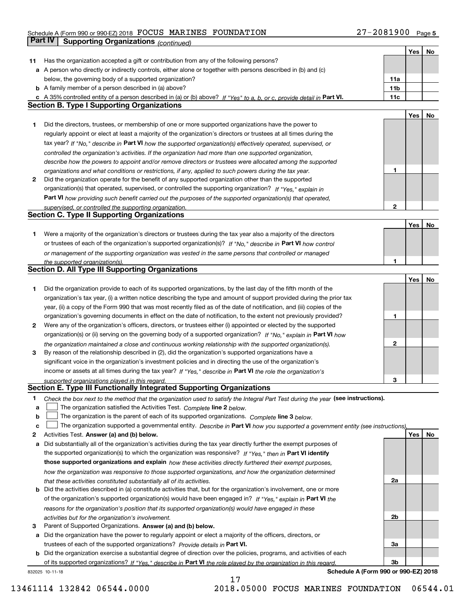## Schedule A (Form 990 or 990-EZ) 2018 Page FOCUS MARINES FOUNDATION 27-2081900 **Part IV** Supporting Organizations (*continued*)

|    |                                                                                                                                                                              |                 | Yes | No |
|----|------------------------------------------------------------------------------------------------------------------------------------------------------------------------------|-----------------|-----|----|
| 11 | Has the organization accepted a gift or contribution from any of the following persons?                                                                                      |                 |     |    |
|    | a A person who directly or indirectly controls, either alone or together with persons described in (b) and (c)                                                               |                 |     |    |
|    | below, the governing body of a supported organization?                                                                                                                       | 11a             |     |    |
|    | <b>b</b> A family member of a person described in (a) above?                                                                                                                 | 11 <sub>b</sub> |     |    |
|    |                                                                                                                                                                              | 11c             |     |    |
|    | c A 35% controlled entity of a person described in (a) or (b) above? If "Yes" to a, b, or c, provide detail in Part VI.<br><b>Section B. Type I Supporting Organizations</b> |                 |     |    |
|    |                                                                                                                                                                              |                 |     |    |
|    |                                                                                                                                                                              |                 | Yes | No |
| 1  | Did the directors, trustees, or membership of one or more supported organizations have the power to                                                                          |                 |     |    |
|    | regularly appoint or elect at least a majority of the organization's directors or trustees at all times during the                                                           |                 |     |    |
|    | tax year? If "No," describe in Part VI how the supported organization(s) effectively operated, supervised, or                                                                |                 |     |    |
|    | controlled the organization's activities. If the organization had more than one supported organization,                                                                      |                 |     |    |
|    | describe how the powers to appoint and/or remove directors or trustees were allocated among the supported                                                                    |                 |     |    |
|    | organizations and what conditions or restrictions, if any, applied to such powers during the tax year.                                                                       | 1               |     |    |
| 2  | Did the organization operate for the benefit of any supported organization other than the supported                                                                          |                 |     |    |
|    | organization(s) that operated, supervised, or controlled the supporting organization? If "Yes," explain in                                                                   |                 |     |    |
|    | Part VI how providing such benefit carried out the purposes of the supported organization(s) that operated,                                                                  |                 |     |    |
|    | supervised, or controlled the supporting organization.                                                                                                                       | $\mathbf{2}$    |     |    |
|    | <b>Section C. Type II Supporting Organizations</b>                                                                                                                           |                 |     |    |
|    |                                                                                                                                                                              |                 | Yes | No |
|    |                                                                                                                                                                              |                 |     |    |
| 1  | Were a majority of the organization's directors or trustees during the tax year also a majority of the directors                                                             |                 |     |    |
|    | or trustees of each of the organization's supported organization(s)? If "No," describe in Part VI how control                                                                |                 |     |    |
|    | or management of the supporting organization was vested in the same persons that controlled or managed                                                                       |                 |     |    |
|    | the supported organization(s).                                                                                                                                               | 1               |     |    |
|    | <b>Section D. All Type III Supporting Organizations</b>                                                                                                                      |                 |     |    |
|    |                                                                                                                                                                              |                 | Yes | No |
| 1  | Did the organization provide to each of its supported organizations, by the last day of the fifth month of the                                                               |                 |     |    |
|    | organization's tax year, (i) a written notice describing the type and amount of support provided during the prior tax                                                        |                 |     |    |
|    | year, (ii) a copy of the Form 990 that was most recently filed as of the date of notification, and (iii) copies of the                                                       |                 |     |    |
|    | organization's governing documents in effect on the date of notification, to the extent not previously provided?                                                             | 1               |     |    |
| 2  | Were any of the organization's officers, directors, or trustees either (i) appointed or elected by the supported                                                             |                 |     |    |
|    | organization(s) or (ii) serving on the governing body of a supported organization? If "No," explain in Part VI how                                                           |                 |     |    |
|    | the organization maintained a close and continuous working relationship with the supported organization(s).                                                                  | 2               |     |    |
| 3  | By reason of the relationship described in (2), did the organization's supported organizations have a                                                                        |                 |     |    |
|    | significant voice in the organization's investment policies and in directing the use of the organization's                                                                   |                 |     |    |
|    |                                                                                                                                                                              |                 |     |    |
|    | income or assets at all times during the tax year? If "Yes," describe in Part VI the role the organization's                                                                 |                 |     |    |
|    | supported organizations played in this regard.                                                                                                                               | 3               |     |    |
|    | Section E. Type III Functionally Integrated Supporting Organizations                                                                                                         |                 |     |    |
| 1. | Check the box next to the method that the organization used to satisfy the Integral Part Test during the year (see instructions).                                            |                 |     |    |
| а  | The organization satisfied the Activities Test. Complete line 2 below.                                                                                                       |                 |     |    |
| b  | The organization is the parent of each of its supported organizations. Complete line 3 below.                                                                                |                 |     |    |
| c  | The organization supported a governmental entity. Describe in Part VI how you supported a government entity (see instructions),                                              |                 |     |    |
| 2  | Activities Test. Answer (a) and (b) below.                                                                                                                                   |                 | Yes | No |
| a  | Did substantially all of the organization's activities during the tax year directly further the exempt purposes of                                                           |                 |     |    |
|    | the supported organization(s) to which the organization was responsive? If "Yes," then in Part VI identify                                                                   |                 |     |    |
|    | those supported organizations and explain how these activities directly furthered their exempt purposes,                                                                     |                 |     |    |
|    | how the organization was responsive to those supported organizations, and how the organization determined                                                                    |                 |     |    |
|    | that these activities constituted substantially all of its activities.                                                                                                       | 2a              |     |    |
|    | <b>b</b> Did the activities described in (a) constitute activities that, but for the organization's involvement, one or more                                                 |                 |     |    |
|    |                                                                                                                                                                              |                 |     |    |
|    | of the organization's supported organization(s) would have been engaged in? If "Yes," explain in Part VI the                                                                 |                 |     |    |
|    | reasons for the organization's position that its supported organization(s) would have engaged in these                                                                       |                 |     |    |
|    | activities but for the organization's involvement.                                                                                                                           | 2b              |     |    |
| 3  | Parent of Supported Organizations. Answer (a) and (b) below.                                                                                                                 |                 |     |    |
|    | a Did the organization have the power to regularly appoint or elect a majority of the officers, directors, or                                                                |                 |     |    |
|    | trustees of each of the supported organizations? Provide details in Part VI.                                                                                                 | За              |     |    |
|    | b Did the organization exercise a substantial degree of direction over the policies, programs, and activities of each                                                        |                 |     |    |
|    | of its supported organizations? If "Yes," describe in Part VI the role played by the organization in this regard.                                                            | 3b              |     |    |
|    | Schedule A (Form 990 or 990-EZ) 2018<br>832025 10-11-18                                                                                                                      |                 |     |    |

17

**Schedule A (Form 990 or 990-EZ) 2018**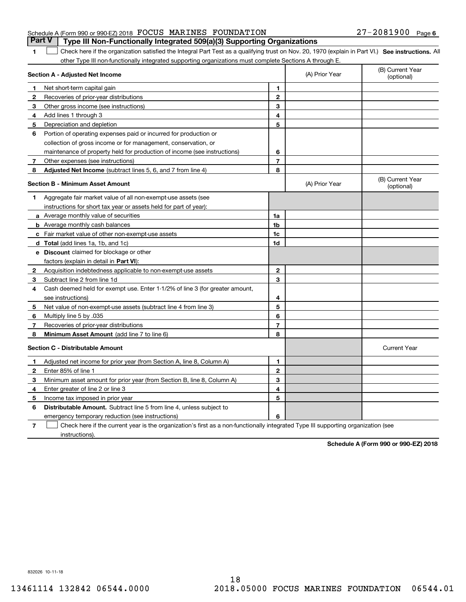|                                                               |  | <b>Part V</b> Type III Non-Functionally Integrated 509(a)(3) Supporting Organizations |                   |  |
|---------------------------------------------------------------|--|---------------------------------------------------------------------------------------|-------------------|--|
| Schedule A (Form 990 or 990-EZ) 2018 FOCUS MARINES FOUNDATION |  |                                                                                       | 27-2081900 Page 6 |  |

1 Check here if the organization satisfied the Integral Part Test as a qualifying trust on Nov. 20, 1970 (explain in Part VI.) See instructions. All other Type III non-functionally integrated supporting organizations must complete Sections A through E.

|              | Section A - Adjusted Net Income                                                                                                   |                | (A) Prior Year | (B) Current Year<br>(optional) |
|--------------|-----------------------------------------------------------------------------------------------------------------------------------|----------------|----------------|--------------------------------|
| 1            | Net short-term capital gain                                                                                                       | 1              |                |                                |
| 2            | Recoveries of prior-year distributions                                                                                            | $\overline{2}$ |                |                                |
| 3            | Other gross income (see instructions)                                                                                             | 3              |                |                                |
| 4            | Add lines 1 through 3                                                                                                             | 4              |                |                                |
| 5            | Depreciation and depletion                                                                                                        | 5              |                |                                |
| 6            | Portion of operating expenses paid or incurred for production or                                                                  |                |                |                                |
|              | collection of gross income or for management, conservation, or                                                                    |                |                |                                |
|              | maintenance of property held for production of income (see instructions)                                                          | 6              |                |                                |
| 7            | Other expenses (see instructions)                                                                                                 | $\overline{7}$ |                |                                |
| 8            | Adjusted Net Income (subtract lines 5, 6, and 7 from line 4)                                                                      | 8              |                |                                |
|              | <b>Section B - Minimum Asset Amount</b>                                                                                           |                | (A) Prior Year | (B) Current Year<br>(optional) |
| 1            | Aggregate fair market value of all non-exempt-use assets (see                                                                     |                |                |                                |
|              | instructions for short tax year or assets held for part of year):                                                                 |                |                |                                |
|              | a Average monthly value of securities                                                                                             | 1a             |                |                                |
|              | <b>b</b> Average monthly cash balances                                                                                            | 1b             |                |                                |
|              | c Fair market value of other non-exempt-use assets                                                                                | 1c             |                |                                |
|              | d Total (add lines 1a, 1b, and 1c)                                                                                                | 1d             |                |                                |
|              | <b>e</b> Discount claimed for blockage or other                                                                                   |                |                |                                |
|              | factors (explain in detail in Part VI):                                                                                           |                |                |                                |
| $\mathbf{2}$ | Acquisition indebtedness applicable to non-exempt-use assets                                                                      | $\mathbf{2}$   |                |                                |
| 3            | Subtract line 2 from line 1d                                                                                                      | 3              |                |                                |
| 4            | Cash deemed held for exempt use. Enter 1-1/2% of line 3 (for greater amount,                                                      |                |                |                                |
|              | see instructions)                                                                                                                 | 4              |                |                                |
| 5            | Net value of non-exempt-use assets (subtract line 4 from line 3)                                                                  | 5              |                |                                |
| 6            | Multiply line 5 by .035                                                                                                           | 6              |                |                                |
| 7            | Recoveries of prior-year distributions                                                                                            | $\overline{7}$ |                |                                |
| 8            | Minimum Asset Amount (add line 7 to line 6)                                                                                       | 8              |                |                                |
|              | <b>Section C - Distributable Amount</b>                                                                                           |                |                | <b>Current Year</b>            |
| 1            | Adjusted net income for prior year (from Section A, line 8, Column A)                                                             | $\mathbf{1}$   |                |                                |
| 2            | Enter 85% of line 1                                                                                                               | $\mathbf 2$    |                |                                |
| 3            | Minimum asset amount for prior year (from Section B, line 8, Column A)                                                            | 3              |                |                                |
| 4            | Enter greater of line 2 or line 3                                                                                                 | 4              |                |                                |
| 5            | Income tax imposed in prior year                                                                                                  | 5              |                |                                |
| 6            | <b>Distributable Amount.</b> Subtract line 5 from line 4, unless subject to                                                       |                |                |                                |
|              | emergency temporary reduction (see instructions)                                                                                  | 6              |                |                                |
| 7            | Check here if the current year is the organization's first as a non-functionally integrated Type III supporting organization (see |                |                |                                |

instructions).

**1**

**Schedule A (Form 990 or 990-EZ) 2018**

832026 10-11-18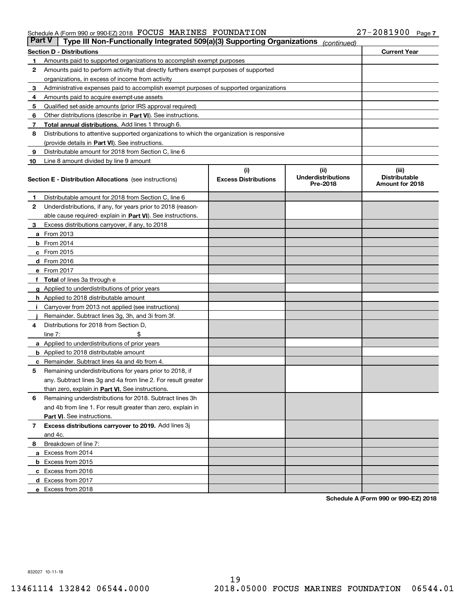| <b>Part V</b> | Type III Non-Functionally Integrated 509(a)(3) Supporting Organizations                    |                             | (continued)                           |                                         |
|---------------|--------------------------------------------------------------------------------------------|-----------------------------|---------------------------------------|-----------------------------------------|
|               | <b>Section D - Distributions</b>                                                           |                             |                                       | <b>Current Year</b>                     |
| 1             | Amounts paid to supported organizations to accomplish exempt purposes                      |                             |                                       |                                         |
| 2             | Amounts paid to perform activity that directly furthers exempt purposes of supported       |                             |                                       |                                         |
|               | organizations, in excess of income from activity                                           |                             |                                       |                                         |
| 3             | Administrative expenses paid to accomplish exempt purposes of supported organizations      |                             |                                       |                                         |
| 4             | Amounts paid to acquire exempt-use assets                                                  |                             |                                       |                                         |
| 5             | Qualified set-aside amounts (prior IRS approval required)                                  |                             |                                       |                                         |
| 6             | Other distributions (describe in Part VI). See instructions.                               |                             |                                       |                                         |
| 7             | <b>Total annual distributions.</b> Add lines 1 through 6.                                  |                             |                                       |                                         |
| 8             | Distributions to attentive supported organizations to which the organization is responsive |                             |                                       |                                         |
|               | (provide details in Part VI). See instructions.                                            |                             |                                       |                                         |
| 9             | Distributable amount for 2018 from Section C, line 6                                       |                             |                                       |                                         |
| 10            | Line 8 amount divided by line 9 amount                                                     |                             |                                       |                                         |
|               |                                                                                            | (i)                         | (ii)                                  | (iii)                                   |
|               | <b>Section E - Distribution Allocations</b> (see instructions)                             | <b>Excess Distributions</b> | <b>Underdistributions</b><br>Pre-2018 | <b>Distributable</b><br>Amount for 2018 |
| 1             | Distributable amount for 2018 from Section C, line 6                                       |                             |                                       |                                         |
| 2             | Underdistributions, if any, for years prior to 2018 (reason-                               |                             |                                       |                                         |
|               | able cause required- explain in <b>Part VI</b> ). See instructions.                        |                             |                                       |                                         |
| З             | Excess distributions carryover, if any, to 2018                                            |                             |                                       |                                         |
|               | <b>a</b> From 2013                                                                         |                             |                                       |                                         |
|               | <b>b</b> From 2014                                                                         |                             |                                       |                                         |
|               | $c$ From 2015                                                                              |                             |                                       |                                         |
|               | d From 2016                                                                                |                             |                                       |                                         |
|               | e From 2017                                                                                |                             |                                       |                                         |
|               | <b>Total</b> of lines 3a through e                                                         |                             |                                       |                                         |
| g             | Applied to underdistributions of prior years                                               |                             |                                       |                                         |
|               | <b>h</b> Applied to 2018 distributable amount                                              |                             |                                       |                                         |
|               | Carryover from 2013 not applied (see instructions)                                         |                             |                                       |                                         |
|               | Remainder. Subtract lines 3g, 3h, and 3i from 3f.                                          |                             |                                       |                                         |
| 4             | Distributions for 2018 from Section D,                                                     |                             |                                       |                                         |
|               | line $7:$                                                                                  |                             |                                       |                                         |
|               | <b>a</b> Applied to underdistributions of prior years                                      |                             |                                       |                                         |
|               | <b>b</b> Applied to 2018 distributable amount                                              |                             |                                       |                                         |
|               | c Remainder. Subtract lines 4a and 4b from 4.                                              |                             |                                       |                                         |
| 5             | Remaining underdistributions for years prior to 2018, if                                   |                             |                                       |                                         |
|               | any. Subtract lines 3g and 4a from line 2. For result greater                              |                             |                                       |                                         |
|               | than zero, explain in Part VI. See instructions.                                           |                             |                                       |                                         |
| 6             | Remaining underdistributions for 2018. Subtract lines 3h                                   |                             |                                       |                                         |
|               | and 4b from line 1. For result greater than zero, explain in                               |                             |                                       |                                         |
|               | Part VI. See instructions.                                                                 |                             |                                       |                                         |
| 7             | Excess distributions carryover to 2019. Add lines 3j                                       |                             |                                       |                                         |
|               | and 4c.                                                                                    |                             |                                       |                                         |
| 8             | Breakdown of line 7:                                                                       |                             |                                       |                                         |
|               | a Excess from 2014                                                                         |                             |                                       |                                         |
|               | <b>b</b> Excess from 2015                                                                  |                             |                                       |                                         |
|               | c Excess from 2016                                                                         |                             |                                       |                                         |
|               | d Excess from 2017                                                                         |                             |                                       |                                         |
|               | e Excess from 2018                                                                         |                             |                                       |                                         |
|               |                                                                                            |                             |                                       |                                         |

**Schedule A (Form 990 or 990-EZ) 2018**

832027 10-11-18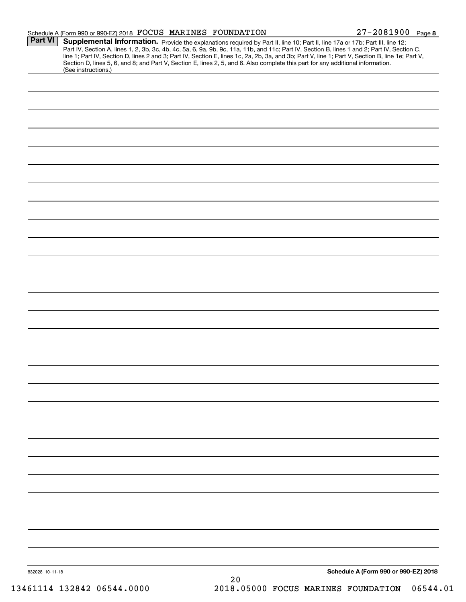|                 | Schedule A (Form 990 or 990-EZ) 2018 FOCUS MARINES FOUNDATION                                                                                          |    | 27-2081900 Page 8                                                                                                                                                                                                                                                                                                                                                                                                                 |
|-----------------|--------------------------------------------------------------------------------------------------------------------------------------------------------|----|-----------------------------------------------------------------------------------------------------------------------------------------------------------------------------------------------------------------------------------------------------------------------------------------------------------------------------------------------------------------------------------------------------------------------------------|
| <b>Part VI</b>  | Section D, lines 5, 6, and 8; and Part V, Section E, lines 2, 5, and 6. Also complete this part for any additional information.<br>(See instructions.) |    | Supplemental Information. Provide the explanations required by Part II, line 10; Part II, line 17a or 17b; Part III, line 12;<br>Part IV, Section A, lines 1, 2, 3b, 3c, 4b, 4c, 5a, 6, 9a, 9b, 9c, 11a, 11b, and 11c; Part IV, Section B, lines 1 and 2; Part IV, Section C,<br>line 1; Part IV, Section D, lines 2 and 3; Part IV, Section E, lines 1c, 2a, 2b, 3a, and 3b; Part V, line 1; Part V, Section B, line 1e; Part V, |
|                 |                                                                                                                                                        |    |                                                                                                                                                                                                                                                                                                                                                                                                                                   |
|                 |                                                                                                                                                        |    |                                                                                                                                                                                                                                                                                                                                                                                                                                   |
|                 |                                                                                                                                                        |    |                                                                                                                                                                                                                                                                                                                                                                                                                                   |
|                 |                                                                                                                                                        |    |                                                                                                                                                                                                                                                                                                                                                                                                                                   |
|                 |                                                                                                                                                        |    |                                                                                                                                                                                                                                                                                                                                                                                                                                   |
|                 |                                                                                                                                                        |    |                                                                                                                                                                                                                                                                                                                                                                                                                                   |
|                 |                                                                                                                                                        |    |                                                                                                                                                                                                                                                                                                                                                                                                                                   |
|                 |                                                                                                                                                        |    |                                                                                                                                                                                                                                                                                                                                                                                                                                   |
|                 |                                                                                                                                                        |    |                                                                                                                                                                                                                                                                                                                                                                                                                                   |
|                 |                                                                                                                                                        |    |                                                                                                                                                                                                                                                                                                                                                                                                                                   |
|                 |                                                                                                                                                        |    |                                                                                                                                                                                                                                                                                                                                                                                                                                   |
|                 |                                                                                                                                                        |    |                                                                                                                                                                                                                                                                                                                                                                                                                                   |
|                 |                                                                                                                                                        |    |                                                                                                                                                                                                                                                                                                                                                                                                                                   |
|                 |                                                                                                                                                        |    |                                                                                                                                                                                                                                                                                                                                                                                                                                   |
|                 |                                                                                                                                                        |    |                                                                                                                                                                                                                                                                                                                                                                                                                                   |
|                 |                                                                                                                                                        |    |                                                                                                                                                                                                                                                                                                                                                                                                                                   |
|                 |                                                                                                                                                        |    |                                                                                                                                                                                                                                                                                                                                                                                                                                   |
|                 |                                                                                                                                                        |    |                                                                                                                                                                                                                                                                                                                                                                                                                                   |
|                 |                                                                                                                                                        |    |                                                                                                                                                                                                                                                                                                                                                                                                                                   |
|                 |                                                                                                                                                        |    |                                                                                                                                                                                                                                                                                                                                                                                                                                   |
|                 |                                                                                                                                                        |    |                                                                                                                                                                                                                                                                                                                                                                                                                                   |
|                 |                                                                                                                                                        |    |                                                                                                                                                                                                                                                                                                                                                                                                                                   |
|                 |                                                                                                                                                        |    |                                                                                                                                                                                                                                                                                                                                                                                                                                   |
|                 |                                                                                                                                                        |    |                                                                                                                                                                                                                                                                                                                                                                                                                                   |
|                 |                                                                                                                                                        |    |                                                                                                                                                                                                                                                                                                                                                                                                                                   |
|                 |                                                                                                                                                        |    |                                                                                                                                                                                                                                                                                                                                                                                                                                   |
|                 |                                                                                                                                                        |    |                                                                                                                                                                                                                                                                                                                                                                                                                                   |
|                 |                                                                                                                                                        |    |                                                                                                                                                                                                                                                                                                                                                                                                                                   |
| 832028 10-11-18 |                                                                                                                                                        |    | Schedule A (Form 990 or 990-EZ) 2018                                                                                                                                                                                                                                                                                                                                                                                              |
|                 |                                                                                                                                                        | 20 |                                                                                                                                                                                                                                                                                                                                                                                                                                   |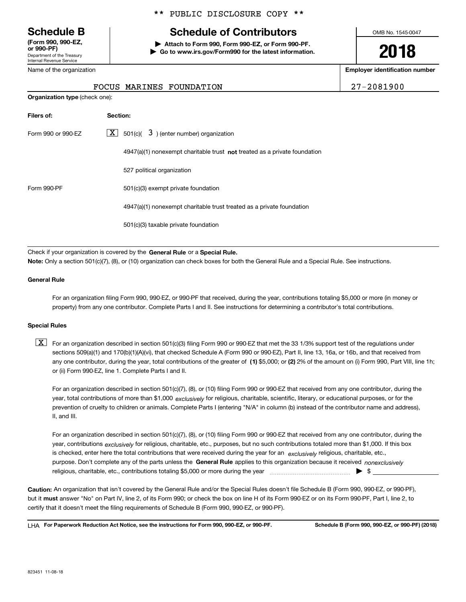Department of the Treasury Internal Revenue Service **(Form 990, 990-EZ, or 990-PF)**

Name of the organization

#### \*\* PUBLIC DISCLOSURE COPY \*\*

# **Schedule B Schedule of Contributors**

**| Attach to Form 990, Form 990-EZ, or Form 990-PF. | Go to www.irs.gov/Form990 for the latest information.** OMB No. 1545-0047

# **2018**

**Employer identification number**

FOCUS MARINES FOUNDATION 27-2081900

| <b>Organization type (check one):</b> |                                                                           |  |  |  |  |  |
|---------------------------------------|---------------------------------------------------------------------------|--|--|--|--|--|
| Filers of:                            | Section:                                                                  |  |  |  |  |  |
| Form 990 or 990-EZ                    | $X$ 501(c)( 3) (enter number) organization                                |  |  |  |  |  |
|                                       | 4947(a)(1) nonexempt charitable trust not treated as a private foundation |  |  |  |  |  |
|                                       | 527 political organization                                                |  |  |  |  |  |
| Form 990-PF                           | 501(c)(3) exempt private foundation                                       |  |  |  |  |  |
|                                       | 4947(a)(1) nonexempt charitable trust treated as a private foundation     |  |  |  |  |  |
|                                       | 501(c)(3) taxable private foundation                                      |  |  |  |  |  |
|                                       |                                                                           |  |  |  |  |  |

Check if your organization is covered by the **General Rule** or a **Special Rule.**<br>Nota: Only a section 501(c)(7), (8), or (10) erganization can chock boxes for be **Note:**  Only a section 501(c)(7), (8), or (10) organization can check boxes for both the General Rule and a Special Rule. See instructions.

#### **General Rule**

For an organization filing Form 990, 990-EZ, or 990-PF that received, during the year, contributions totaling \$5,000 or more (in money or property) from any one contributor. Complete Parts I and II. See instructions for determining a contributor's total contributions.

#### **Special Rules**

any one contributor, during the year, total contributions of the greater of  $\,$  (1) \$5,000; or **(2)** 2% of the amount on (i) Form 990, Part VIII, line 1h;  $\boxed{\textbf{X}}$  For an organization described in section 501(c)(3) filing Form 990 or 990-EZ that met the 33 1/3% support test of the regulations under sections 509(a)(1) and 170(b)(1)(A)(vi), that checked Schedule A (Form 990 or 990-EZ), Part II, line 13, 16a, or 16b, and that received from or (ii) Form 990-EZ, line 1. Complete Parts I and II.

year, total contributions of more than \$1,000 *exclusively* for religious, charitable, scientific, literary, or educational purposes, or for the For an organization described in section 501(c)(7), (8), or (10) filing Form 990 or 990-EZ that received from any one contributor, during the prevention of cruelty to children or animals. Complete Parts I (entering "N/A" in column (b) instead of the contributor name and address), II, and III.

purpose. Don't complete any of the parts unless the **General Rule** applies to this organization because it received *nonexclusively* year, contributions <sub>exclusively</sub> for religious, charitable, etc., purposes, but no such contributions totaled more than \$1,000. If this box is checked, enter here the total contributions that were received during the year for an  $\;$ exclusively religious, charitable, etc., For an organization described in section 501(c)(7), (8), or (10) filing Form 990 or 990-EZ that received from any one contributor, during the religious, charitable, etc., contributions totaling \$5,000 or more during the year  $\Box$ — $\Box$   $\Box$ 

**Caution:**  An organization that isn't covered by the General Rule and/or the Special Rules doesn't file Schedule B (Form 990, 990-EZ, or 990-PF), but it **must** answer "No" on Part IV, line 2, of its Form 990; or check the box on line H of its Form 990-EZ or on its Form 990-PF, Part I, line 2, to<br>cortify that it doesn't meet the filipe requirements of Schodule B (Fer certify that it doesn't meet the filing requirements of Schedule B (Form 990, 990-EZ, or 990-PF).

**For Paperwork Reduction Act Notice, see the instructions for Form 990, 990-EZ, or 990-PF. Schedule B (Form 990, 990-EZ, or 990-PF) (2018)** LHA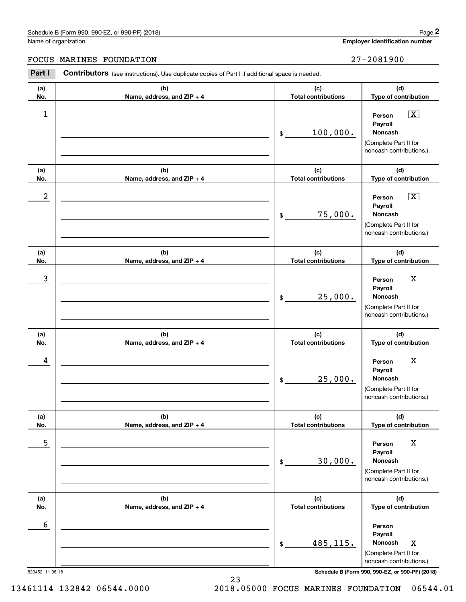#### Schedule B (Form 990, 990-EZ, or 990-PF) (2018) **Page 2** Page 1 and the state of the state of the state of the state of the state of the state of the state of the state of the state of the state of the state of the state o

Name of organization

#### FOCUS MARINES FOUNDATION 27-2081900

**(a)No.(b)Name, address, and ZIP + 4 (c)Total contributions (d)Type of contribution PersonPayrollNoncash(a)No.(b)Name, address, and ZIP + 4 (c)Total contributions (d)Type of contribution PersonPayrollNoncash(a)No.(b)Name, address, and ZIP + 4 (c)Total contributions (d)Type of contribution PersonPayrollNoncash(a) No.(b) Name, address, and ZIP + 4 (c) Total contributions (d) Type of contribution PersonPayrollNoncash(a) No.(b) Name, address, and ZIP + 4 (c) Total contributions (d) Type of contribution PersonPayrollNoncash(a) No.(b)Name, address, and ZIP + 4 (c) Total contributions (d)Type of contribution PersonPayrollNoncashContributors** (see instructions). Use duplicate copies of Part I if additional space is needed. \$(Complete Part II for noncash contributions.) \$(Complete Part II for noncash contributions.) \$(Complete Part II for noncash contributions.) \$(Complete Part II for noncash contributions.) \$(Complete Part II for noncash contributions.) \$(Complete Part II for noncash contributions.) **2Page 2**<br>
Iame of organization<br> **PARTINES FOUNDATION**<br> **PARTINES FOUNDATION**<br> **PARTI Contributors** (see instructions). Use duplicate copies of Part I if additional space is needed.  $\boxed{\mathbf{X}}$  $\sqrt{X}$  $\begin{array}{c|c|c|c|c|c} 1 & \hspace{1.5cm} & \hspace{1.5cm} & \hspace{1.5cm} & \hspace{1.5cm} & \hspace{1.5cm} & \hspace{1.5cm} & \hspace{1.5cm} & \hspace{1.5cm} & \hspace{1.5cm} & \hspace{1.5cm} & \hspace{1.5cm} & \hspace{1.5cm} & \hspace{1.5cm} & \hspace{1.5cm} & \hspace{1.5cm} & \hspace{1.5cm} & \hspace{1.5cm} & \hspace{1.5cm} & \hspace{1.5cm} & \hspace{1.5cm} &$ 100,000.  $2$  | Person  $\overline{\text{X}}$ 75,000. 3 X 25,000. 4 Person X 25,000. <u>5 | Person X</u> 30,000. 6 485,115. | Noncash X

823452 11-08-18 **Schedule B (Form 990, 990-EZ, or 990-PF) (2018)**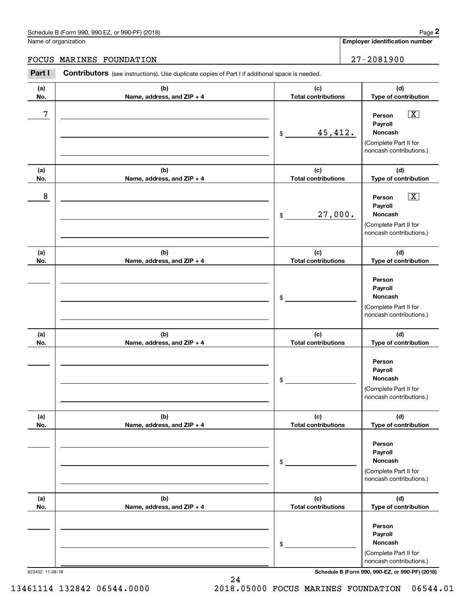#### Schedule B (Form 990, 990-EZ, or 990-PF) (2018) **Page 2** Page 1 and the state of the state of the state of the state of the state of the state of the state of the state of the state of the state of the state of the state o

Name of organization

#### FOCUS MARINES FOUNDATION 27-2081900

**(a)No.(b)Name, address, and ZIP + 4 (c)Total contributions (d)Type of contribution PersonPayrollNoncash(a)No.(b)Name, address, and ZIP + 4 (c)Total contributions (d)Type of contribution PersonPayrollNoncash(a)No.(b)Name, address, and ZIP + 4 (c)Total contributions (d)Type of contribution PersonPayrollNoncash(a) No.(b) Name, address, and ZIP + 4 (c) Total contributions (d) Type of contribution PersonPayrollNoncash(a) No.(b) Name, address, and ZIP + 4 (c) Total contributions (d) Type of contribution PersonPayrollNoncash(a) No.(b)Name, address, and ZIP + 4 (c) Total contributions (d)Type of contribution PersonPayrollNoncashContributors** (see instructions). Use duplicate copies of Part I if additional space is needed. \$(Complete Part II for noncash contributions.) \$(Complete Part II for noncash contributions.) \$(Complete Part II for noncash contributions.) \$(Complete Part II for noncash contributions.) \$(Complete Part II for noncash contributions.) \$(Complete Part II for noncash contributions.) **2Page 2**<br>
Iame of organization<br> **PARTINES FOUNDATION**<br> **PARTINES FOUNDATION**<br> **PARTI Contributors** (see instructions). Use duplicate copies of Part I if additional space is needed.  $\boxed{\mathbf{X}}$  $\boxed{\mathbf{X}}$ 7 X 45,412. 8 X 27,000.

823452 11-08-18 **Schedule B (Form 990, 990-EZ, or 990-PF) (2018)**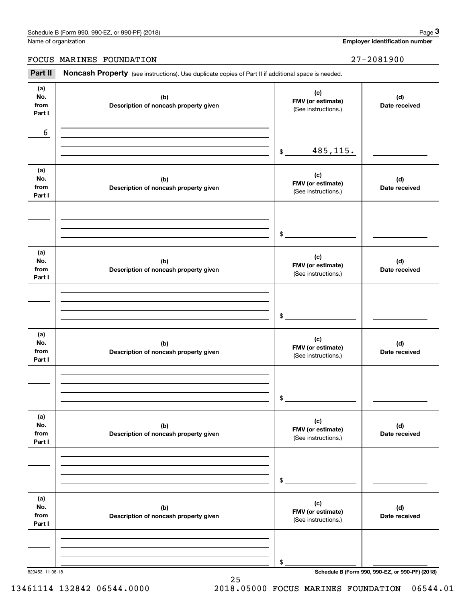|                              | Schedule B (Form 990, 990-EZ, or 990-PF) (2018)                                                     |                                                 | Page 3                                          |
|------------------------------|-----------------------------------------------------------------------------------------------------|-------------------------------------------------|-------------------------------------------------|
|                              | Name of organization                                                                                |                                                 | <b>Employer identification number</b>           |
| FOCUS MARINES FOUNDATION     |                                                                                                     |                                                 | $27 - 2081900$                                  |
| Part II                      | Noncash Property (see instructions). Use duplicate copies of Part II if additional space is needed. |                                                 |                                                 |
| (a)<br>No.<br>from<br>Part I | (b)<br>Description of noncash property given                                                        | (c)<br>FMV (or estimate)<br>(See instructions.) | (d)<br>Date received                            |
| 6                            |                                                                                                     | 485,115.<br>\$                                  |                                                 |
| (a)<br>No.<br>from<br>Part I | (b)<br>Description of noncash property given                                                        | (c)<br>FMV (or estimate)<br>(See instructions.) | (d)<br>Date received                            |
|                              |                                                                                                     | \$                                              |                                                 |
| (a)<br>No.<br>from<br>Part I | (b)<br>Description of noncash property given                                                        | (c)<br>FMV (or estimate)<br>(See instructions.) | (d)<br>Date received                            |
|                              |                                                                                                     | \$                                              |                                                 |
| (a)<br>No.<br>from<br>Part I | (b)<br>Description of noncash property given                                                        | (c)<br>FMV (or estimate)<br>(See instructions.) | (d)<br>Date received                            |
|                              |                                                                                                     | \$                                              |                                                 |
| (a)<br>No.<br>from<br>Part I | (b)<br>Description of noncash property given                                                        | (c)<br>FMV (or estimate)<br>(See instructions.) | (d)<br>Date received                            |
|                              |                                                                                                     | \$                                              |                                                 |
| (a)<br>No.<br>from<br>Part I | (b)<br>Description of noncash property given                                                        | (c)<br>FMV (or estimate)<br>(See instructions.) | (d)<br>Date received                            |
|                              |                                                                                                     | \$                                              | Schedule B (Form 990, 990-EZ, or 990-PF) (2018) |

25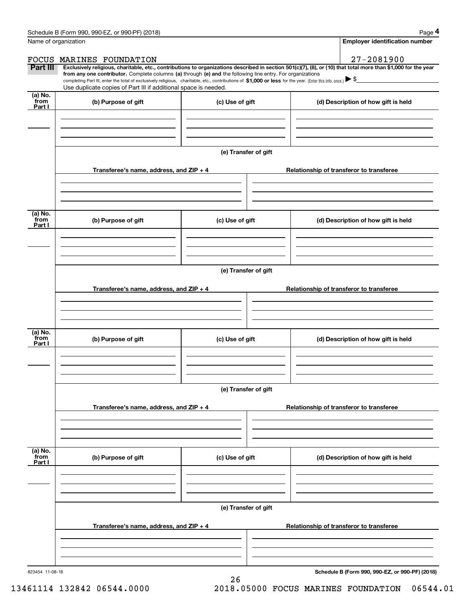|                           | Schedule B (Form 990, 990-EZ, or 990-PF) (2018)                                                                                                                                                                                                                                                 |                                       | Page 4                                                                                                                                                         |  |  |  |
|---------------------------|-------------------------------------------------------------------------------------------------------------------------------------------------------------------------------------------------------------------------------------------------------------------------------------------------|---------------------------------------|----------------------------------------------------------------------------------------------------------------------------------------------------------------|--|--|--|
| Name of organization      |                                                                                                                                                                                                                                                                                                 | <b>Employer identification number</b> |                                                                                                                                                                |  |  |  |
| FOCUS                     | MARINES FOUNDATION                                                                                                                                                                                                                                                                              |                                       | $27 - 2081900$                                                                                                                                                 |  |  |  |
| Part III                  | from any one contributor. Complete columns (a) through (e) and the following line entry. For organizations<br>completing Part III, enter the total of exclusively religious, charitable, etc., contributions of \$1,000 or less for the year. (Enter this info. once.) $\blacktriangleright$ \$ |                                       | Exclusively religious, charitable, etc., contributions to organizations described in section 501(c)(7), (8), or (10) that total more than \$1,000 for the year |  |  |  |
|                           | Use duplicate copies of Part III if additional space is needed.                                                                                                                                                                                                                                 |                                       |                                                                                                                                                                |  |  |  |
| (a) No.<br>from<br>Part I | (b) Purpose of gift                                                                                                                                                                                                                                                                             | (c) Use of gift                       | (d) Description of how gift is held                                                                                                                            |  |  |  |
|                           |                                                                                                                                                                                                                                                                                                 |                                       |                                                                                                                                                                |  |  |  |
|                           |                                                                                                                                                                                                                                                                                                 |                                       |                                                                                                                                                                |  |  |  |
|                           |                                                                                                                                                                                                                                                                                                 | (e) Transfer of gift                  |                                                                                                                                                                |  |  |  |
|                           | Transferee's name, address, and ZIP + 4                                                                                                                                                                                                                                                         |                                       | Relationship of transferor to transferee                                                                                                                       |  |  |  |
|                           |                                                                                                                                                                                                                                                                                                 |                                       |                                                                                                                                                                |  |  |  |
| (a) No.<br>from<br>Part I | (b) Purpose of gift                                                                                                                                                                                                                                                                             | (c) Use of gift                       | (d) Description of how gift is held                                                                                                                            |  |  |  |
|                           |                                                                                                                                                                                                                                                                                                 |                                       |                                                                                                                                                                |  |  |  |
|                           |                                                                                                                                                                                                                                                                                                 |                                       |                                                                                                                                                                |  |  |  |
|                           | (e) Transfer of gift                                                                                                                                                                                                                                                                            |                                       |                                                                                                                                                                |  |  |  |
|                           | Transferee's name, address, and ZIP + 4                                                                                                                                                                                                                                                         |                                       | Relationship of transferor to transferee                                                                                                                       |  |  |  |
|                           |                                                                                                                                                                                                                                                                                                 |                                       |                                                                                                                                                                |  |  |  |
|                           |                                                                                                                                                                                                                                                                                                 |                                       |                                                                                                                                                                |  |  |  |
| (a) No.<br>from<br>Part I | (b) Purpose of gift                                                                                                                                                                                                                                                                             | (c) Use of gift                       | (d) Description of how gift is held                                                                                                                            |  |  |  |
|                           |                                                                                                                                                                                                                                                                                                 |                                       |                                                                                                                                                                |  |  |  |
|                           |                                                                                                                                                                                                                                                                                                 |                                       |                                                                                                                                                                |  |  |  |
|                           | (e) Transfer of gift                                                                                                                                                                                                                                                                            |                                       |                                                                                                                                                                |  |  |  |
|                           | Transferee's name, address, and ZIP + 4                                                                                                                                                                                                                                                         |                                       | Relationship of transferor to transferee                                                                                                                       |  |  |  |
|                           |                                                                                                                                                                                                                                                                                                 |                                       |                                                                                                                                                                |  |  |  |
|                           |                                                                                                                                                                                                                                                                                                 |                                       |                                                                                                                                                                |  |  |  |
| (a) No.<br>from<br>Part I | (b) Purpose of gift                                                                                                                                                                                                                                                                             | (c) Use of gift                       | (d) Description of how gift is held                                                                                                                            |  |  |  |
|                           |                                                                                                                                                                                                                                                                                                 |                                       |                                                                                                                                                                |  |  |  |
|                           |                                                                                                                                                                                                                                                                                                 |                                       |                                                                                                                                                                |  |  |  |
|                           | (e) Transfer of gift                                                                                                                                                                                                                                                                            |                                       |                                                                                                                                                                |  |  |  |
|                           | Transferee's name, address, and ZIP + 4                                                                                                                                                                                                                                                         |                                       | Relationship of transferor to transferee                                                                                                                       |  |  |  |
|                           |                                                                                                                                                                                                                                                                                                 |                                       |                                                                                                                                                                |  |  |  |
|                           |                                                                                                                                                                                                                                                                                                 |                                       |                                                                                                                                                                |  |  |  |

26

**Schedule B (Form 990, 990-EZ, or 990-PF) (2018)**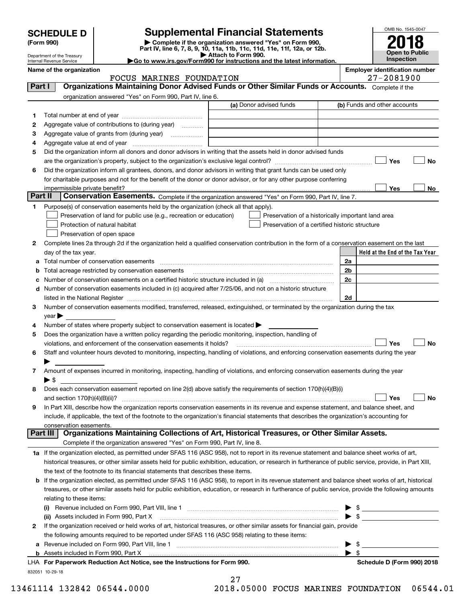| <b>SCHEDULE D</b> |  |
|-------------------|--|
|-------------------|--|

# **Supplemental Financial Statements**

(Form 990)<br>
Pepartment of the Treasury<br>
Department of the Treasury<br>
Department of the Treasury<br>
Department of the Treasury<br> **Co to www.irs.gov/Form990 for instructions and the latest information.**<br> **Co to www.irs.gov/Form9** 



Department of the Treasury Internal Revenue Service

| <b>INCLUATIVE VEHUE JEI VICE</b> |  |                                       |
|----------------------------------|--|---------------------------------------|
| Name of the organization         |  | <b>Emplover identification number</b> |

|          | FOCUS MARINES FOUNDATION                                                                                                                                   |                                                    | $27 - 2081900$                  |
|----------|------------------------------------------------------------------------------------------------------------------------------------------------------------|----------------------------------------------------|---------------------------------|
| Part I   | Organizations Maintaining Donor Advised Funds or Other Similar Funds or Accounts. Complete if the                                                          |                                                    |                                 |
|          | organization answered "Yes" on Form 990, Part IV, line 6.                                                                                                  |                                                    |                                 |
|          |                                                                                                                                                            | (a) Donor advised funds                            | (b) Funds and other accounts    |
| 1        |                                                                                                                                                            |                                                    |                                 |
| 2        | Aggregate value of contributions to (during year)                                                                                                          |                                                    |                                 |
| з        | Aggregate value of grants from (during year)                                                                                                               |                                                    |                                 |
| 4        |                                                                                                                                                            |                                                    |                                 |
| 5        | Did the organization inform all donors and donor advisors in writing that the assets held in donor advised funds                                           |                                                    |                                 |
|          |                                                                                                                                                            |                                                    | Yes<br>No                       |
| 6        | Did the organization inform all grantees, donors, and donor advisors in writing that grant funds can be used only                                          |                                                    |                                 |
|          | for charitable purposes and not for the benefit of the donor or donor advisor, or for any other purpose conferring                                         |                                                    |                                 |
|          | impermissible private benefit?                                                                                                                             |                                                    | Yes<br>No                       |
| Part II  | Conservation Easements. Complete if the organization answered "Yes" on Form 990, Part IV, line 7.                                                          |                                                    |                                 |
| 1        | Purpose(s) of conservation easements held by the organization (check all that apply).                                                                      |                                                    |                                 |
|          | Preservation of land for public use (e.g., recreation or education)                                                                                        | Preservation of a historically important land area |                                 |
|          | Protection of natural habitat                                                                                                                              | Preservation of a certified historic structure     |                                 |
|          | Preservation of open space                                                                                                                                 |                                                    |                                 |
|          |                                                                                                                                                            |                                                    |                                 |
| 2        | Complete lines 2a through 2d if the organization held a qualified conservation contribution in the form of a conservation easement on the last             |                                                    |                                 |
|          | day of the tax year.                                                                                                                                       |                                                    | Held at the End of the Tax Year |
| а        |                                                                                                                                                            |                                                    | 2a                              |
| b        | Total acreage restricted by conservation easements                                                                                                         |                                                    | 2b                              |
|          |                                                                                                                                                            |                                                    | 2c                              |
|          | d Number of conservation easements included in (c) acquired after 7/25/06, and not on a historic structure                                                 |                                                    |                                 |
|          |                                                                                                                                                            |                                                    | 2d                              |
| 3        | Number of conservation easements modified, transferred, released, extinguished, or terminated by the organization during the tax                           |                                                    |                                 |
|          | year                                                                                                                                                       |                                                    |                                 |
| 4        | Number of states where property subject to conservation easement is located >                                                                              |                                                    |                                 |
| 5        | Does the organization have a written policy regarding the periodic monitoring, inspection, handling of                                                     |                                                    |                                 |
|          | violations, and enforcement of the conservation easements it holds?                                                                                        |                                                    | Yes<br>No                       |
| 6        | Staff and volunteer hours devoted to monitoring, inspecting, handling of violations, and enforcing conservation easements during the year                  |                                                    |                                 |
|          |                                                                                                                                                            |                                                    |                                 |
| 7        | Amount of expenses incurred in monitoring, inspecting, handling of violations, and enforcing conservation easements during the year                        |                                                    |                                 |
|          | $\blacktriangleright$ s                                                                                                                                    |                                                    |                                 |
| 8        | Does each conservation easement reported on line 2(d) above satisfy the requirements of section 170(h)(4)(B)(i)                                            |                                                    |                                 |
|          |                                                                                                                                                            |                                                    | Yes<br>No                       |
| 9        | In Part XIII, describe how the organization reports conservation easements in its revenue and expense statement, and balance sheet, and                    |                                                    |                                 |
|          | include, if applicable, the text of the footnote to the organization's financial statements that describes the organization's accounting for               |                                                    |                                 |
|          | conservation easements.                                                                                                                                    |                                                    |                                 |
| Part III | Organizations Maintaining Collections of Art, Historical Treasures, or Other Similar Assets.                                                               |                                                    |                                 |
|          | Complete if the organization answered "Yes" on Form 990, Part IV, line 8.                                                                                  |                                                    |                                 |
|          | 1a If the organization elected, as permitted under SFAS 116 (ASC 958), not to report in its revenue statement and balance sheet works of art,              |                                                    |                                 |
|          | historical treasures, or other similar assets held for public exhibition, education, or research in furtherance of public service, provide, in Part XIII,  |                                                    |                                 |
|          | the text of the footnote to its financial statements that describes these items.                                                                           |                                                    |                                 |
|          | <b>b</b> If the organization elected, as permitted under SFAS 116 (ASC 958), to report in its revenue statement and balance sheet works of art, historical |                                                    |                                 |
|          | treasures, or other similar assets held for public exhibition, education, or research in furtherance of public service, provide the following amounts      |                                                    |                                 |
|          | relating to these items:                                                                                                                                   |                                                    |                                 |
|          | (i)                                                                                                                                                        |                                                    | $\frac{1}{2}$                   |
|          | (ii) Assets included in Form 990, Part X                                                                                                                   |                                                    |                                 |
| 2        | If the organization received or held works of art, historical treasures, or other similar assets for financial gain, provide                               |                                                    |                                 |
|          | the following amounts required to be reported under SFAS 116 (ASC 958) relating to these items:                                                            |                                                    |                                 |
| a        | Revenue included on Form 990, Part VIII, line 1 [2000] [2000] [2000] [2000] [3000] [3000] [3000] [3000] [3000                                              |                                                    | \$<br>▶                         |
|          |                                                                                                                                                            |                                                    | $\blacktriangleright$ \$        |
|          | LHA For Paperwork Reduction Act Notice, see the Instructions for Form 990.                                                                                 |                                                    | Schedule D (Form 990) 2018      |
|          | 832051 10-29-18                                                                                                                                            |                                                    |                                 |

27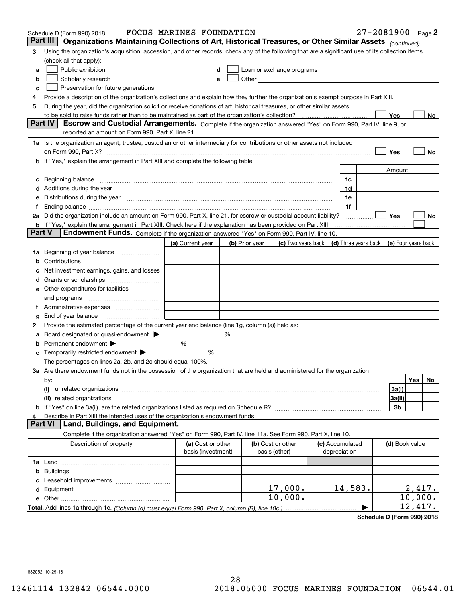|        | Schedule D (Form 990) 2018                                                                                                                                                                                                     | FOCUS MARINES FOUNDATION                |                |                                                                                                                                                                                                                               |                                      | $27 - 2081900$ Page 2 |                     |         |    |
|--------|--------------------------------------------------------------------------------------------------------------------------------------------------------------------------------------------------------------------------------|-----------------------------------------|----------------|-------------------------------------------------------------------------------------------------------------------------------------------------------------------------------------------------------------------------------|--------------------------------------|-----------------------|---------------------|---------|----|
|        | Part III<br>Organizations Maintaining Collections of Art, Historical Treasures, or Other Similar Assets (continued)                                                                                                            |                                         |                |                                                                                                                                                                                                                               |                                      |                       |                     |         |    |
| 3      | Using the organization's acquisition, accession, and other records, check any of the following that are a significant use of its collection items                                                                              |                                         |                |                                                                                                                                                                                                                               |                                      |                       |                     |         |    |
|        | (check all that apply):                                                                                                                                                                                                        |                                         |                |                                                                                                                                                                                                                               |                                      |                       |                     |         |    |
| a      | Public exhibition                                                                                                                                                                                                              | d                                       |                | Loan or exchange programs                                                                                                                                                                                                     |                                      |                       |                     |         |    |
| b      | Scholarly research                                                                                                                                                                                                             | e                                       |                | Other Charles Charles Charles Charles Charles Charles Charles Charles Charles Charles Charles Charles Charles Charles Charles Charles Charles Charles Charles Charles Charles Charles Charles Charles Charles Charles Charles |                                      |                       |                     |         |    |
| C      | Preservation for future generations                                                                                                                                                                                            |                                         |                |                                                                                                                                                                                                                               |                                      |                       |                     |         |    |
| 4      | Provide a description of the organization's collections and explain how they further the organization's exempt purpose in Part XIII.                                                                                           |                                         |                |                                                                                                                                                                                                                               |                                      |                       |                     |         |    |
| 5      | During the year, did the organization solicit or receive donations of art, historical treasures, or other similar assets                                                                                                       |                                         |                |                                                                                                                                                                                                                               |                                      |                       |                     |         |    |
|        | to be sold to raise funds rather than to be maintained as part of the organization's collection?                                                                                                                               |                                         |                |                                                                                                                                                                                                                               |                                      |                       | Yes                 |         | No |
|        | <b>Part IV</b><br>Escrow and Custodial Arrangements. Complete if the organization answered "Yes" on Form 990, Part IV, line 9, or                                                                                              |                                         |                |                                                                                                                                                                                                                               |                                      |                       |                     |         |    |
|        | reported an amount on Form 990, Part X, line 21.                                                                                                                                                                               |                                         |                |                                                                                                                                                                                                                               |                                      |                       |                     |         |    |
|        | 1a Is the organization an agent, trustee, custodian or other intermediary for contributions or other assets not included                                                                                                       |                                         |                |                                                                                                                                                                                                                               |                                      |                       |                     |         |    |
|        | on Form 990, Part X? [11] matter contracts and contracts and contracts are contracted as a function of the set of the set of the set of the set of the set of the set of the set of the set of the set of the set of the set o |                                         |                |                                                                                                                                                                                                                               |                                      |                       | Yes                 |         | No |
|        | If "Yes," explain the arrangement in Part XIII and complete the following table:                                                                                                                                               |                                         |                |                                                                                                                                                                                                                               |                                      |                       |                     |         |    |
|        |                                                                                                                                                                                                                                |                                         |                |                                                                                                                                                                                                                               |                                      |                       | Amount              |         |    |
| c      | Beginning balance                                                                                                                                                                                                              |                                         |                |                                                                                                                                                                                                                               | 1c                                   |                       |                     |         |    |
|        | Additions during the year manufactured and an account of the year manufactured and account of the year manufactured and account of the year manufactured and account of the year manufactured and account of the year manufact |                                         |                |                                                                                                                                                                                                                               | 1d                                   |                       |                     |         |    |
| е      | Distributions during the year measurement contains and all the state of the state of the state of the state of                                                                                                                 |                                         |                |                                                                                                                                                                                                                               | 1e                                   |                       |                     |         |    |
|        | Ending balance manufactured and contact the contract of the contract of the contract of the contract of the contract of the contract of the contract of the contract of the contract of the contract of the contract of the co |                                         |                |                                                                                                                                                                                                                               | 1f                                   |                       |                     |         |    |
|        | 2a Did the organization include an amount on Form 990, Part X, line 21, for escrow or custodial account liability?                                                                                                             |                                         |                |                                                                                                                                                                                                                               |                                      |                       | Yes                 |         | No |
|        | <b>b</b> If "Yes," explain the arrangement in Part XIII. Check here if the explanation has been provided on Part XIII                                                                                                          |                                         |                |                                                                                                                                                                                                                               |                                      |                       |                     |         |    |
| Part V | Endowment Funds. Complete if the organization answered "Yes" on Form 990, Part IV, line 10.                                                                                                                                    |                                         |                |                                                                                                                                                                                                                               |                                      |                       |                     |         |    |
|        |                                                                                                                                                                                                                                | (a) Current year                        | (b) Prior year | (c) Two years back                                                                                                                                                                                                            | $\vert$ (d) Three years back $\vert$ |                       | (e) Four years back |         |    |
| 1a     | Beginning of year balance                                                                                                                                                                                                      |                                         |                |                                                                                                                                                                                                                               |                                      |                       |                     |         |    |
| b      |                                                                                                                                                                                                                                |                                         |                |                                                                                                                                                                                                                               |                                      |                       |                     |         |    |
|        | Net investment earnings, gains, and losses                                                                                                                                                                                     |                                         |                |                                                                                                                                                                                                                               |                                      |                       |                     |         |    |
| a      |                                                                                                                                                                                                                                |                                         |                |                                                                                                                                                                                                                               |                                      |                       |                     |         |    |
| е      | Other expenditures for facilities                                                                                                                                                                                              |                                         |                |                                                                                                                                                                                                                               |                                      |                       |                     |         |    |
|        | and programs                                                                                                                                                                                                                   |                                         |                |                                                                                                                                                                                                                               |                                      |                       |                     |         |    |
|        |                                                                                                                                                                                                                                |                                         |                |                                                                                                                                                                                                                               |                                      |                       |                     |         |    |
| g      | End of year balance                                                                                                                                                                                                            |                                         |                |                                                                                                                                                                                                                               |                                      |                       |                     |         |    |
| 2      | Provide the estimated percentage of the current year end balance (line 1g, column (a)) held as:                                                                                                                                |                                         |                |                                                                                                                                                                                                                               |                                      |                       |                     |         |    |
|        |                                                                                                                                                                                                                                |                                         |                |                                                                                                                                                                                                                               |                                      |                       |                     |         |    |
| b      | Permanent endowment                                                                                                                                                                                                            | %                                       |                |                                                                                                                                                                                                                               |                                      |                       |                     |         |    |
| c      | Temporarily restricted endowment                                                                                                                                                                                               | %                                       |                |                                                                                                                                                                                                                               |                                      |                       |                     |         |    |
|        | The percentages on lines 2a, 2b, and 2c should equal 100%.                                                                                                                                                                     |                                         |                |                                                                                                                                                                                                                               |                                      |                       |                     |         |    |
|        | 3a Are there endowment funds not in the possession of the organization that are held and administered for the organization                                                                                                     |                                         |                |                                                                                                                                                                                                                               |                                      |                       |                     |         |    |
|        | by:                                                                                                                                                                                                                            |                                         |                |                                                                                                                                                                                                                               |                                      |                       |                     | Yes     | No |
|        | (i)                                                                                                                                                                                                                            |                                         |                |                                                                                                                                                                                                                               |                                      |                       | 3a(i)               |         |    |
|        | (ii) related organizations                                                                                                                                                                                                     |                                         |                |                                                                                                                                                                                                                               |                                      |                       | 3a(ii)              |         |    |
|        |                                                                                                                                                                                                                                |                                         |                |                                                                                                                                                                                                                               |                                      |                       | 3b                  |         |    |
|        | Describe in Part XIII the intended uses of the organization's endowment funds.<br>Land, Buildings, and Equipment.<br>Part VI                                                                                                   |                                         |                |                                                                                                                                                                                                                               |                                      |                       |                     |         |    |
|        |                                                                                                                                                                                                                                |                                         |                |                                                                                                                                                                                                                               |                                      |                       |                     |         |    |
|        | Complete if the organization answered "Yes" on Form 990, Part IV, line 11a. See Form 990, Part X, line 10.                                                                                                                     |                                         |                |                                                                                                                                                                                                                               |                                      |                       |                     |         |    |
|        | Description of property                                                                                                                                                                                                        | (a) Cost or other<br>basis (investment) |                | (b) Cost or other<br>basis (other)                                                                                                                                                                                            | (c) Accumulated<br>depreciation      |                       | (d) Book value      |         |    |
|        |                                                                                                                                                                                                                                |                                         |                |                                                                                                                                                                                                                               |                                      |                       |                     |         |    |
|        |                                                                                                                                                                                                                                |                                         |                |                                                                                                                                                                                                                               |                                      |                       |                     |         |    |
| b      |                                                                                                                                                                                                                                |                                         |                |                                                                                                                                                                                                                               |                                      |                       |                     |         |    |
|        |                                                                                                                                                                                                                                |                                         |                | 17,000.                                                                                                                                                                                                                       | 14,583.                              |                       |                     | 2,417.  |    |
| d      |                                                                                                                                                                                                                                |                                         |                | 10,000.                                                                                                                                                                                                                       |                                      |                       |                     | 10,000. |    |
|        | e Other                                                                                                                                                                                                                        |                                         |                |                                                                                                                                                                                                                               |                                      |                       |                     | 12,417. |    |
|        |                                                                                                                                                                                                                                |                                         |                |                                                                                                                                                                                                                               |                                      |                       |                     |         |    |

**Schedule D (Form 990) 2018**

832052 10-29-18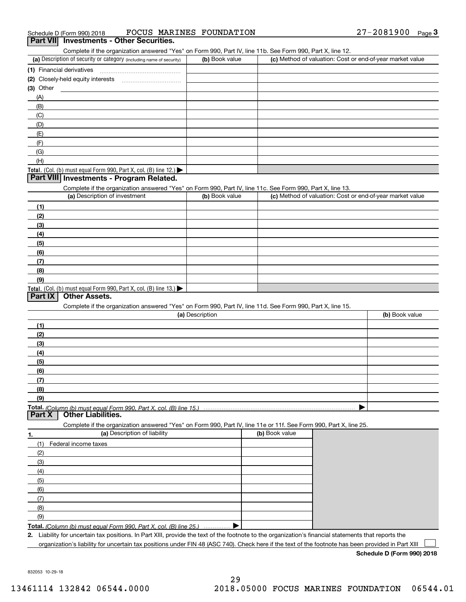| Schedule D (Form 990) 2018 |  |  | FOCUS MARINES FOUNDATION | $27 - 2081900$ | Page |  |
|----------------------------|--|--|--------------------------|----------------|------|--|
|                            |  |  |                          |                |      |  |

#### **Part VII Investments - Other Securities.**

Complete if the organization answered "Yes" on Form 990, Part IV, line 11b. See Form 990, Part X, line 12.

| (a) Description of security or category (including name of security)                   | (b) Book value | (c) Method of valuation: Cost or end-of-year market value |
|----------------------------------------------------------------------------------------|----------------|-----------------------------------------------------------|
| (1) Financial derivatives                                                              |                |                                                           |
| (2) Closely-held equity interests                                                      |                |                                                           |
| $(3)$ Other                                                                            |                |                                                           |
| (A)                                                                                    |                |                                                           |
| (B)                                                                                    |                |                                                           |
| (C)                                                                                    |                |                                                           |
| (D)                                                                                    |                |                                                           |
| (E)                                                                                    |                |                                                           |
| (F)                                                                                    |                |                                                           |
| (G)                                                                                    |                |                                                           |
| (H)                                                                                    |                |                                                           |
| Total. (Col. (b) must equal Form 990, Part X, col. (B) line 12.) $\blacktriangleright$ |                |                                                           |

#### **Part VIII Investments - Program Related.**

Complete if the organization answered "Yes" on Form 990, Part IV, line 11c. See Form 990, Part X, line 13.

| (a) Description of investment                                                          | (b) Book value | (c) Method of valuation: Cost or end-of-year market value |
|----------------------------------------------------------------------------------------|----------------|-----------------------------------------------------------|
| (1)                                                                                    |                |                                                           |
| (2)                                                                                    |                |                                                           |
| $\frac{1}{2}$                                                                          |                |                                                           |
| (4)                                                                                    |                |                                                           |
| $\frac{1}{2}$                                                                          |                |                                                           |
| (6)                                                                                    |                |                                                           |
| $\sqrt{(7)}$                                                                           |                |                                                           |
| (8)                                                                                    |                |                                                           |
| (9)                                                                                    |                |                                                           |
| Total. (Col. (b) must equal Form 990, Part X, col. (B) line 13.) $\blacktriangleright$ |                |                                                           |

#### **Part IX Other Assets.**

Complete if the organization answered "Yes" on Form 990, Part IV, line 11d. See Form 990, Part X, line 15.

| (a) Description | (b) Book value |
|-----------------|----------------|
| (1)             |                |
| (2)             |                |
| $\frac{1}{2}$   |                |
| (4)             |                |
| $\frac{1}{2}$   |                |
| (6)             |                |
| $\sqrt{(7)}$    |                |
| (8)             |                |
| (9)             |                |
|                 |                |

**Part X Other Liabilities.**

Complete if the organization answered "Yes" on Form 990, Part IV, line 11e or 11f. See Form 990, Part X, line 25.

| 1.  | (a) Description of liability                                       | (b) Book value |
|-----|--------------------------------------------------------------------|----------------|
| (1) | Federal income taxes                                               |                |
| (2) |                                                                    |                |
| (3) |                                                                    |                |
| (4) |                                                                    |                |
| (5) |                                                                    |                |
| (6) |                                                                    |                |
| (7) |                                                                    |                |
| (8) |                                                                    |                |
| (9) |                                                                    |                |
|     | Total. (Column (b) must equal Form 990, Part X, col. (B) line 25.) |                |

**2.** Liability for uncertain tax positions. In Part XIII, provide the text of the footnote to the organization's financial statements that reports the

organization's liability for uncertain tax positions under FIN 48 (ASC 740). Check here if the text of the footnote has been provided in Part XIII

**Schedule D (Form 990) 2018**

 $\mathcal{L}^{\text{max}}$ 

832053 10-29-18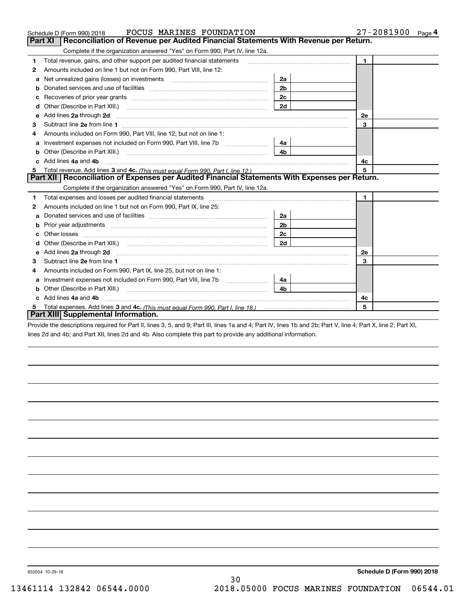|   | <b>FOCUS MARINES FOUNDATION</b><br>Schedule D (Form 990) 2018                                                                                                               |                | 27-2081900<br>Page $4$ |
|---|-----------------------------------------------------------------------------------------------------------------------------------------------------------------------------|----------------|------------------------|
|   | <b>Part XI</b><br>Reconciliation of Revenue per Audited Financial Statements With Revenue per Return.                                                                       |                |                        |
|   | Complete if the organization answered "Yes" on Form 990, Part IV, line 12a.                                                                                                 |                |                        |
| 1 | Total revenue, gains, and other support per audited financial statements                                                                                                    |                | $\blacksquare$         |
| 2 | Amounts included on line 1 but not on Form 990, Part VIII, line 12:                                                                                                         |                |                        |
| a | Net unrealized gains (losses) on investments [11] [11] Met unrealized gains (losses) on investments [11] Metaman materials and the unrealized gains (losses) on investments | 2a             |                        |
|   |                                                                                                                                                                             | 2 <sub>b</sub> |                        |
| с | Recoveries of prior year grants [11,111] Recoveries of prior year grants [11,111] Recoveries of prior year grants                                                           | 2 <sub>c</sub> |                        |
| d |                                                                                                                                                                             | 2d             |                        |
| е | Add lines 2a through 2d                                                                                                                                                     |                | <b>2e</b>              |
| 3 |                                                                                                                                                                             |                | 3                      |
| 4 | Amounts included on Form 990. Part VIII, line 12, but not on line 1:                                                                                                        |                |                        |
|   | Investment expenses not included on Form 990, Part VIII, line 7b [111] [11] Investment expenses not included on Form 990, Part VIII, line 7b                                | 4a             |                        |
| b |                                                                                                                                                                             | 4 <sub>b</sub> |                        |
|   | Add lines 4a and 4b                                                                                                                                                         |                | 4c                     |
|   |                                                                                                                                                                             |                | 5                      |
|   | Part XII   Reconciliation of Expenses per Audited Financial Statements With Expenses per Return.                                                                            |                |                        |
|   | Complete if the organization answered "Yes" on Form 990, Part IV, line 12a.                                                                                                 |                |                        |
| 1 | Total expenses and losses per audited financial statements                                                                                                                  |                | $\blacksquare$         |
| 2 | Amounts included on line 1 but not on Form 990, Part IX, line 25:                                                                                                           |                |                        |
| a |                                                                                                                                                                             | 2a             |                        |
|   |                                                                                                                                                                             | 2 <sub>b</sub> |                        |
| с |                                                                                                                                                                             | 2 <sub>c</sub> |                        |
|   |                                                                                                                                                                             | 2d             |                        |
|   | Add lines 2a through 2d <b>must be a constructed as the constant of the constant of the constant of the construction</b>                                                    |                | 2e                     |
| 3 |                                                                                                                                                                             |                | 3                      |
| 4 | Amounts included on Form 990, Part IX, line 25, but not on line 1:                                                                                                          |                |                        |
| а |                                                                                                                                                                             | 4a l           |                        |
| b |                                                                                                                                                                             | 4b             |                        |
|   | Add lines 4a and 4b                                                                                                                                                         |                | 4с                     |
| 5 |                                                                                                                                                                             |                | 5                      |
|   | Part XIII Supplemental Information.                                                                                                                                         |                |                        |

Provide the descriptions required for Part II, lines 3, 5, and 9; Part III, lines 1a and 4; Part IV, lines 1b and 2b; Part V, line 4; Part X, line 2; Part XI, lines 2d and 4b; and Part XII, lines 2d and 4b. Also complete this part to provide any additional information.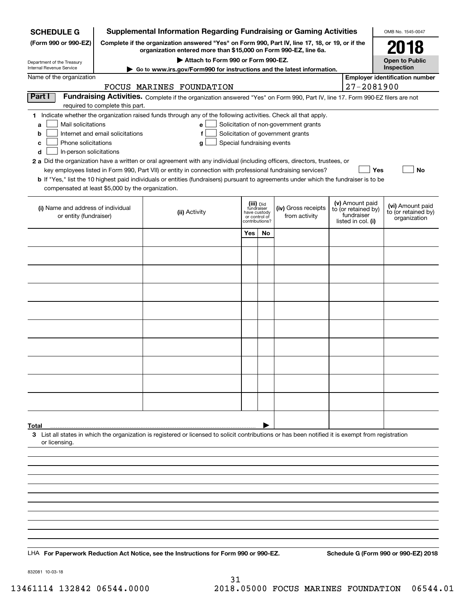| <b>SCHEDULE G</b>                                                               | <b>Supplemental Information Regarding Fundraising or Gaming Activities</b>                                                                                          |                                                                                                                                                    |                                         |    |                                       |  |                                   |                                         |  |  |  |
|---------------------------------------------------------------------------------|---------------------------------------------------------------------------------------------------------------------------------------------------------------------|----------------------------------------------------------------------------------------------------------------------------------------------------|-----------------------------------------|----|---------------------------------------|--|-----------------------------------|-----------------------------------------|--|--|--|
| (Form 990 or 990-EZ)                                                            | Complete if the organization answered "Yes" on Form 990, Part IV, line 17, 18, or 19, or if the<br>organization entered more than \$15,000 on Form 990-EZ, line 6a. |                                                                                                                                                    | 2018                                    |    |                                       |  |                                   |                                         |  |  |  |
| Department of the Treasury                                                      |                                                                                                                                                                     |                                                                                                                                                    | <b>Open to Public</b>                   |    |                                       |  |                                   |                                         |  |  |  |
| Internal Revenue Service                                                        | Go to www.irs.gov/Form990 for instructions and the latest information.                                                                                              |                                                                                                                                                    | Inspection                              |    |                                       |  |                                   |                                         |  |  |  |
| Name of the organization                                                        |                                                                                                                                                                     | FOCUS MARINES FOUNDATION                                                                                                                           |                                         |    |                                       |  | $27 - 2081900$                    | <b>Employer identification number</b>   |  |  |  |
| Part I                                                                          |                                                                                                                                                                     | Fundraising Activities. Complete if the organization answered "Yes" on Form 990, Part IV, line 17. Form 990-EZ filers are not                      |                                         |    |                                       |  |                                   |                                         |  |  |  |
|                                                                                 | required to complete this part.                                                                                                                                     |                                                                                                                                                    |                                         |    |                                       |  |                                   |                                         |  |  |  |
| Mail solicitations<br>a                                                         |                                                                                                                                                                     | 1 Indicate whether the organization raised funds through any of the following activities. Check all that apply.<br>e l                             |                                         |    | Solicitation of non-government grants |  |                                   |                                         |  |  |  |
| Solicitation of government grants<br>Internet and email solicitations<br>b<br>f |                                                                                                                                                                     |                                                                                                                                                    |                                         |    |                                       |  |                                   |                                         |  |  |  |
| Phone solicitations<br>с<br>d<br>In-person solicitations                        |                                                                                                                                                                     | Special fundraising events<br>g                                                                                                                    |                                         |    |                                       |  |                                   |                                         |  |  |  |
|                                                                                 |                                                                                                                                                                     | 2 a Did the organization have a written or oral agreement with any individual (including officers, directors, trustees, or                         |                                         |    |                                       |  |                                   |                                         |  |  |  |
|                                                                                 |                                                                                                                                                                     | key employees listed in Form 990, Part VII) or entity in connection with professional fundraising services?                                        |                                         |    |                                       |  | Yes                               | No                                      |  |  |  |
| compensated at least \$5,000 by the organization.                               |                                                                                                                                                                     | <b>b</b> If "Yes," list the 10 highest paid individuals or entities (fundraisers) pursuant to agreements under which the fundraiser is to be       |                                         |    |                                       |  |                                   |                                         |  |  |  |
|                                                                                 |                                                                                                                                                                     |                                                                                                                                                    |                                         |    |                                       |  | (v) Amount paid                   |                                         |  |  |  |
| (i) Name and address of individual<br>or entity (fundraiser)                    |                                                                                                                                                                     | (ii) Activity                                                                                                                                      | (iii) Did<br>fundraiser<br>have custody |    | (iv) Gross receipts<br>from activity  |  | to (or retained by)<br>fundraiser | (vi) Amount paid<br>to (or retained by) |  |  |  |
|                                                                                 |                                                                                                                                                                     |                                                                                                                                                    | or control of<br>contributions?         |    |                                       |  | listed in col. (i)                | organization                            |  |  |  |
|                                                                                 |                                                                                                                                                                     |                                                                                                                                                    | Yes                                     | No |                                       |  |                                   |                                         |  |  |  |
|                                                                                 |                                                                                                                                                                     |                                                                                                                                                    |                                         |    |                                       |  |                                   |                                         |  |  |  |
|                                                                                 |                                                                                                                                                                     |                                                                                                                                                    |                                         |    |                                       |  |                                   |                                         |  |  |  |
|                                                                                 |                                                                                                                                                                     |                                                                                                                                                    |                                         |    |                                       |  |                                   |                                         |  |  |  |
|                                                                                 |                                                                                                                                                                     |                                                                                                                                                    |                                         |    |                                       |  |                                   |                                         |  |  |  |
|                                                                                 |                                                                                                                                                                     |                                                                                                                                                    |                                         |    |                                       |  |                                   |                                         |  |  |  |
|                                                                                 |                                                                                                                                                                     |                                                                                                                                                    |                                         |    |                                       |  |                                   |                                         |  |  |  |
|                                                                                 |                                                                                                                                                                     |                                                                                                                                                    |                                         |    |                                       |  |                                   |                                         |  |  |  |
|                                                                                 |                                                                                                                                                                     |                                                                                                                                                    |                                         |    |                                       |  |                                   |                                         |  |  |  |
|                                                                                 |                                                                                                                                                                     |                                                                                                                                                    |                                         |    |                                       |  |                                   |                                         |  |  |  |
|                                                                                 |                                                                                                                                                                     |                                                                                                                                                    |                                         |    |                                       |  |                                   |                                         |  |  |  |
|                                                                                 |                                                                                                                                                                     |                                                                                                                                                    |                                         |    |                                       |  |                                   |                                         |  |  |  |
|                                                                                 |                                                                                                                                                                     |                                                                                                                                                    |                                         |    |                                       |  |                                   |                                         |  |  |  |
|                                                                                 |                                                                                                                                                                     |                                                                                                                                                    |                                         |    |                                       |  |                                   |                                         |  |  |  |
|                                                                                 |                                                                                                                                                                     |                                                                                                                                                    |                                         |    |                                       |  |                                   |                                         |  |  |  |
| Total                                                                           |                                                                                                                                                                     |                                                                                                                                                    |                                         |    |                                       |  |                                   |                                         |  |  |  |
| or licensing.                                                                   |                                                                                                                                                                     | 3 List all states in which the organization is registered or licensed to solicit contributions or has been notified it is exempt from registration |                                         |    |                                       |  |                                   |                                         |  |  |  |
|                                                                                 |                                                                                                                                                                     |                                                                                                                                                    |                                         |    |                                       |  |                                   |                                         |  |  |  |
|                                                                                 |                                                                                                                                                                     |                                                                                                                                                    |                                         |    |                                       |  |                                   |                                         |  |  |  |
|                                                                                 |                                                                                                                                                                     |                                                                                                                                                    |                                         |    |                                       |  |                                   |                                         |  |  |  |
|                                                                                 |                                                                                                                                                                     |                                                                                                                                                    |                                         |    |                                       |  |                                   |                                         |  |  |  |
|                                                                                 |                                                                                                                                                                     |                                                                                                                                                    |                                         |    |                                       |  |                                   |                                         |  |  |  |
|                                                                                 |                                                                                                                                                                     |                                                                                                                                                    |                                         |    |                                       |  |                                   |                                         |  |  |  |
|                                                                                 |                                                                                                                                                                     |                                                                                                                                                    |                                         |    |                                       |  |                                   |                                         |  |  |  |
|                                                                                 |                                                                                                                                                                     |                                                                                                                                                    |                                         |    |                                       |  |                                   |                                         |  |  |  |
|                                                                                 |                                                                                                                                                                     | LHA For Paperwork Reduction Act Notice, see the Instructions for Form 990 or 990-EZ.                                                               |                                         |    |                                       |  |                                   | Schedule G (Form 990 or 990-EZ) 2018    |  |  |  |

832081 10-03-18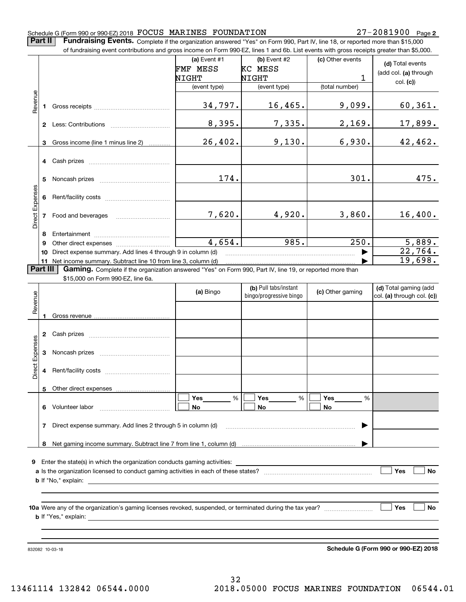**2**

**Part II** | Fundraising Events. Complete if the organization answered "Yes" on Form 990, Part IV, line 18, or reported more than \$15,000

|                 |    | of fundraising event contributions and gross income on Form 990-EZ, lines 1 and 6b. List events with gross receipts greater than \$5,000. |                |                                                  |                      |                                                     |
|-----------------|----|-------------------------------------------------------------------------------------------------------------------------------------------|----------------|--------------------------------------------------|----------------------|-----------------------------------------------------|
|                 |    |                                                                                                                                           | (a) Event $#1$ | (b) Event #2                                     | (c) Other events     | (d) Total events                                    |
|                 |    |                                                                                                                                           | FMF MESS       | KC MESS                                          |                      | (add col. (a) through                               |
|                 |    |                                                                                                                                           | NIGHT          | <b>NIGHT</b>                                     | 1                    | col. (c)                                            |
|                 |    |                                                                                                                                           | (event type)   | (event type)                                     | (total number)       |                                                     |
| Revenue         | 1  |                                                                                                                                           | 34,797.        | 16,465.                                          | 9,099.               | 60, 361.                                            |
|                 |    |                                                                                                                                           | 8,395.         | 7,335.                                           | 2,169.               | 17,899.                                             |
|                 | 3  | Gross income (line 1 minus line 2)                                                                                                        | 26,402.        | 9,130.                                           | 6,930.               | 42,462.                                             |
|                 |    |                                                                                                                                           |                |                                                  |                      |                                                     |
|                 | 5  |                                                                                                                                           | 174.           |                                                  | 301.                 | 475.                                                |
| Direct Expenses | 6  |                                                                                                                                           |                |                                                  |                      |                                                     |
|                 | 7  |                                                                                                                                           | 7,620.         | 4,920.                                           | 3,860.               | 16,400.                                             |
|                 | 8  |                                                                                                                                           |                |                                                  |                      |                                                     |
|                 | 9  |                                                                                                                                           | 4,654.         | 985.                                             | 250.                 | 5,889.                                              |
|                 | 10 | Direct expense summary. Add lines 4 through 9 in column (d)                                                                               |                |                                                  |                      | 22,764.                                             |
|                 |    |                                                                                                                                           |                |                                                  |                      | 19,698.                                             |
| Part III        |    | Gaming. Complete if the organization answered "Yes" on Form 990, Part IV, line 19, or reported more than                                  |                |                                                  |                      |                                                     |
|                 |    | \$15,000 on Form 990-EZ, line 6a.                                                                                                         |                |                                                  |                      |                                                     |
| Revenue         |    |                                                                                                                                           | (a) Bingo      | (b) Pull tabs/instant<br>bingo/progressive bingo | (c) Other gaming     | (d) Total gaming (add<br>col. (a) through col. (c)) |
|                 | 1  |                                                                                                                                           |                |                                                  |                      |                                                     |
|                 |    |                                                                                                                                           |                |                                                  |                      |                                                     |
| Direct Expenses | 3  |                                                                                                                                           |                |                                                  |                      |                                                     |
|                 | 4  |                                                                                                                                           |                |                                                  |                      |                                                     |
|                 |    | 5 Other direct expenses <i></i>                                                                                                           |                |                                                  |                      |                                                     |
|                 |    |                                                                                                                                           | Yes<br>%       | Yes<br>%                                         | Yes<br>$\frac{0}{0}$ |                                                     |
|                 |    | 6 Volunteer labor                                                                                                                         | No.            | No.                                              | No                   |                                                     |
|                 | 7  | Direct expense summary. Add lines 2 through 5 in column (d)                                                                               |                |                                                  | ▶                    |                                                     |
|                 |    |                                                                                                                                           |                |                                                  |                      |                                                     |
|                 |    |                                                                                                                                           |                |                                                  |                      |                                                     |
| 9               |    | Enter the state(s) in which the organization conducts gaming activities:                                                                  |                |                                                  |                      | Yes<br>No                                           |
|                 |    |                                                                                                                                           |                |                                                  |                      |                                                     |
|                 |    |                                                                                                                                           |                |                                                  |                      |                                                     |
|                 |    |                                                                                                                                           |                |                                                  |                      |                                                     |
|                 |    |                                                                                                                                           |                |                                                  |                      | Yes<br>No                                           |
|                 |    |                                                                                                                                           |                |                                                  |                      |                                                     |
|                 |    |                                                                                                                                           |                |                                                  |                      |                                                     |
|                 |    |                                                                                                                                           |                |                                                  |                      |                                                     |
|                 |    | 832082 10-03-18                                                                                                                           |                |                                                  |                      | Schedule G (Form 990 or 990-EZ) 2018                |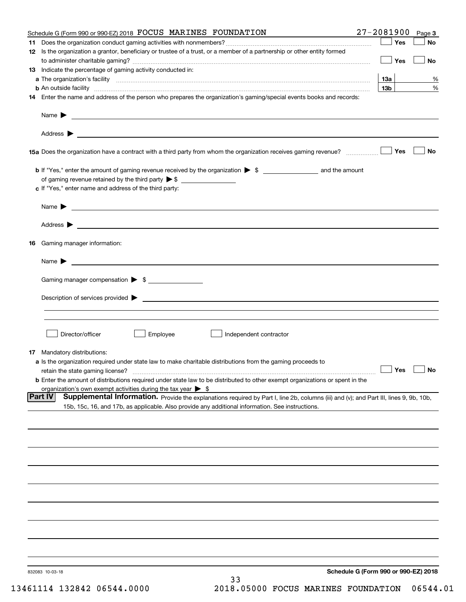| Schedule G (Form 990 or 990-EZ) 2018 FOCUS MARINES FOUNDATION                                                                                                                                                                            | $27 - 2081900$  | Page 3    |
|------------------------------------------------------------------------------------------------------------------------------------------------------------------------------------------------------------------------------------------|-----------------|-----------|
|                                                                                                                                                                                                                                          | Yes             | No        |
| 12 Is the organization a grantor, beneficiary or trustee of a trust, or a member of a partnership or other entity formed                                                                                                                 | Yes             | <b>No</b> |
| 13 Indicate the percentage of gaming activity conducted in:                                                                                                                                                                              |                 |           |
|                                                                                                                                                                                                                                          | <u>13a</u>      | %         |
| <b>b</b> An outside facility <i>www.communicality www.communicality.communicality www.communicality www.communicality.communicality www.communicality.com</i>                                                                            | 13 <sub>b</sub> | %         |
| 14 Enter the name and address of the person who prepares the organization's gaming/special events books and records:                                                                                                                     |                 |           |
|                                                                                                                                                                                                                                          |                 |           |
|                                                                                                                                                                                                                                          |                 |           |
| 15a Does the organization have a contract with a third party from whom the organization receives gaming revenue?                                                                                                                         | Yes             | No        |
| <b>b</b> If "Yes," enter the amount of gaming revenue received by the organization $\triangleright$ \$ ____________________ and the amount                                                                                               |                 |           |
|                                                                                                                                                                                                                                          |                 |           |
| c If "Yes," enter name and address of the third party:                                                                                                                                                                                   |                 |           |
| Name $\blacktriangleright$ $\_\_$                                                                                                                                                                                                        |                 |           |
|                                                                                                                                                                                                                                          |                 |           |
| 16 Gaming manager information:                                                                                                                                                                                                           |                 |           |
|                                                                                                                                                                                                                                          |                 |           |
| Name $\triangleright$ $\square$                                                                                                                                                                                                          |                 |           |
| Gaming manager compensation > \$                                                                                                                                                                                                         |                 |           |
|                                                                                                                                                                                                                                          |                 |           |
|                                                                                                                                                                                                                                          |                 |           |
|                                                                                                                                                                                                                                          |                 |           |
| Director/officer<br>Employee<br>Independent contractor                                                                                                                                                                                   |                 |           |
| 17 Mandatory distributions:                                                                                                                                                                                                              |                 |           |
| a Is the organization required under state law to make charitable distributions from the gaming proceeds to                                                                                                                              |                 |           |
| $\Box$ Yes $\Box$ No<br>retain the state gaming license?                                                                                                                                                                                 |                 |           |
| <b>b</b> Enter the amount of distributions required under state law to be distributed to other exempt organizations or spent in the                                                                                                      |                 |           |
| organization's own exempt activities during the tax year $\triangleright$ \$<br><b>Part IV</b><br>Supplemental Information. Provide the explanations required by Part I, line 2b, columns (iii) and (v); and Part III, lines 9, 9b, 10b, |                 |           |
| 15b, 15c, 16, and 17b, as applicable. Also provide any additional information. See instructions.                                                                                                                                         |                 |           |
|                                                                                                                                                                                                                                          |                 |           |
|                                                                                                                                                                                                                                          |                 |           |
|                                                                                                                                                                                                                                          |                 |           |
|                                                                                                                                                                                                                                          |                 |           |
|                                                                                                                                                                                                                                          |                 |           |
|                                                                                                                                                                                                                                          |                 |           |
|                                                                                                                                                                                                                                          |                 |           |
|                                                                                                                                                                                                                                          |                 |           |
|                                                                                                                                                                                                                                          |                 |           |
|                                                                                                                                                                                                                                          |                 |           |
| Schedule G (Form 990 or 990-EZ) 2018<br>832083 10-03-18                                                                                                                                                                                  |                 |           |
| 33                                                                                                                                                                                                                                       |                 |           |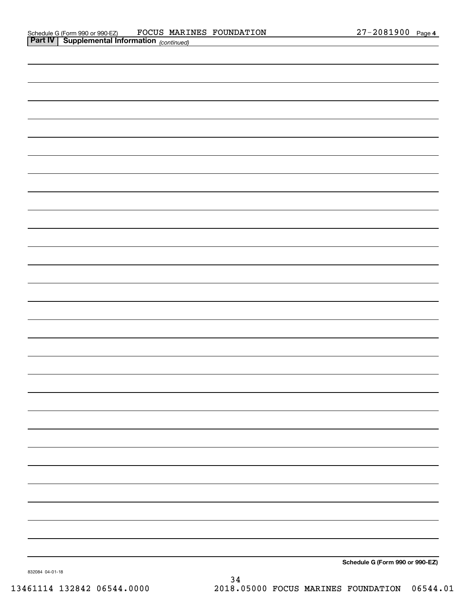| <b>Part IV</b> Supplemental Information $_{(continued)}$ |  |  |
|----------------------------------------------------------|--|--|
|                                                          |  |  |
|                                                          |  |  |
|                                                          |  |  |
|                                                          |  |  |
|                                                          |  |  |
|                                                          |  |  |
|                                                          |  |  |
|                                                          |  |  |
|                                                          |  |  |
|                                                          |  |  |
|                                                          |  |  |
|                                                          |  |  |
|                                                          |  |  |
|                                                          |  |  |
|                                                          |  |  |
|                                                          |  |  |
|                                                          |  |  |
|                                                          |  |  |
|                                                          |  |  |
|                                                          |  |  |
|                                                          |  |  |
|                                                          |  |  |
|                                                          |  |  |
|                                                          |  |  |
|                                                          |  |  |
|                                                          |  |  |
|                                                          |  |  |
|                                                          |  |  |
|                                                          |  |  |
| Cabadule C (Farm 000 au 000 F7)                          |  |  |

**Schedule G (Form 990 or 990-EZ)**

832084 04-01-18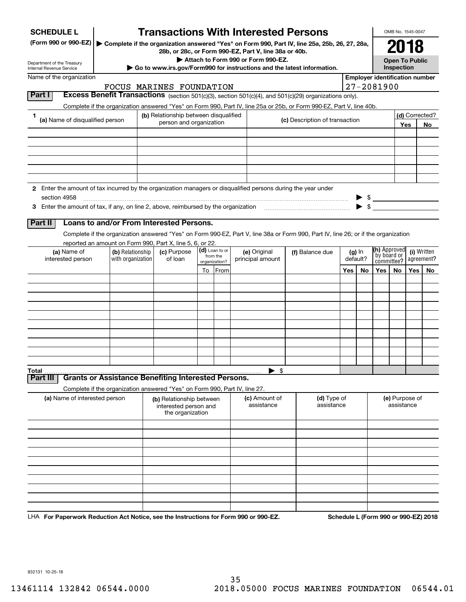| <b>SCHEDULE L</b>                                                                                             |                   |                                                                            |                                      |                | <b>Transactions With Interested Persons</b>                                                                                        |                                |                           |                                   |                         |                                       | OMB No. 1545-0047            |           |                |  |
|---------------------------------------------------------------------------------------------------------------|-------------------|----------------------------------------------------------------------------|--------------------------------------|----------------|------------------------------------------------------------------------------------------------------------------------------------|--------------------------------|---------------------------|-----------------------------------|-------------------------|---------------------------------------|------------------------------|-----------|----------------|--|
| (Form 990 or 990-EZ)                                                                                          |                   |                                                                            |                                      |                | Complete if the organization answered "Yes" on Form 990, Part IV, line 25a, 25b, 26, 27, 28a,                                      |                                |                           |                                   |                         |                                       | 2018                         |           |                |  |
|                                                                                                               |                   |                                                                            |                                      |                | 28b, or 28c, or Form 990-EZ, Part V, line 38a or 40b.<br>Attach to Form 990 or Form 990-EZ.                                        |                                |                           |                                   |                         |                                       | <b>Open To Public</b>        |           |                |  |
| Department of the Treasury<br><b>Internal Revenue Service</b>                                                 |                   |                                                                            |                                      |                | Go to www.irs.gov/Form990 for instructions and the latest information.                                                             |                                |                           |                                   |                         |                                       | Inspection                   |           |                |  |
| Name of the organization                                                                                      |                   |                                                                            |                                      |                |                                                                                                                                    |                                |                           |                                   |                         | <b>Employer identification number</b> |                              |           |                |  |
|                                                                                                               |                   | FOCUS MARINES FOUNDATION                                                   |                                      |                |                                                                                                                                    |                                |                           |                                   |                         | $27 - 2081900$                        |                              |           |                |  |
| Part I                                                                                                        |                   |                                                                            |                                      |                | Excess Benefit Transactions (section 501(c)(3), section 501(c)(4), and 501(c)(29) organizations only).                             |                                |                           |                                   |                         |                                       |                              |           |                |  |
| 1                                                                                                             |                   | (b) Relationship between disqualified                                      |                                      |                | Complete if the organization answered "Yes" on Form 990, Part IV, line 25a or 25b, or Form 990-EZ, Part V, line 40b.               |                                |                           |                                   |                         |                                       |                              |           | (d) Corrected? |  |
| (a) Name of disqualified person                                                                               |                   | person and organization                                                    |                                      |                |                                                                                                                                    | (c) Description of transaction |                           |                                   |                         |                                       |                              | Yes<br>No |                |  |
|                                                                                                               |                   |                                                                            |                                      |                |                                                                                                                                    |                                |                           |                                   |                         |                                       |                              |           |                |  |
|                                                                                                               |                   |                                                                            |                                      |                |                                                                                                                                    |                                |                           |                                   |                         |                                       |                              |           |                |  |
|                                                                                                               |                   |                                                                            |                                      |                |                                                                                                                                    |                                |                           |                                   |                         |                                       |                              |           |                |  |
|                                                                                                               |                   |                                                                            |                                      |                |                                                                                                                                    |                                |                           |                                   |                         |                                       |                              |           |                |  |
|                                                                                                               |                   |                                                                            |                                      |                |                                                                                                                                    |                                |                           |                                   |                         |                                       |                              |           |                |  |
| 2 Enter the amount of tax incurred by the organization managers or disqualified persons during the year under |                   |                                                                            |                                      |                |                                                                                                                                    |                                |                           |                                   |                         |                                       |                              |           |                |  |
| section 4958                                                                                                  |                   |                                                                            |                                      |                |                                                                                                                                    |                                |                           |                                   |                         | $\frac{1}{2}$                         |                              |           |                |  |
| 3 Enter the amount of tax, if any, on line 2, above, reimbursed by the organization                           |                   |                                                                            |                                      |                |                                                                                                                                    |                                |                           |                                   | $\blacktriangleright$ s |                                       |                              |           |                |  |
|                                                                                                               |                   |                                                                            |                                      |                |                                                                                                                                    |                                |                           |                                   |                         |                                       |                              |           |                |  |
| Part II                                                                                                       |                   | Loans to and/or From Interested Persons.                                   |                                      |                |                                                                                                                                    |                                |                           |                                   |                         |                                       |                              |           |                |  |
|                                                                                                               |                   |                                                                            |                                      |                | Complete if the organization answered "Yes" on Form 990-EZ, Part V, line 38a or Form 990, Part IV, line 26; or if the organization |                                |                           |                                   |                         |                                       |                              |           |                |  |
| (a) Name of                                                                                                   | (b) Relationship  | reported an amount on Form 990, Part X, line 5, 6, or 22.<br>(c) Purpose   |                                      | (d) Loan to or | (e) Original                                                                                                                       |                                |                           |                                   |                         | <b>(h)</b> Approved                   |                              |           | (i) Written    |  |
| interested person                                                                                             | with organization | of loan                                                                    | from the<br>organization?<br>To From |                | principal amount                                                                                                                   |                                | (f) Balance due           | $(g)$ In<br>default?<br>Yes<br>No |                         | by board or<br>committee?             |                              |           | agreement?     |  |
|                                                                                                               |                   |                                                                            |                                      |                |                                                                                                                                    |                                |                           |                                   |                         | Yes                                   | No.                          | Yes       | No             |  |
|                                                                                                               |                   |                                                                            |                                      |                |                                                                                                                                    |                                |                           |                                   |                         |                                       |                              |           |                |  |
|                                                                                                               |                   |                                                                            |                                      |                |                                                                                                                                    |                                |                           |                                   |                         |                                       |                              |           |                |  |
|                                                                                                               |                   |                                                                            |                                      |                |                                                                                                                                    |                                |                           |                                   |                         |                                       |                              |           |                |  |
|                                                                                                               |                   |                                                                            |                                      |                |                                                                                                                                    |                                |                           |                                   |                         |                                       |                              |           |                |  |
|                                                                                                               |                   |                                                                            |                                      |                |                                                                                                                                    |                                |                           |                                   |                         |                                       |                              |           |                |  |
|                                                                                                               |                   |                                                                            |                                      |                |                                                                                                                                    |                                |                           |                                   |                         |                                       |                              |           |                |  |
|                                                                                                               |                   |                                                                            |                                      |                |                                                                                                                                    |                                |                           |                                   |                         |                                       |                              |           |                |  |
|                                                                                                               |                   |                                                                            |                                      |                |                                                                                                                                    |                                |                           |                                   |                         |                                       |                              |           |                |  |
|                                                                                                               |                   |                                                                            |                                      |                |                                                                                                                                    |                                |                           |                                   |                         |                                       |                              |           |                |  |
| Total                                                                                                         |                   |                                                                            |                                      |                | $\blacktriangleright$ \$                                                                                                           |                                |                           |                                   |                         |                                       |                              |           |                |  |
| Part III                                                                                                      |                   | <b>Grants or Assistance Benefiting Interested Persons.</b>                 |                                      |                |                                                                                                                                    |                                |                           |                                   |                         |                                       |                              |           |                |  |
|                                                                                                               |                   | Complete if the organization answered "Yes" on Form 990, Part IV, line 27. |                                      |                |                                                                                                                                    |                                |                           |                                   |                         |                                       |                              |           |                |  |
| (a) Name of interested person                                                                                 |                   | (b) Relationship between<br>interested person and<br>the organization      |                                      |                | (c) Amount of<br>assistance                                                                                                        |                                | (d) Type of<br>assistance |                                   |                         |                                       | (e) Purpose of<br>assistance |           |                |  |
|                                                                                                               |                   |                                                                            |                                      |                |                                                                                                                                    |                                |                           |                                   |                         |                                       |                              |           |                |  |
|                                                                                                               |                   |                                                                            |                                      |                |                                                                                                                                    |                                |                           |                                   |                         |                                       |                              |           |                |  |
|                                                                                                               |                   |                                                                            |                                      |                |                                                                                                                                    |                                |                           |                                   |                         |                                       |                              |           |                |  |
|                                                                                                               |                   |                                                                            |                                      |                |                                                                                                                                    |                                |                           |                                   |                         |                                       |                              |           |                |  |
|                                                                                                               |                   |                                                                            |                                      |                |                                                                                                                                    |                                |                           |                                   |                         |                                       |                              |           |                |  |
|                                                                                                               |                   |                                                                            |                                      |                |                                                                                                                                    |                                |                           |                                   |                         |                                       |                              |           |                |  |
|                                                                                                               |                   |                                                                            |                                      |                |                                                                                                                                    |                                |                           |                                   |                         |                                       |                              |           |                |  |
|                                                                                                               |                   |                                                                            |                                      |                |                                                                                                                                    |                                |                           |                                   |                         |                                       |                              |           |                |  |
|                                                                                                               |                   |                                                                            |                                      |                |                                                                                                                                    |                                |                           |                                   |                         |                                       |                              |           |                |  |

LHA For Paperwork Reduction Act Notice, see the Instructions for Form 990 or 990-EZ. Schedule L (Form 990 or 990-EZ) 2018

832131 10-25-18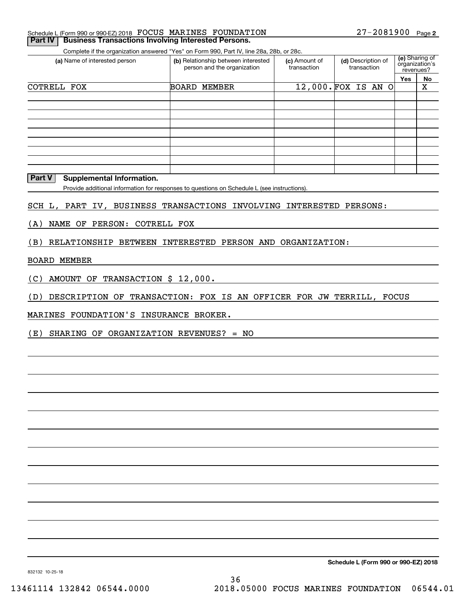| Schedule L (Form 990 or 990-EZ) 2018 FOCUS MARINES FOUNDATION        |  | 27-2081900 Page 2 |  |
|----------------------------------------------------------------------|--|-------------------|--|
| <b>Part IV   Business Transactions Involving Interested Persons.</b> |  |                   |  |

Complete if the organization answered "Yes" on Form 990, Part IV, line 28a, 28b, or 28c.

| (a) Name of interested person                                                               |              | (b) Relationship between interested<br>person and the organization | (c) Amount of<br>transaction | (d) Description of<br>transaction |  |  |  | (e) Sharing of<br>organization's<br>revenues? |     |    |
|---------------------------------------------------------------------------------------------|--------------|--------------------------------------------------------------------|------------------------------|-----------------------------------|--|--|--|-----------------------------------------------|-----|----|
|                                                                                             |              |                                                                    |                              |                                   |  |  |  |                                               | Yes | No |
| FOX<br>COTRELL                                                                              | <b>BOARD</b> | MEMBER                                                             |                              | 12,000. FOX IS AN O               |  |  |  |                                               |     | х  |
|                                                                                             |              |                                                                    |                              |                                   |  |  |  |                                               |     |    |
|                                                                                             |              |                                                                    |                              |                                   |  |  |  |                                               |     |    |
|                                                                                             |              |                                                                    |                              |                                   |  |  |  |                                               |     |    |
|                                                                                             |              |                                                                    |                              |                                   |  |  |  |                                               |     |    |
|                                                                                             |              |                                                                    |                              |                                   |  |  |  |                                               |     |    |
|                                                                                             |              |                                                                    |                              |                                   |  |  |  |                                               |     |    |
|                                                                                             |              |                                                                    |                              |                                   |  |  |  |                                               |     |    |
|                                                                                             |              |                                                                    |                              |                                   |  |  |  |                                               |     |    |
|                                                                                             |              |                                                                    |                              |                                   |  |  |  |                                               |     |    |
| <b>Part V</b><br><b>Supplemental Information.</b>                                           |              |                                                                    |                              |                                   |  |  |  |                                               |     |    |
| Provide additional information for responses to questions on Schedule L (see instructions). |              |                                                                    |                              |                                   |  |  |  |                                               |     |    |

SCH L, PART IV, BUSINESS TRANSACTIONS INVOLVING INTERESTED PERSONS:

(A) NAME OF PERSON: COTRELL FOX

(B) RELATIONSHIP BETWEEN INTERESTED PERSON AND ORGANIZATION:

#### BOARD MEMBER

(C) AMOUNT OF TRANSACTION \$ 12,000.

(D) DESCRIPTION OF TRANSACTION: FOX IS AN OFFICER FOR JW TERRILL, FOCUS

MARINES FOUNDATION'S INSURANCE BROKER.

(E) SHARING OF ORGANIZATION REVENUES? = NO

**Schedule L (Form 990 or 990-EZ) 2018**

832132 10-25-18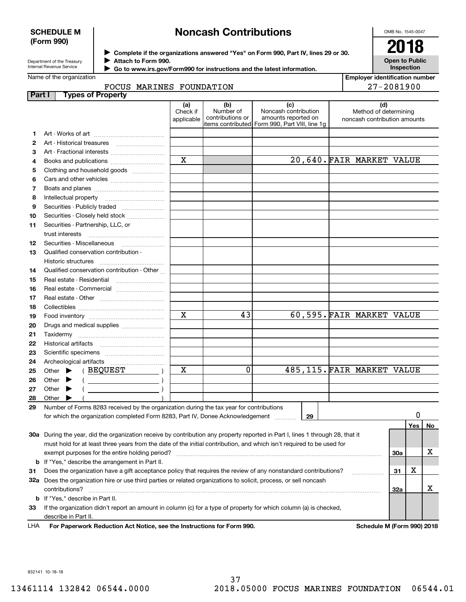#### **SCHEDULE M (Form 990)**

# **Noncash Contributions**

OMB No. 1545-0047

| Department of the Treasury      |  |
|---------------------------------|--|
| <b>Internal Revenue Service</b> |  |

**1213**

**Complete if the organizations answered "Yes" on Form 990, Part IV, lines 29 or 30.** <sup>J</sup>**2018 Attach to Form 990.** J

 **Go to www.irs.gov/Form990 for instructions and the latest information.** J

|  | <b>Open to Public</b><br><b>Inspection</b> |
|--|--------------------------------------------|
|  | <b>Employer identification number</b>      |

27-2081900

Method of determining

|        | Name of the organization     |                               |                                      |                                                                                                        | <b>Employer iden</b>                    |
|--------|------------------------------|-------------------------------|--------------------------------------|--------------------------------------------------------------------------------------------------------|-----------------------------------------|
|        | FOCUS MARINES FOUNDATION     |                               |                                      |                                                                                                        | $27 - 2$                                |
| Part I | <b>Types of Property</b>     |                               |                                      |                                                                                                        |                                         |
|        |                              | (a)<br>Check if<br>applicable | (b)<br>Number of<br>contributions or | (c)<br>Noncash contribution<br>amounts reported on<br>litems contributed  Form 990. Part VIII. line 1q | (d)<br>Method of de<br>noncash contribi |
|        |                              |                               |                                      |                                                                                                        |                                         |
|        | Art - Historical treasures   |                               |                                      |                                                                                                        |                                         |
| з      | Art - Fractional interests   |                               |                                      |                                                                                                        |                                         |
| 4      | Books and publications       | X                             |                                      |                                                                                                        | 20,640. FAIR MARKET                     |
| 5      | Clothing and household goods |                               |                                      |                                                                                                        |                                         |
| 6      |                              |                               |                                      |                                                                                                        |                                         |
|        | Boats and planes             |                               |                                      |                                                                                                        |                                         |

|                                             | applicable | CONTRIDUTIONS OF 1 | amounts reported on<br>litems contributed Form 990, Part VIII, line 1g | noncash contribution amounts |
|---------------------------------------------|------------|--------------------|------------------------------------------------------------------------|------------------------------|
|                                             |            |                    |                                                                        |                              |
|                                             |            |                    |                                                                        |                              |
|                                             |            |                    |                                                                        |                              |
|                                             | X          |                    |                                                                        | 20,640. FAIR MARKET VALUE    |
| Clothing and household goods                |            |                    |                                                                        |                              |
|                                             |            |                    |                                                                        |                              |
|                                             |            |                    |                                                                        |                              |
|                                             |            |                    |                                                                        |                              |
|                                             |            |                    |                                                                        |                              |
| Securities - Closely held stock             |            |                    |                                                                        |                              |
| Securities - Partnership, LLC, or           |            |                    |                                                                        |                              |
| trust interests                             |            |                    |                                                                        |                              |
|                                             |            |                    |                                                                        |                              |
| Qualified conservation contribution -       |            |                    |                                                                        |                              |
| Historic structures                         |            |                    |                                                                        |                              |
| Qualified conservation contribution - Other |            |                    |                                                                        |                              |
|                                             |            |                    |                                                                        |                              |
|                                             |            |                    |                                                                        |                              |
|                                             |            |                    |                                                                        |                              |
|                                             |            |                    |                                                                        |                              |
|                                             | X          | 43                 |                                                                        | 60,595. FAIR MARKET VALUE    |
| Drugs and medical supplies                  |            |                    |                                                                        |                              |
|                                             |            |                    |                                                                        |                              |

| 22 | <b>Historical artifacts</b>                                                                                                    |   |  |    |                            |     |     |    |
|----|--------------------------------------------------------------------------------------------------------------------------------|---|--|----|----------------------------|-----|-----|----|
| 23 | Scientific specimens                                                                                                           |   |  |    |                            |     |     |    |
| 24 | Archeological artifacts                                                                                                        |   |  |    |                            |     |     |    |
| 25 | <b>BEQUEST</b><br>Other $\blacktriangleright$                                                                                  | x |  |    | 485,115. FAIR MARKET VALUE |     |     |    |
| 26 | Other I                                                                                                                        |   |  |    |                            |     |     |    |
| 27 | Other                                                                                                                          |   |  |    |                            |     |     |    |
| 28 | Other                                                                                                                          |   |  |    |                            |     |     |    |
| 29 | Number of Forms 8283 received by the organization during the tax year for contributions                                        |   |  |    |                            |     |     |    |
|    | for which the organization completed Form 8283, Part IV, Donee Acknowledgement                                                 |   |  | 29 |                            |     |     |    |
|    |                                                                                                                                |   |  |    |                            |     | Yes | No |
|    | 30a During the year, did the organization receive by contribution any property reported in Part I, lines 1 through 28, that it |   |  |    |                            |     |     |    |
|    | must hold for at least three years from the date of the initial contribution, and which isn't required to be used for          |   |  |    |                            |     |     |    |
|    | exempt purposes for the entire holding period?                                                                                 |   |  |    |                            | 30a |     |    |
|    |                                                                                                                                |   |  |    |                            |     |     |    |

**b** If "Yes," describe the arrangement in Part II.

**3132a** Does the organization hire or use third parties or related organizations to solicit, process, or sell noncash **333132ab**If "Yes," describe in Part II. Does the organization have a gift acceptance policy that requires the review of any nonstandard contributions? contributions? ~~~~~~~~~~~~~~~~~~~~~~~~~~~~~~~~~~~~~~~~~~~~~~~~~~~~~~ If the organization didn't report an amount in column (c) for a type of property for which column (a) is checked, describe in Part II.

**For Paperwork Reduction Act Notice, see the Instructions for Form 990. Schedule M (Form 990) 2018** LHA

X

X

832141 10-18-18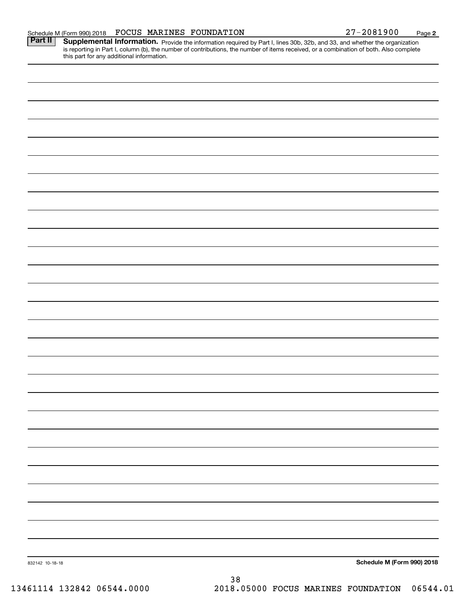| Schedule M (Form 990) 2018 |  | FOCUS | MARINES | FOUNDATION | 2081900<br>די | Page |  |
|----------------------------|--|-------|---------|------------|---------------|------|--|
|----------------------------|--|-------|---------|------------|---------------|------|--|

Part II | Supplemental Information. Provide the information required by Part I, lines 30b, 32b, and 33, and whether the organization is reporting in Part I, column (b), the number of contributions, the number of items received, or a combination of both. Also complete this part for any additional information.

| 832142 10-18-18<br>- -<br>0.000 | $38\,$ | Schedule M (Form 990) 2018 |
|---------------------------------|--------|----------------------------|
|                                 |        |                            |
|                                 |        |                            |
|                                 |        |                            |
|                                 |        |                            |
|                                 |        |                            |
|                                 |        |                            |
|                                 |        |                            |
|                                 |        |                            |
|                                 |        |                            |
|                                 |        |                            |
|                                 |        |                            |
|                                 |        |                            |
|                                 |        |                            |
|                                 |        |                            |
|                                 |        |                            |
|                                 |        |                            |
|                                 |        |                            |
|                                 |        |                            |
|                                 |        |                            |
|                                 |        |                            |
|                                 |        |                            |
|                                 |        |                            |
|                                 |        |                            |
|                                 |        |                            |
|                                 |        |                            |
|                                 |        |                            |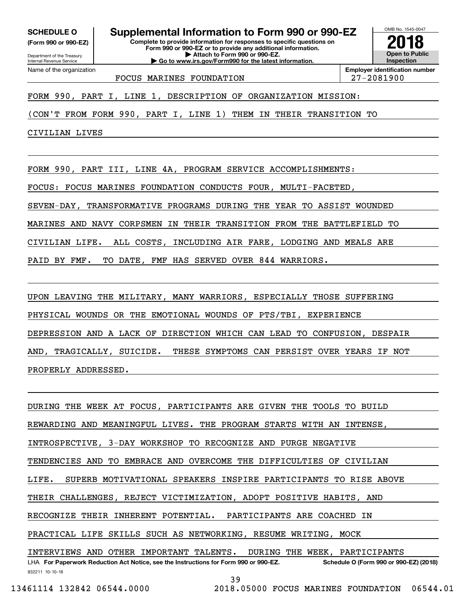**(Form 990 or 990-EZ)**

Department of the Treasury Internal Revenue Service Name of the organization

**Complete to provide information for responses to specific questions on SCHEDULE O Supplemental Information to Form 990 or 990-EZ**

**Form 990 or 990-EZ or to provide any additional information. | Attach to Form 990 or 990-EZ. | Go to www.irs.gov/Form990 for the latest information.**



**Employer identification number** FOCUS MARINES FOUNDATION 27-2081900

FORM 990, PART I, LINE 1, DESCRIPTION OF ORGANIZATION MISSION:

(CON'T FROM FORM 990, PART I, LINE 1) THEM IN THEIR TRANSITION TO

CIVILIAN LIVES

FORM 990, PART III, LINE 4A, PROGRAM SERVICE ACCOMPLISHMENTS:

FOCUS: FOCUS MARINES FOUNDATION CONDUCTS FOUR, MULTI-FACETED,

SEVEN-DAY, TRANSFORMATIVE PROGRAMS DURING THE YEAR TO ASSIST WOUNDED

MARINES AND NAVY CORPSMEN IN THEIR TRANSITION FROM THE BATTLEFIELD TO

CIVILIAN LIFE. ALL COSTS, INCLUDING AIR FARE, LODGING AND MEALS ARE

PAID BY FMF. TO DATE, FMF HAS SERVED OVER 844 WARRIORS.

UPON LEAVING THE MILITARY, MANY WARRIORS, ESPECIALLY THOSE SUFFERING PHYSICAL WOUNDS OR THE EMOTIONAL WOUNDS OF PTS/TBI, EXPERIENCE DEPRESSION AND A LACK OF DIRECTION WHICH CAN LEAD TO CONFUSION, DESPAIR AND, TRAGICALLY, SUICIDE. THESE SYMPTOMS CAN PERSIST OVER YEARS IF NOT PROPERLY ADDRESSED.

832211 10-10-18 LHA For Paperwork Reduction Act Notice, see the Instructions for Form 990 or 990-EZ. Schedule O (Form 990 or 990-EZ) (2018) DURING THE WEEK AT FOCUS, PARTICIPANTS ARE GIVEN THE TOOLS TO BUILD REWARDING AND MEANINGFUL LIVES. THE PROGRAM STARTS WITH AN INTENSE, INTROSPECTIVE, 3-DAY WORKSHOP TO RECOGNIZE AND PURGE NEGATIVE TENDENCIES AND TO EMBRACE AND OVERCOME THE DIFFICULTIES OF CIVILIAN LIFE. SUPERB MOTIVATIONAL SPEAKERS INSPIRE PARTICIPANTS TO RISE ABOVE THEIR CHALLENGES, REJECT VICTIMIZATION, ADOPT POSITIVE HABITS, AND RECOGNIZE THEIR INHERENT POTENTIAL. PARTICIPANTS ARE COACHED IN PRACTICAL LIFE SKILLS SUCH AS NETWORKING, RESUME WRITING, MOCK INTERVIEWS AND OTHER IMPORTANT TALENTS. DURING THE WEEK, PARTICIPANTS

39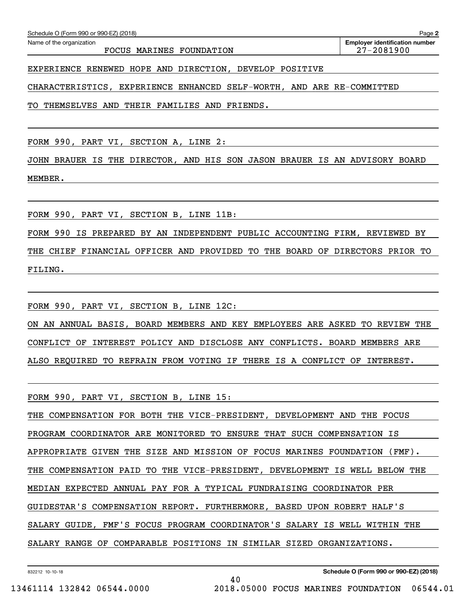FOCUS MARINES FOUNDATION 27-2081900

EXPERIENCE RENEWED HOPE AND DIRECTION, DEVELOP POSITIVE

CHARACTERISTICS, EXPERIENCE ENHANCED SELF-WORTH, AND ARE RE-COMMITTED

TO THEMSELVES AND THEIR FAMILIES AND FRIENDS.

FORM 990, PART VI, SECTION A, LINE 2:

JOHN BRAUER IS THE DIRECTOR, AND HIS SON JASON BRAUER IS AN ADVISORY BOARD MEMBER.

FORM 990, PART VI, SECTION B, LINE 11B:

FORM 990 IS PREPARED BY AN INDEPENDENT PUBLIC ACCOUNTING FIRM, REVIEWED BY THE CHIEF FINANCIAL OFFICER AND PROVIDED TO THE BOARD OF DIRECTORS PRIOR TO FILING.

FORM 990, PART VI, SECTION B, LINE 12C:

ON AN ANNUAL BASIS, BOARD MEMBERS AND KEY EMPLOYEES ARE ASKED TO REVIEW THE CONFLICT OF INTEREST POLICY AND DISCLOSE ANY CONFLICTS. BOARD MEMBERS ARE ALSO REQUIRED TO REFRAIN FROM VOTING IF THERE IS A CONFLICT OF INTEREST.

FORM 990, PART VI, SECTION B, LINE 15:

THE COMPENSATION FOR BOTH THE VICE-PRESIDENT, DEVELOPMENT AND THE FOCUS PROGRAM COORDINATOR ARE MONITORED TO ENSURE THAT SUCH COMPENSATION IS APPROPRIATE GIVEN THE SIZE AND MISSION OF FOCUS MARINES FOUNDATION (FMF). THE COMPENSATION PAID TO THE VICE-PRESIDENT, DEVELOPMENT IS WELL BELOW THE MEDIAN EXPECTED ANNUAL PAY FOR A TYPICAL FUNDRAISING COORDINATOR PER GUIDESTAR'S COMPENSATION REPORT. FURTHERMORE, BASED UPON ROBERT HALF'S SALARY GUIDE, FMF'S FOCUS PROGRAM COORDINATOR'S SALARY IS WELL WITHIN THE SALARY RANGE OF COMPARABLE POSITIONS IN SIMILAR SIZED ORGANIZATIONS.

40

832212 10-10-18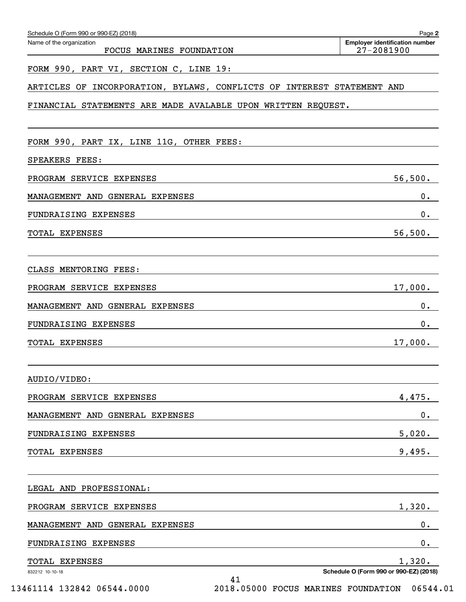| Schedule O (Form 990 or 990-EZ) (2018)<br>Name of the organization     | Page 2<br><b>Employer identification number</b> |
|------------------------------------------------------------------------|-------------------------------------------------|
| FOCUS MARINES FOUNDATION                                               | $27 - 2081900$                                  |
| FORM 990, PART VI, SECTION C, LINE 19:                                 |                                                 |
| ARTICLES OF INCORPORATION, BYLAWS, CONFLICTS OF INTEREST STATEMENT AND |                                                 |
| FINANCIAL STATEMENTS ARE MADE AVALABLE UPON WRITTEN REQUEST.           |                                                 |
| FORM 990, PART IX, LINE 11G, OTHER FEES:                               |                                                 |
| SPEAKERS FEES:                                                         |                                                 |
| PROGRAM SERVICE EXPENSES                                               | 56,500.                                         |
| MANAGEMENT AND GENERAL EXPENSES                                        | $0$ .                                           |
| FUNDRAISING EXPENSES                                                   | 0.                                              |
| <b>TOTAL EXPENSES</b>                                                  | 56,500.                                         |
| CLASS MENTORING FEES:                                                  |                                                 |
| PROGRAM SERVICE EXPENSES                                               | 17,000.                                         |
| MANAGEMENT AND GENERAL EXPENSES                                        | $0$ .                                           |
| FUNDRAISING EXPENSES                                                   | 0.                                              |
| TOTAL EXPENSES                                                         | 17,000.                                         |
| AUDIO/VIDEO:                                                           |                                                 |
| PROGRAM SERVICE EXPENSES                                               | 4,475.                                          |
| MANAGEMENT AND GENERAL EXPENSES                                        | 0.                                              |
| FUNDRAISING EXPENSES                                                   | 5,020.                                          |
| TOTAL EXPENSES                                                         | 9,495.                                          |
| LEGAL AND PROFESSIONAL:                                                |                                                 |
| PROGRAM SERVICE EXPENSES                                               | 1,320.                                          |
| MANAGEMENT AND GENERAL EXPENSES                                        | $\mathbf 0$ .                                   |
| FUNDRAISING EXPENSES                                                   | 0.                                              |
| TOTAL EXPENSES                                                         | 1,320.                                          |
| 832212 10-10-18<br>41                                                  | Schedule O (Form 990 or 990-EZ) (2018)          |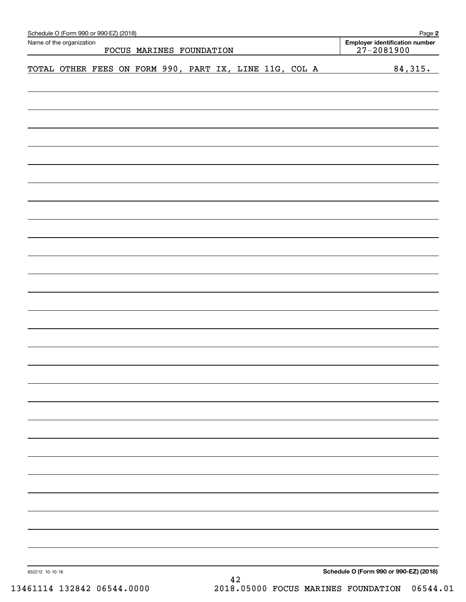| Name of the organization                               |  |  | FOCUS MARINES FOUNDATION |  |  | Employer identification number<br>$27 - 2081900$ |         |
|--------------------------------------------------------|--|--|--------------------------|--|--|--------------------------------------------------|---------|
| TOTAL OTHER FEES ON FORM 990, PART IX, LINE 11G, COL A |  |  |                          |  |  |                                                  | 84,315. |
|                                                        |  |  |                          |  |  |                                                  |         |
|                                                        |  |  |                          |  |  |                                                  |         |
|                                                        |  |  |                          |  |  |                                                  |         |
|                                                        |  |  |                          |  |  |                                                  |         |
|                                                        |  |  |                          |  |  |                                                  |         |
|                                                        |  |  |                          |  |  |                                                  |         |
|                                                        |  |  |                          |  |  |                                                  |         |
|                                                        |  |  |                          |  |  |                                                  |         |
|                                                        |  |  |                          |  |  |                                                  |         |
|                                                        |  |  |                          |  |  |                                                  |         |
|                                                        |  |  |                          |  |  |                                                  |         |
|                                                        |  |  |                          |  |  |                                                  |         |
|                                                        |  |  |                          |  |  |                                                  |         |
|                                                        |  |  |                          |  |  |                                                  |         |
|                                                        |  |  |                          |  |  |                                                  |         |
|                                                        |  |  |                          |  |  |                                                  |         |
|                                                        |  |  |                          |  |  |                                                  |         |
|                                                        |  |  |                          |  |  |                                                  |         |
|                                                        |  |  |                          |  |  |                                                  |         |
|                                                        |  |  |                          |  |  |                                                  |         |
|                                                        |  |  |                          |  |  |                                                  |         |
|                                                        |  |  |                          |  |  |                                                  |         |
|                                                        |  |  |                          |  |  |                                                  |         |
|                                                        |  |  |                          |  |  |                                                  |         |
|                                                        |  |  |                          |  |  |                                                  |         |
|                                                        |  |  |                          |  |  |                                                  |         |
|                                                        |  |  |                          |  |  |                                                  |         |